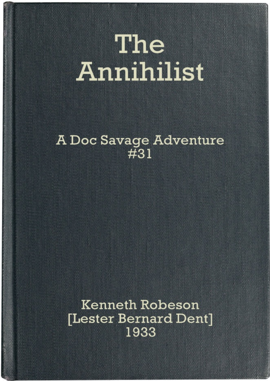# The **Annihilist**

# A Doc Savage Adventure  $#31$

**Kenneth Robeson** [Lester Bernard Dent] 1933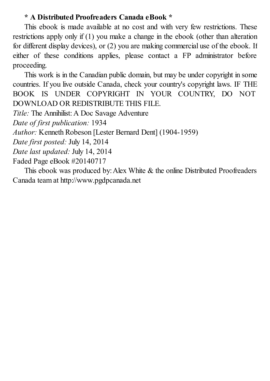#### **\* A Distributed Proofreaders Canada eBook \***

This ebook is made available at no cost and with very few restrictions. These restrictions apply only if (1) you make a change in the ebook (other than alteration for different display devices), or (2) you are making commercial use of the ebook. If either of these conditions applies, please contact a FP administrator before proceeding.

This work is in the Canadian public domain, but may be under copyright in some countries. If you live outside Canada, check your country's copyright laws. IF THE BOOK IS UNDER COPYRIGHT IN YOUR COUNTRY, DO NOT DOWNLOAD OR REDISTRIBUTE THIS FILE.

*Title:* The Annihilist: A Doc Savage Adventure

*Date of first publication:* 1934

*Author:* Kenneth Robeson [Lester Bernard Dent] (1904-1959)

*Date first posted:* July 14, 2014

*Date last updated:* July 14, 2014

Faded Page eBook #20140717

This ebook was produced by: Alex White & the online Distributed Proofreaders Canada team at http://www.pgdpcanada.net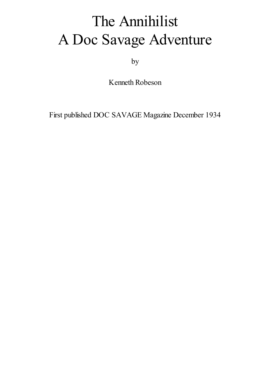# The Annihilist A Doc Savage Adventure

by

Kenneth Robeson

First published DOC SAVAGE Magazine December 1934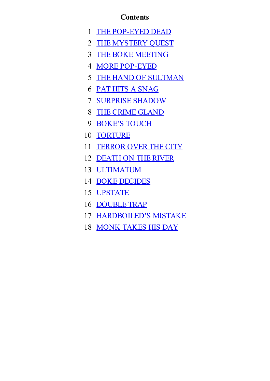#### **[Contents](#page-83-0)**

- THE [POP-EYED](#page-90-0) DEAD
- THE [MYSTER](#page-99-0)Y QUEST
- THE [BOKE](#page-108-0) MEETING
- [MORE](#page-117-0) POP-EYED
- THE [HAND](#page-126-0) OF SULTMAN
- PAT HITS A [SNAG](#page-133-0)
- [SURPRISE](#page-144-0) SHADOW
- THE CRIME GLAND
- BOKE'S TOUCH
- TORTURE
- 11 TERROR OVER THE CITY
- 12 DEATH ON THE RIVER
- ULTIMATUM
- BOKE DECIDES
- UPSTATE
- DOUBLE TRAP
- HARDBOILED'S MISTAKE
- MONK TAKES HIS DAY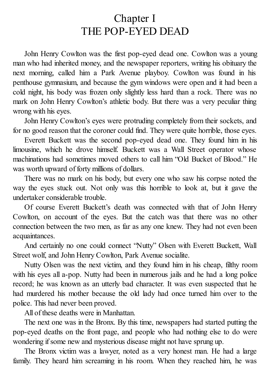# Chapter I THE POP-EYED DEAD

John Henry Cowlton was the first pop-eyed dead one. Cowlton was a young man who had inherited money, and the newspaper reporters, writing his obituary the next morning, called him a Park Avenue playboy. Cowlton was found in his penthouse gymnasium, and because the gym windows were open and it had been a cold night, his body was frozen only slightly less hard than a rock. There was no mark on John Henry Cowlton's athletic body. But there was a very peculiar thing wrong with his eyes.

John Henry Cowlton's eyes were protruding completely from their sockets, and for no good reason that the coroner could find. They were quite horrible, those eyes.

Everett Buckett was the second pop-eyed dead one. They found him in his limousine, which he drove himself. Buckett was a Wall Street operator whose machinations had sometimes moved others to call him "Old Bucket of Blood." He was worth upward of forty millions of dollars.

There was no mark on his body, but every one who saw his corpse noted the way the eyes stuck out. Not only was this horrible to look at, but it gave the undertaker considerable trouble.

Of course Everett Buckett's death was connected with that of John Henry Cowlton, on account of the eyes. But the catch was that there was no other connection between the two men, as far as any one knew. They had not even been acquaintances.

And certainly no one could connect "Nutty" Olsen with Everett Buckett, Wall Street wolf, and John Henry Cowlton, Park Avenue socialite.

Nutty Olsen was the next victim, and they found him in his cheap, filthy room with his eyes all a-pop. Nutty had been in numerous jails and he had a long police record; he was known as an utterly bad character. It was even suspected that he had murdered his mother because the old lady had once turned him over to the police. This had never been proved.

All of these deaths were in Manhattan.

The next one was in the Bronx. By this time, newspapers had started putting the pop-eyed deaths on the front page, and people who had nothing else to do were wondering if some new and mysterious disease might not have sprung up.

The Bronx victim was a lawyer, noted as a very honest man. He had a large family. They heard him screaming in his room. When they reached him, he was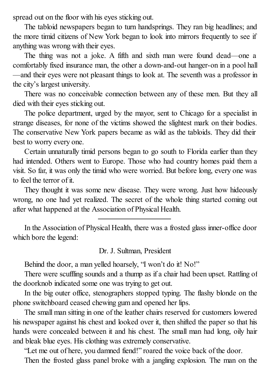spread out on the floor with his eyes sticking out.

The tabloid newspapers began to turn handsprings. They ran big headlines; and the more timid citizens of New York began to look into mirrors frequently to see if anything was wrong with their eyes.

The thing was not a joke. A fifth and sixth man were found dead—one a comfortably fixed insurance man, the other a down-and-out hanger-on in a pool hall —and their eyes were not pleasant things to look at. The seventh was a professor in the city's largest university.

There was no conceivable connection between any of these men. But they all died with their eyes sticking out.

The police department, urged by the mayor, sent to Chicago for a specialist in strange diseases, for none of the victims showed the slightest mark on their bodies. The conservative New York papers became as wild as the tabloids. They did their best to worry every one.

Certain unnaturally timid persons began to go south to Florida earlier than they had intended. Others went to Europe. Those who had country homes paid them a visit. So far, it was only the timid who were worried. But before long, every one was to feel the terror of it.

They thought it was some new disease. They were wrong. Just how hideously wrong, no one had yet realized. The secret of the whole thing started coming out after what happened at the Association of Physical Health.

In the Association of Physical Health, there was a frosted glass inner-office door which bore the legend:

Dr. J. Sultman, President

Behind the door, a man yelled hoarsely, "I won't do it! No!"

There were scuffling sounds and a thump as if a chair had been upset. Rattling of the doorknob indicated some one was trying to get out.

In the big outer office, stenographers stopped typing. The flashy blonde on the phone switchboard ceased chewing gum and opened her lips.

The small man sitting in one of the leather chairs reserved for customers lowered his newspaper against his chest and looked over it, then shifted the paper so that his hands were concealed between it and his chest. The small man had long, oily hair and bleak blue eyes. His clothing was extremely conservative.

"Let me out of here, you damned fiend!" roared the voice back of the door.

Then the frosted glass panel broke with a jangling explosion. The man on the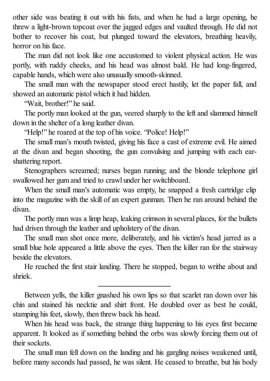other side was beating it out with his fists, and when he had a large opening, he threw a light-brown topcoat over the jagged edges and vaulted through. He did not bother to recover his coat, but plunged toward the elevators, breathing heavily, horror on his face.

The man did not look like one accustomed to violent physical action. He was portly, with ruddy cheeks, and his head was almost bald. He had long-fingered, capable hands, which were also unusually smooth-skinned.

The small man with the newspaper stood erect hastily, let the paper fall, and showed an automatic pistol which it had hidden.

"Wait, brother!" he said.

The portly man looked at the gun, veered sharply to the left and slammed himself down in the shelter of a long leather divan.

"Help!" he roared at the top of his voice. "Police! Help!"

The small man's mouth twisted, giving his face a cast of extreme evil. He aimed at the divan and began shooting, the gun convulsing and jumping with each earshattering report.

Stenographers screamed; nurses began running; and the blonde telephone girl swallowed her gum and tried to crawl under her switchboard.

When the small man's automatic was empty, he snapped a fresh cartridge clip into the magazine with the skill of an expert gunman. Then he ran around behind the divan.

The portly man was a limp heap, leaking crimson in several places, for the bullets had driven through the leather and upholstery of the divan.

The small man shot once more, deliberately, and his victim's head jarred as a small blue hole appeared a little above the eyes. Then the killer ran for the stairway beside the elevators.

He reached the first stair landing. There he stopped, began to writhe about and shriek.

Between yells, the killer gnashed his own lips so that scarlet ran down over his chin and stained his necktie and shirt front. He doubled over as best he could, stamping his feet, slowly, then threw back his head.

When his head was back, the strange thing happening to his eyes first became apparent. It looked as if something behind the orbs was slowly forcing them out of their sockets.

The small man fell down on the landing and his gargling noises weakened until, before many seconds had passed, he was silent. He ceased to breathe, but his body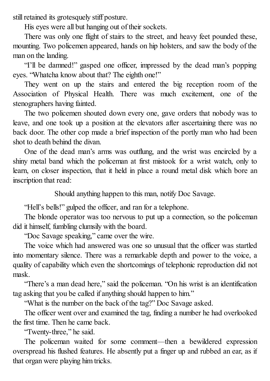still retained its grotesquely stiff posture.

His eyes were all but hanging out of their sockets.

There was only one flight of stairs to the street, and heavy feet pounded these, mounting. Two policemen appeared, hands on hip holsters, and saw the body of the man on the landing.

"I'll be damned!" gasped one officer, impressed by the dead man's popping eyes. "Whatcha know about that? The eighth one!"

They went on up the stairs and entered the big reception room of the Association of Physical Health. There was much excitement, one of the stenographers having fainted.

The two policemen shouted down every one, gave orders that nobody was to leave, and one took up a position at the elevators after ascertaining there was no back door. The other cop made a brief inspection of the portly man who had been shot to death behind the divan.

One of the dead man's arms was outflung, and the wrist was encircled by a shiny metal band which the policeman at first mistook for a wrist watch, only to learn, on closer inspection, that it held in place a round metal disk which bore an inscription that read:

Should anything happen to this man, notify Doc Savage.

"Hell's bells!" gulped the officer, and ran for a telephone.

The blonde operator was too nervous to put up a connection, so the policeman did it himself, fumbling clumsily with the board.

"Doc Savage speaking," came over the wire.

The voice which had answered was one so unusual that the officer was startled into momentary silence. There was a remarkable depth and power to the voice, a quality of capability which even the shortcomings of telephonic reproduction did not mask.

"There's a man dead here," said the policeman. "On his wrist is an identification tag asking that you be called if anything should happen to him."

"What is the number on the back of the tag?" Doc Savage asked.

The officer went over and examined the tag, finding a number he had overlooked the first time. Then he came back.

"Twenty-three," he said.

The policeman waited for some comment—then a bewildered expression overspread his flushed features. He absently put a finger up and rubbed an ear, as if that organ were playing him tricks.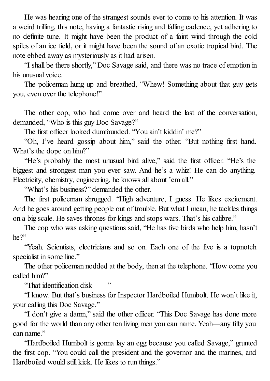He was hearing one of the strangest sounds ever to come to his attention. It was a weird trilling, this note, having a fantastic rising and falling cadence, yet adhering to no definite tune. It might have been the product of a faint wind through the cold spiles of an ice field, or it might have been the sound of an exotic tropical bird. The note ebbed away as mysteriously as it had arisen.

"I shall be there shortly," Doc Savage said, and there was no trace of emotion in his unusual voice.

The policeman hung up and breathed, "Whew! Something about that guy gets you, even over the telephone!"

The other cop, who had come over and heard the last of the conversation, demanded, "Who is this guy Doc Savage?"

The first officer looked dumfounded. "You ain't kiddin' me?"

"Oh, I've heard gossip about him," said the other. "But nothing first hand. What's the dope on him?"

"He's probably the most unusual bird alive," said the first officer. "He's the biggest and strongest man you ever saw. And he's a whiz! He can do anything. Electricity, chemistry, engineering, he knows all about 'em all."

"What's his business?" demanded the other.

The first policeman shrugged. "High adventure, I guess. He likes excitement. And he goes around getting people out of trouble. But what I mean, he tackles things on a big scale. He saves thrones for kings and stops wars. That's his calibre."

The cop who was asking questions said, "He has five birds who help him, hasn't he?"

"Yeah. Scientists, electricians and so on. Each one of the five is a topnotch specialist in some line."

The other policeman nodded at the body, then at the telephone. "How come you called him?"

"That identification disk——"

"I know. But that's business for Inspector Hardboiled Humbolt. He won't like it, your calling this Doc Savage."

"I don't give a damn," said the other officer. "This Doc Savage has done more good for the world than any other ten living men you can name. Yeah—any fifty you can name."

"Hardboiled Humbolt is gonna lay an egg because you called Savage," grunted the first cop. "You could call the president and the governor and the marines, and Hardboiled would still kick. He likes to run things."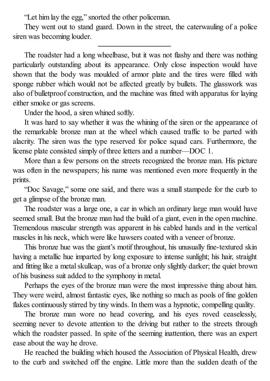"Let him lay the egg," snorted the other policeman.

They went out to stand guard. Down in the street, the caterwauling of a police siren was becoming louder.

The roadster had a long wheelbase, but it was not flashy and there was nothing particularly outstanding about its appearance. Only close inspection would have shown that the body was moulded of armor plate and the tires were filled with sponge rubber which would not be affected greatly by bullets. The glasswork was also of bulletproof construction, and the machine was fitted with apparatus for laying either smoke or gas screens.

Under the hood, a siren whined softly.

It was hard to say whether it was the whining of the siren or the appearance of the remarkable bronze man at the wheel which caused traffic to be parted with alacrity. The siren was the type reserved for police squad cars. Furthermore, the license plate consisted simply of three letters and a number—DOC 1.

More than a few persons on the streets recognized the bronze man. His picture was often in the newspapers; his name was mentioned even more frequently in the prints.

"Doc Savage," some one said, and there was a small stampede for the curb to get a glimpse of the bronze man.

The roadster was a large one, a car in which an ordinary large man would have seemed small. But the bronze man had the build of a giant, even in the open machine. Tremendous muscular strength was apparent in his cabled hands and in the vertical muscles in his neck, which were like hawsers coated with a veneer of bronze.

This bronze hue was the giant's motif throughout, his unusually fine-textured skin having a metallic hue imparted by long exposure to intense sunlight; his hair, straight and fitting like a metal skullcap, was of a bronze only slightly darker; the quiet brown of his business suit added to the symphony in metal.

Perhaps the eyes of the bronze man were the most impressive thing about him. They were weird, almost fantastic eyes, like nothing so much as pools of fine golden flakes continuously stirred by tiny winds. In them was a hypnotic, compelling quality.

The bronze man wore no head covering, and his eyes roved ceaselessly, seeming never to devote attention to the driving but rather to the streets through which the roadster passed. In spite of the seeming inattention, there was an expert ease about the way he drove.

He reached the building which housed the Association of Physical Health, drew to the curb and switched off the engine. Little more than the sudden death of the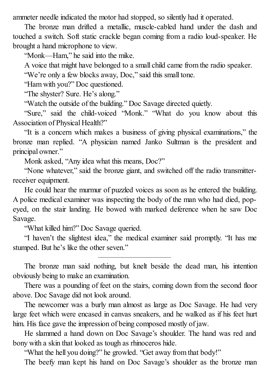ammeter needle indicated the motor had stopped, so silently had it operated.

The bronze man drifted a metallic, muscle-cabled hand under the dash and touched a switch. Soft static crackle began coming from a radio loud-speaker. He brought a hand microphone to view.

"Monk—Ham," he said into the mike.

A voice that might have belonged to a small child came from the radio speaker.

"We're only a few blocks away, Doc," said this small tone.

"Ham with you?" Doc questioned.

"The shyster? Sure. He's along."

"Watch the outside of the building." Doc Savage directed quietly.

"Sure," said the child-voiced "Monk." "What do you know about this Association of Physical Health?"

"It is a concern which makes a business of giving physical examinations," the bronze man replied. "A physician named Janko Sultman is the president and principal owner."

Monk asked, "Any idea what this means, Doc?"

"None whatever," said the bronze giant, and switched off the radio transmitterreceiver equipment.

He could hear the murmur of puzzled voices as soon as he entered the building. A police medical examiner was inspecting the body of the man who had died, popeyed, on the stair landing. He bowed with marked deference when he saw Doc Savage.

"What killed him?" Doc Savage queried.

"I haven't the slightest idea," the medical examiner said promptly. "It has me stumped. But he's like the other seven."

The bronze man said nothing, but knelt beside the dead man, his intention obviously being to make an examination.

There was a pounding of feet on the stairs, coming down from the second floor above. Doc Savage did not look around.

The newcomer was a burly man almost as large as Doc Savage. He had very large feet which were encased in canvas sneakers, and he walked as if his feet hurt him. His face gave the impression of being composed mostly of jaw.

He slammed a hand down on Doc Savage's shoulder. The hand was red and bony with a skin that looked as tough as rhinoceros hide.

"What the hell you doing?" he growled. "Get away from that body!"

The beefy man kept his hand on Doc Savage's shoulder as the bronze man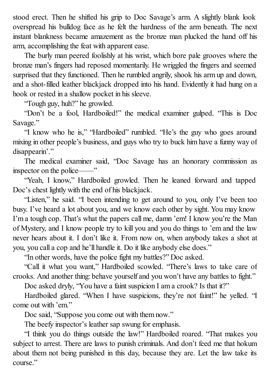stood erect. Then he shifted his grip to Doc Savage's arm. A slightly blank look overspread his bulldog face as he felt the hardness of the arm beneath. The next instant blankness became amazement as the bronze man plucked the hand off his arm, accomplishing the feat with apparent ease.

The burly man peered foolishly at his wrist, which bore pale grooves where the bronze man's fingers had reposed momentarily. He wriggled the fingers and seemed surprised that they functioned. Then he rumbled angrily, shook his arm up and down, and a shot-filled leather blackjack dropped into his hand. Evidently it had hung on a hook or rested in a shallow pocket in his sleeve.

"Tough guy, huh?" he growled.

"Don't be a fool, Hardboiled!" the medical examiner gulped. "This is Doc Savage."

"I know who he is," "Hardboiled" rumbled. "He's the guy who goes around mixing in other people's business, and guys who try to buck him have a funny way of disappearin'."

The medical examiner said, "Doc Savage has an honorary commission as inspector on the police——"

"Yeah, I know," Hardboiled growled. Then he leaned forward and tapped Doc's chest lightly with the end of his blackjack.

"Listen," he said. "I been intending to get around to you, only I've been too busy. I've heard a lot about you, and we know each other by sight. You may know I'm a tough cop. That's what the papers call me, damn 'em! I know you're the Man of Mystery, and I know people try to kill you and you do things to 'em and the law never hears about it. I don't like it. From now on, when anybody takes a shot at you, you call a cop and he'll handle it. Do it like anybody else does."

"In other words, have the police fight my battles?" Doc asked.

"Call it what you want," Hardboiled scowled. "There's laws to take care of crooks. And another thing: behave yourself and you won't have any battles to fight."

Doc asked dryly, "You have a faint suspicion I am a crook? Is that it?"

Hardboiled glared. "When I have suspicions, they're not faint!" he yelled. "I come out with 'em."

Doc said, "Suppose you come out with them now."

The beefy inspector's leather sap swung for emphasis.

"I think you do things outside the law!" Hardboiled roared. "That makes you subject to arrest. There are laws to punish criminals. And don't feed me that hokum about them not being punished in this day, because they are. Let the law take its course."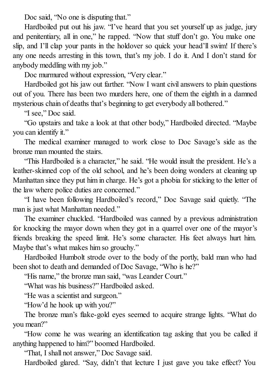Doc said, "No one is disputing that."

Hardboiled put out his jaw. "I've heard that you set yourself up as judge, jury and penitentiary, all in one," he rapped. "Now that stuff don't go. You make one slip, and I'll clap your pants in the holdover so quick your head'll swim! If there's any one needs arresting in this town, that's my job. I do it. And I don't stand for anybody meddling with my job."

Doc murmured without expression, "Very clear."

Hardboiled got his jaw out farther. "Now I want civil answers to plain questions out of you. There has been two murders here, one of them the eighth in a damned mysterious chain of deaths that's beginning to get everybody all bothered."

"I see," Doc said.

"Go upstairs and take a look at that other body," Hardboiled directed. "Maybe you can identify it."

The medical examiner managed to work close to Doc Savage's side as the bronze man mounted the stairs.

"This Hardboiled is a character," he said. "He would insult the president. He's a leather-skinned cop of the old school, and he's been doing wonders at cleaning up Manhattan since they put him in charge. He's got a phobia for sticking to the letter of the law where police duties are concerned."

"I have been following Hardboiled's record," Doc Savage said quietly. "The man is just what Manhattan needed."

The examiner chuckled. "Hardboiled was canned by a previous administration for knocking the mayor down when they got in a quarrel over one of the mayor's friends breaking the speed limit. He's some character. His feet always hurt him. Maybe that's what makes him so grouchy."

Hardboiled Humbolt strode over to the body of the portly, bald man who had been shot to death and demanded of Doc Savage, "Who is he?"

"His name," the bronze man said, "was Leander Court."

"What was his business?" Hardboiled asked.

"He was a scientist and surgeon."

"How'd he hook up with you?"

The bronze man's flake-gold eyes seemed to acquire strange lights. "What do you mean?"

"How come he was wearing an identification tag asking that you be called if anything happened to him?" boomed Hardboiled.

"That, I shall not answer," Doc Savage said.

Hardboiled glared. "Say, didn't that lecture I just gave you take effect? You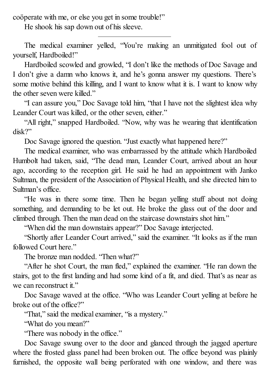coöperate with me, or else you get in some trouble!"

He shook his sap down out of his sleeve.

The medical examiner yelled, "You're making an unmitigated fool out of yourself, Hardboiled!"

Hardboiled scowled and growled, "I don't like the methods of Doc Savage and I don't give a damn who knows it, and he's gonna answer my questions. There's some motive behind this killing, and I want to know what it is. I want to know why the other seven were killed."

"I can assure you," Doc Savage told him, "that I have not the slightest idea why Leander Court was killed, or the other seven, either."

"All right," snapped Hardboiled. "Now, why was he wearing that identification disk?"

Doc Savage ignored the question. "Just exactly what happened here?"

The medical examiner, who was embarrassed by the attitude which Hardboiled Humbolt had taken, said, "The dead man, Leander Court, arrived about an hour ago, according to the reception girl. He said he had an appointment with Janko Sultman, the president of the Association of Physical Health, and she directed him to Sultman's office.

"He was in there some time. Then he began yelling stuff about not doing something, and demanding to be let out. He broke the glass out of the door and climbed through. Then the man dead on the staircase downstairs shot him."

"When did the man downstairs appear?" Doc Savage interjected.

"Shortly after Leander Court arrived," said the examiner. "It looks as if the man followed Court here."

The bronze man nodded. "Then what?"

"After he shot Court, the man fled," explained the examiner. "He ran down the stairs, got to the first landing and had some kind of a fit, and died. That's as near as we can reconstruct it."

Doc Savage waved at the office. "Who was Leander Court yelling at before he broke out of the office?"

"That," said the medical examiner, "is a mystery."

"What do you mean?"

"There was nobody in the office."

Doc Savage swung over to the door and glanced through the jagged aperture where the frosted glass panel had been broken out. The office beyond was plainly furnished, the opposite wall being perforated with one window, and there was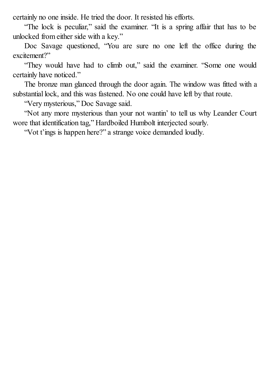certainly no one inside. He tried the door. It resisted his efforts.

"The lock is peculiar," said the examiner. "It is a spring affair that has to be unlocked from either side with a key."

Doc Savage questioned, "You are sure no one left the office during the excitement?"

"They would have had to climb out," said the examiner. "Some one would certainly have noticed."

The bronze man glanced through the door again. The window was fitted with a substantial lock, and this was fastened. No one could have left by that route.

"Very mysterious," Doc Savage said.

"Not any more mysterious than your not wantin' to tell us why Leander Court wore that identification tag," Hardboiled Humbolt interjected sourly.

"Vot t'ings is happen here?" a strange voice demanded loudly.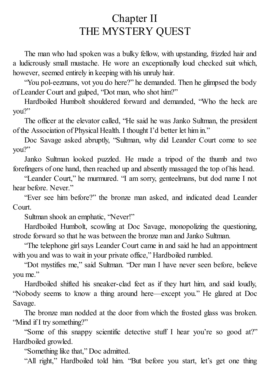# Chapter II THE MYSTERY QUEST

The man who had spoken was a bulky fellow, with upstanding, frizzled hair and a ludicrously small mustache. He wore an exceptionally loud checked suit which, however, seemed entirely in keeping with his unruly hair.

"You pol-eezmans, vot you do here?" he demanded. Then he glimpsed the body of Leander Court and gulped, "Dot man, who shot him?"

Hardboiled Humbolt shouldered forward and demanded, "Who the heck are you?"

The officer at the elevator called, "He said he was Janko Sultman, the president of the Association of Physical Health. I thought I'd better let him in."

Doc Savage asked abruptly, "Sultman, why did Leander Court come to see you?"

Janko Sultman looked puzzled. He made a tripod of the thumb and two forefingers of one hand, then reached up and absently massaged the top of his head.

"Leander Court," he murmured. "I am sorry, genteelmans, but dod name I not hear before. Never."

"Ever see him before?" the bronze man asked, and indicated dead Leander Court.

Sultman shook an emphatic, "Never!"

Hardboiled Humbolt, scowling at Doc Savage, monopolizing the questioning, strode forward so that he was between the bronze man and Janko Sultman.

"The telephone girl says Leander Court came in and said he had an appointment with you and was to wait in your private office," Hardboiled rumbled.

"Dot mystifies me," said Sultman. "Der man I have never seen before, believe you me."

Hardboiled shifted his sneaker-clad feet as if they hurt him, and said loudly, "Nobody seems to know a thing around here—except you." He glared at Doc Savage.

The bronze man nodded at the door from which the frosted glass was broken. "Mind if I try something?"

"Some of this snappy scientific detective stuff I hear you're so good at?" Hardboiled growled.

"Something like that," Doc admitted.

"All right," Hardboiled told him. "But before you start, let's get one thing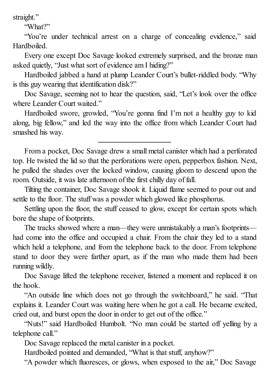straight."

"What?"

"You're under technical arrest on a charge of concealing evidence," said **Hardboiled** 

Every one except Doc Savage looked extremely surprised, and the bronze man asked quietly, "Just what sort of evidence am I hiding?"

Hardboiled jabbed a hand at plump Leander Court's bullet-riddled body. "Why is this guy wearing that identification disk?"

Doc Savage, seeming not to hear the question, said, "Let's look over the office where Leander Court waited."

Hardboiled swore, growled, "You're gonna find I'm not a healthy guy to kid along, big fellow," and led the way into the office from which Leander Court had smashed his way.

From a pocket, Doc Savage drew a small metal canister which had a perforated top. He twisted the lid so that the perforations were open, pepperbox fashion. Next, he pulled the shades over the locked window, causing gloom to descend upon the room. Outside, it was late afternoon of the first chilly day of fall.

Tilting the container, Doc Savage shook it. Liquid flame seemed to pour out and settle to the floor. The stuff was a powder which glowed like phosphorus.

Settling upon the floor, the stuff ceased to glow, except for certain spots which bore the shape of footprints.

The tracks showed where a man—they were unmistakably a man's footprints had come into the office and occupied a chair. From the chair they led to a stand which held a telephone, and from the telephone back to the door. From telephone stand to door they were farther apart, as if the man who made them had been running wildly.

Doc Savage lifted the telephone receiver, listened a moment and replaced it on the hook.

"An outside line which does not go through the switchboard," he said. "That explains it. Leander Court was waiting here when he got a call. He became excited, cried out, and burst open the door in order to get out of the office."

"Nuts!" said Hardboiled Humbolt. "No man could be started off yelling by a telephone call."

Doc Savage replaced the metal canister in a pocket.

Hardboiled pointed and demanded, "What is that stuff, anyhow?"

"A powder which fluoresces, or glows, when exposed to the air," Doc Savage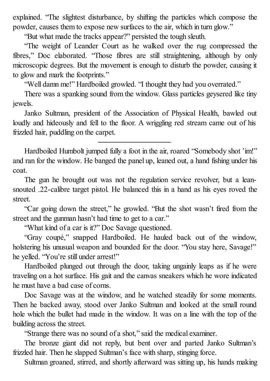explained. "The slightest disturbance, by shifting the particles which compose the powder, causes them to expose new surfaces to the air, which in turn glow."

"But what made the tracks appear?" persisted the tough sleuth.

"The weight of Leander Court as he walked over the rug compressed the fibres," Doc elaborated. "Those fibres are still straightening, although by only microscopic degrees. But the movement is enough to disturb the powder, causing it to glow and mark the footprints."

"Well damn me!" Hardboiled growled. "I thought they had you overrated."

There was a spanking sound from the window. Glass particles geysered like tiny jewels.

Janko Sultman, president of the Association of Physical Health, bawled out loudly and hideously and fell to the floor. A wriggling red stream came out of his frizzled hair, puddling on the carpet.

Hardboiled Humbolt jumped fully a foot in the air, roared "Somebody shot 'im!" and ran for the window. He banged the panel up, leaned out, a hand fishing under his coat.

The gun he brought out was not the regulation service revolver, but a leansnouted .22-calibre target pistol. He balanced this in a hand as his eyes roved the street.

"Car going down the street," he growled. "But the shot wasn't fired from the street and the gunman hasn't had time to get to a car."

"What kind of a car is it?" Doc Savage questioned.

"Gray coupé," snapped Hardboiled. He hauled back out of the window, holstering his unusual weapon and bounded for the door. "You stay here, Savage!" he yelled. "You're still under arrest!"

Hardboiled plunged out through the door, taking ungainly leaps as if he were traveling on a hot surface. His gait and the canvas sneakers which he wore indicated he must have a bad case of corns.

Doc Savage was at the window, and he watched steadily for some moments. Then he backed away, stood over Janko Sultman and looked at the small round hole which the bullet had made in the window. It was on a line with the top of the building across the street.

"Strange there was no sound of a shot," said the medical examiner.

The bronze giant did not reply, but bent over and parted Janko Sultman's frizzled hair. Then he slapped Sultman's face with sharp, stinging force.

Sultman groaned, stirred, and shortly afterward was sitting up, his hands making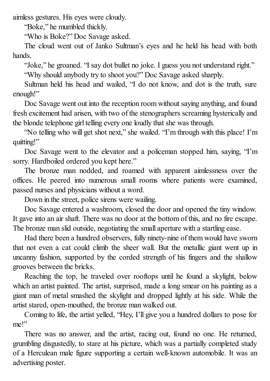aimless gestures. His eyes were cloudy.

"Boke," he mumbled thickly.

"Who is Boke?" Doc Savage asked.

The cloud went out of Janko Sultman's eyes and he held his head with both hands.

"Joke," he groaned. "I say dot bullet no joke. I guess you not understand right."

"Why should anybody try to shoot you?" Doc Savage asked sharply.

Sultman held his head and wailed, "I do not know, and dot is the truth, sure enough!"

Doc Savage went out into the reception room without saying anything, and found fresh excitement had arisen, with two of the stenographers screaming hysterically and the blonde telephone girl telling every one loudly that she was through.

"No telling who will get shot next," she wailed. "I'm through with this place! I'm quitting!"

Doc Savage went to the elevator and a policeman stopped him, saying, "I'm sorry. Hardboiled ordered you kept here."

The bronze man nodded, and roamed with apparent aimlessness over the offices. He peered into numerous small rooms where patients were examined, passed nurses and physicians without a word.

Down in the street, police sirens were wailing.

Doc Savage entered a washroom, closed the door and opened the tiny window. It gave into an air shaft. There was no door at the bottom of this, and no fire escape. The bronze man slid outside, negotiating the small aperture with a startling ease.

Had there been a hundred observers, fully ninety-nine of them would have sworn that not even a cat could climb the sheer wall. But the metallic giant went up in uncanny fashion, supported by the corded strength of his fingers and the shallow grooves between the bricks.

Reaching the top, he traveled over rooftops until he found a skylight, below which an artist painted. The artist, surprised, made a long smear on his painting as a giant man of metal smashed the skylight and dropped lightly at his side. While the artist stared, open-mouthed, the bronze man walked out.

Coming to life, the artist yelled, "Hey, I'll give you a hundred dollars to pose for me!"

There was no answer, and the artist, racing out, found no one. He returned, grumbling disgustedly, to stare at his picture, which was a partially completed study of a Herculean male figure supporting a certain well-known automobile. It was an advertising poster.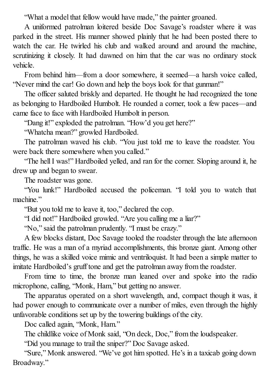"What a model that fellow would have made," the painter groaned.

A uniformed patrolman loitered beside Doc Savage's roadster where it was parked in the street. His manner showed plainly that he had been posted there to watch the car. He twirled his club and walked around and around the machine, scrutinizing it closely. It had dawned on him that the car was no ordinary stock vehicle.

From behind him—from a door somewhere, it seemed—a harsh voice called, "Never mind the car! Go down and help the boys look for that gunman!"

The officer saluted briskly and departed. He thought he had recognized the tone as belonging to Hardboiled Humbolt. He rounded a corner, took a few paces—and came face to face with Hardboiled Humbolt in person.

"Dang it!" exploded the patrolman. "How'd you get here?"

"Whatcha mean?" growled Hardboiled.

The patrolman waved his club. "You just told me to leave the roadster. You were back there somewhere when you called."

"The hellI was!" Hardboiled yelled, and ran for the corner. Sloping around it, he drew up and began to swear.

The roadster was gone.

"You lunk!" Hardboiled accused the policeman. "I told you to watch that machine."

"But you told me to leave it, too," declared the cop.

"I did not!" Hardboiled growled. "Are you calling me a liar?"

"No," said the patrolman prudently. "I must be crazy."

A few blocks distant, Doc Savage tooled the roadster through the late afternoon traffic. He was a man of a myriad accomplishments, this bronze giant. Among other things, he was a skilled voice mimic and ventriloquist. It had been a simple matter to imitate Hardboiled's gruff tone and get the patrolman away from the roadster.

From time to time, the bronze man leaned over and spoke into the radio microphone, calling, "Monk, Ham," but getting no answer.

The apparatus operated on a short wavelength, and, compact though it was, it had power enough to communicate over a number of miles, even through the highly unfavorable conditions set up by the towering buildings of the city.

Doc called again, "Monk, Ham."

The childlike voice of Monk said, "On deck, Doc," from the loudspeaker.

"Did you manage to trail the sniper?" Doc Savage asked.

"Sure," Monk answered. "We've got him spotted. He's in a taxicab going down Broadway."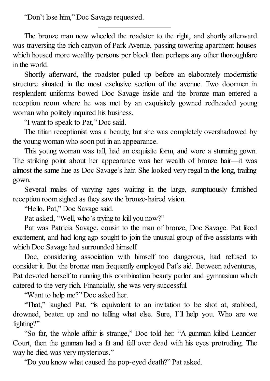"Don't lose him," Doc Savage requested.

The bronze man now wheeled the roadster to the right, and shortly afterward was traversing the rich canyon of Park Avenue, passing towering apartment houses which housed more wealthy persons per block than perhaps any other thoroughfare in the world.

Shortly afterward, the roadster pulled up before an elaborately modernistic structure situated in the most exclusive section of the avenue. Two doormen in resplendent uniforms bowed Doc Savage inside and the bronze man entered a reception room where he was met by an exquisitely gowned redheaded young woman who politely inquired his business.

"I want to speak to Pat," Doc said.

The titian receptionist was a beauty, but she was completely overshadowed by the young woman who soon put in an appearance.

This young woman was tall, had an exquisite form, and wore a stunning gown. The striking point about her appearance was her wealth of bronze hair—it was almost the same hue as Doc Savage's hair. She looked very regal in the long, trailing gown.

Several males of varying ages waiting in the large, sumptuously furnished reception room sighed as they saw the bronze-haired vision.

"Hello, Pat," Doc Savage said.

Pat asked, "Well, who's trying to kill you now?"

Pat was Patricia Savage, cousin to the man of bronze, Doc Savage. Pat liked excitement, and had long ago sought to join the unusual group of five assistants with which Doc Savage had surrounded himself.

Doc, considering association with himself too dangerous, had refused to consider it. But the bronze man frequently employed Pat's aid. Between adventures, Pat devoted herself to running this combination beauty parlor and gymnasium which catered to the very rich. Financially, she was very successful.

"Want to help me?" Doc asked her.

"That," laughed Pat, "is equivalent to an invitation to be shot at, stabbed, drowned, beaten up and no telling what else. Sure, I'll help you. Who are we fighting?"

"So far, the whole affair is strange," Doc told her. "A gunman killed Leander Court, then the gunman had a fit and fell over dead with his eyes protruding. The way he died was very mysterious."

"Do you know what caused the pop-eyed death?" Pat asked.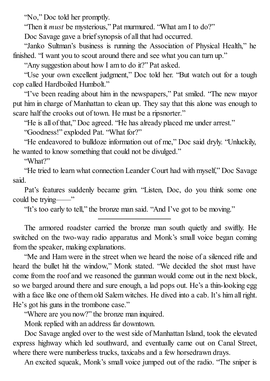"No," Doc told her promptly.

"Then it *must* be mysterious," Pat murmured. "What am I to do?"

Doc Savage gave a brief synopsis of all that had occurred.

"Janko Sultman's business is running the Association of Physical Health," he finished. "I want you to scout around there and see what you can turn up."

"Any suggestion about how I am to do it?" Pat asked.

"Use your own excellent judgment," Doc told her. "But watch out for a tough cop called Hardboiled Humbolt."

"I've been reading about him in the newspapers," Pat smiled. "The new mayor put him in charge of Manhattan to clean up. They say that this alone was enough to scare half the crooks out of town. He must be a ripsnorter."

"He is all of that," Doc agreed. "He has already placed me under arrest."

"Goodness!" exploded Pat. "What for?"

"He endeavored to bulldoze information out of me," Doc said dryly. "Unluckily, he wanted to know something that could not be divulged."

"What?"

"He tried to learn what connection Leander Court had with myself," Doc Savage said.

Pat's features suddenly became grim. "Listen, Doc, do you think some one could be trying——"

"It's too early to tell," the bronze man said. "And I've got to be moving."

The armored roadster carried the bronze man south quietly and swiftly. He switched on the two-way radio apparatus and Monk's small voice began coming from the speaker, making explanations.

"Me and Ham were in the street when we heard the noise of a silenced rifle and heard the bullet hit the window," Monk stated. "We decided the shot must have come from the roof and we reasoned the gunman would come out in the next block, so we barged around there and sure enough, a lad pops out. He's a thin-looking egg with a face like one of them old Salem witches. He dived into a cab. It's him all right. He's got his guns in the trombone case."

"Where are you now?" the bronze man inquired.

Monk replied with an address far downtown.

Doc Savage angled over to the west side of Manhattan Island, took the elevated express highway which led southward, and eventually came out on Canal Street, where there were numberless trucks, taxicabs and a few horsedrawn drays.

An excited squeak, Monk's small voice jumped out of the radio. "The sniper is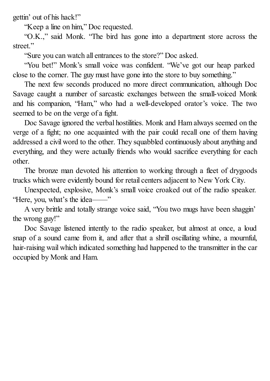gettin' out of his hack!"

"Keep a line on him," Doc requested.

"O.K.," said Monk. "The bird has gone into a department store across the street."

"Sure you can watch all entrances to the store?" Doc asked.

"You bet!" Monk's small voice was confident. "We've got our heap parked close to the corner. The guy must have gone into the store to buy something."

The next few seconds produced no more direct communication, although Doc Savage caught a number of sarcastic exchanges between the small-voiced Monk and his companion, "Ham," who had a well-developed orator's voice. The two seemed to be on the verge of a fight.

Doc Savage ignored the verbal hostilities. Monk and Ham always seemed on the verge of a fight; no one acquainted with the pair could recall one of them having addressed a civil word to the other. They squabbled continuously about anything and everything, and they were actually friends who would sacrifice everything for each other.

The bronze man devoted his attention to working through a fleet of drygoods trucks which were evidently bound for retail centers adjacent to New York City.

Unexpected, explosive, Monk's small voice croaked out of the radio speaker. "Here, you, what's the idea——"

A very brittle and totally strange voice said, "You two mugs have been shaggin' the wrong guy!"

Doc Savage listened intently to the radio speaker, but almost at once, a loud snap of a sound came from it, and after that a shrill oscillating whine, a mournful, hair-raising wail which indicated something had happened to the transmitter in the car occupied by Monk and Ham.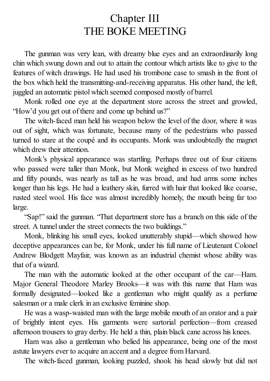# Chapter III THE BOKE MEETING

The gunman was very lean, with dreamy blue eyes and an extraordinarily long chin which swung down and out to attain the contour which artists like to give to the features of witch drawings. He had used his trombone case to smash in the front of the box which held the transmitting-and-receiving apparatus. His other hand, the left, juggled an automatic pistol which seemed composed mostly of barrel.

Monk rolled one eye at the department store across the street and growled, "How'd you get out of there and come up behind us?"

The witch-faced man held his weapon below the level of the door, where it was out of sight, which was fortunate, because many of the pedestrians who passed turned to stare at the coupé and its occupants. Monk was undoubtedly the magnet which drew their attention.

Monk's physical appearance was startling. Perhaps three out of four citizens who passed were taller than Monk, but Monk weighed in excess of two hundred and fifty pounds, was nearly as tall as he was broad, and had arms some inches longer than his legs. He had a leathery skin, furred with hair that looked like coarse, rusted steel wool. His face was almost incredibly homely, the mouth being far too large.

"Sap!" said the gunman. "That department store has a branch on this side of the street. A tunnel under the street connects the two buildings."

Monk, blinking his small eyes, looked unutterably stupid—which showed how deceptive appearances can be, for Monk, under his full name of Lieutenant Colonel Andrew Blodgett Mayfair, was known as an industrial chemist whose ability was that of a wizard.

The man with the automatic looked at the other occupant of the car—Ham. Major General Theodore Marley Brooks—it was with this name that Ham was formally designated—looked like a gentleman who might qualify as a perfume salesman or a male clerk in an exclusive feminine shop.

He was a wasp-waisted man with the large mobile mouth of an orator and a pair of brightly intent eyes. His garments were sartorial perfection—from creased afternoon trousers to gray derby. He held a thin, plain black cane across his knees.

Ham was also a gentleman who belied his appearance, being one of the most astute lawyers ever to acquire an accent and a degree from Harvard.

The witch-faced gunman, looking puzzled, shook his head slowly but did not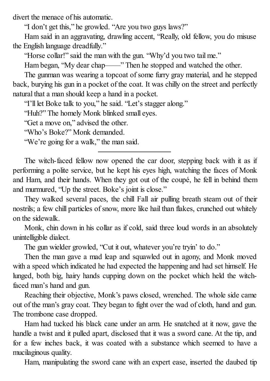divert the menace of his automatic.

"I don't get this," he growled. "Are you two guys laws?"

Ham said in an aggravating, drawling accent, "Really, old fellow, you do misuse the English language dreadfully."

"Horse collar!" said the man with the gun. "Why'd you two tail me."

Ham began, "My dear chap——" Then he stopped and watched the other.

The gunman was wearing a topcoat of some furry gray material, and he stepped back, burying his gun in a pocket of the coat. It was chilly on the street and perfectly natural that a man should keep a hand in a pocket.

"I'll let Boke talk to you," he said. "Let's stagger along."

"Huh?" The homely Monk blinked small eyes.

"Get a move on," advised the other.

"Who's Boke?" Monk demanded.

"We're going for a walk," the man said.

The witch-faced fellow now opened the car door, stepping back with it as if performing a polite service, but he kept his eyes high, watching the faces of Monk and Ham, and their hands. When they got out of the coupé, he fell in behind them and murmured, "Up the street. Boke's joint is close."

They walked several paces, the chill Fall air pulling breath steam out of their nostrils; a few chill particles of snow, more like hail than flakes, crunched out whitely on the sidewalk.

Monk, chin down in his collar as if cold, said three loud words in an absolutely unintelligible dialect.

The gun wielder growled, "Cut it out, whatever you're tryin' to do."

Then the man gave a mad leap and squawled out in agony, and Monk moved with a speed which indicated he had expected the happening and had set himself. He lunged, both big, hairy hands cupping down on the pocket which held the witchfaced man's hand and gun.

Reaching their objective, Monk's paws closed, wrenched. The whole side came out of the man's gray coat. They began to fight over the wad of cloth, hand and gun. The trombone case dropped.

Ham had tucked his black cane under an arm. He snatched at it now, gave the handle a twist and it pulled apart, disclosed that it was a sword cane. At the tip, and for a few inches back, it was coated with a substance which seemed to have a mucilaginous quality.

Ham, manipulating the sword cane with an expert ease, inserted the daubed tip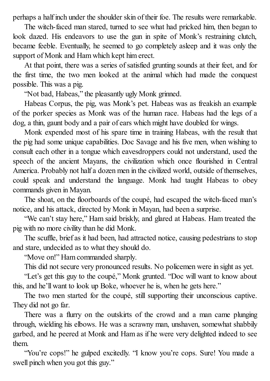perhaps a half inch under the shoulder skin of their foe. The results were remarkable.

The witch-faced man stared, turned to see what had pricked him, then began to look dazed. His endeavors to use the gun in spite of Monk's restraining clutch, became feeble. Eventually, he seemed to go completely asleep and it was only the support of Monk and Ham which kept him erect.

At that point, there was a series of satisfied grunting sounds at their feet, and for the first time, the two men looked at the animal which had made the conquest possible. This was a pig.

"Not bad, Habeas," the pleasantly ugly Monk grinned.

Habeas Corpus, the pig, was Monk's pet. Habeas was as freakish an example of the porker species as Monk was of the human race. Habeas had the legs of a dog, a thin, gaunt body and a pair of ears which might have doubled for wings.

Monk expended most of his spare time in training Habeas, with the result that the pig had some unique capabilities. Doc Savage and his five men, when wishing to consult each other in a tongue which eavesdroppers could not understand, used the speech of the ancient Mayans, the civilization which once flourished in Central America. Probably not half a dozen men in the civilized world, outside of themselves, could speak and understand the language. Monk had taught Habeas to obey commands given in Mayan.

The shoat, on the floorboards of the coupé, had escaped the witch-faced man's notice, and his attack, directed by Monk in Mayan, had been a surprise.

"We can't stay here," Ham said briskly, and glared at Habeas. Ham treated the pig with no more civility than he did Monk.

The scuffle, brief as it had been, had attracted notice, causing pedestrians to stop and stare, undecided as to what they should do.

"Move on!" Ham commanded sharply.

This did not secure very pronounced results. No policemen were in sight as yet.

"Let's get this guy to the coupé," Monk grunted. "Doc will want to know about this, and he'll want to look up Boke, whoever he is, when he gets here."

The two men started for the coupé, still supporting their unconscious captive. They did not go far.

There was a flurry on the outskirts of the crowd and a man came plunging through, wielding his elbows. He was a scrawny man, unshaven, somewhat shabbily garbed, and he peered at Monk and Ham as if he were very delighted indeed to see them.

"You're cops!" he gulped excitedly. "I know you're cops. Sure! You made a swell pinch when you got this guy."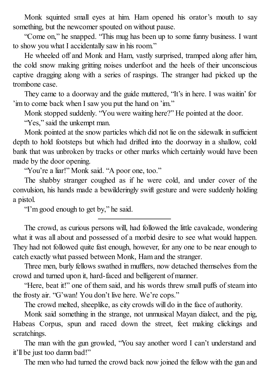Monk squinted small eyes at him. Ham opened his orator's mouth to say something, but the newcomer spouted on without pause.

"Come on," he snapped. "This mug has been up to some funny business. I want to show you what I accidentally saw in his room."

He wheeled off and Monk and Ham, vastly surprised, tramped along after him, the cold snow making gritting noises underfoot and the heels of their unconscious captive dragging along with a series of raspings. The stranger had picked up the trombone case.

They came to a doorway and the guide muttered, "It's in here. I was waitin' for 'im to come back when I saw you put the hand on 'im."

Monk stopped suddenly. "You were waiting here?" He pointed at the door.

"Yes," said the unkempt man.

Monk pointed at the snow particles which did not lie on the sidewalk in sufficient depth to hold footsteps but which had drifted into the doorway in a shallow, cold bank that was unbroken by tracks or other marks which certainly would have been made by the door opening.

"You're a liar!" Monk said. "A poor one, too."

The shabby stranger coughed as if he were cold, and under cover of the convulsion, his hands made a bewilderingly swift gesture and were suddenly holding a pistol.

"I'm good enough to get by," he said.

The crowd, as curious persons will, had followed the little cavalcade, wondering what it was all about and possessed of a morbid desire to see what would happen. They had not followed quite fast enough, however, for any one to be near enough to catch exactly what passed between Monk, Ham and the stranger.

Three men, burly fellows swathed in mufflers, now detached themselves from the crowd and turned upon it, hard-faced and belligerent of manner.

"Here, beat it!" one of them said, and his words threw small puffs of steam into the frosty air. "G'wan! You don't live here. We're cops."

The crowd melted, sheeplike, as city crowds will do in the face of authority.

Monk said something in the strange, not unmusical Mayan dialect, and the pig, Habeas Corpus, spun and raced down the street, feet making clickings and scratchings.

The man with the gun growled, "You say another word I can't understand and it'll be just too damn bad!"

The men who had turned the crowd back now joined the fellow with the gun and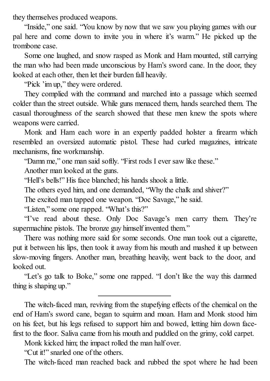they themselves produced weapons.

"Inside," one said. "You know by now that we saw you playing games with our pal here and come down to invite you in where it's warm." He picked up the trombone case.

Some one laughed, and snow rasped as Monk and Ham mounted, still carrying the man who had been made unconscious by Ham's sword cane. In the door, they looked at each other, then let their burden fall heavily.

"Pick 'im up," they were ordered.

They complied with the command and marched into a passage which seemed colder than the street outside. While guns menaced them, hands searched them. The casual thoroughness of the search showed that these men knew the spots where weapons were carried.

Monk and Ham each wore in an expertly padded holster a firearm which resembled an oversized automatic pistol. These had curled magazines, intricate mechanisms, fine workmanship.

"Damn me," one man said softly. "First rods I ever saw like these."

Another man looked at the guns.

"Hell's bells!" His face blanched; his hands shook a little.

The others eyed him, and one demanded, "Why the chalk and shiver?"

The excited man tapped one weapon. "Doc Savage," he said.

"Listen," some one rapped. "What's this?"

"I've read about these. Only Doc Savage's men carry them. They're supermachine pistols. The bronze guy himself invented them."

There was nothing more said for some seconds. One man took out a cigarette, put it between his lips, then took it away from his mouth and mashed it up between slow-moving fingers. Another man, breathing heavily, went back to the door, and looked out.

"Let's go talk to Boke," some one rapped. "I don't like the way this damned thing is shaping up."

The witch-faced man, reviving from the stupefying effects of the chemical on the end of Ham's sword cane, began to squirm and moan. Ham and Monk stood him on his feet, but his legs refused to support him and bowed, letting him down facefirst to the floor. Saliva came from his mouth and puddled on the grimy, cold carpet.

Monk kicked him; the impact rolled the man half over.

"Cut it!" snarled one of the others.

The witch-faced man reached back and rubbed the spot where he had been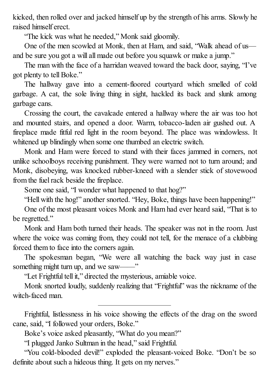kicked, then rolled over and jacked himself up by the strength of his arms. Slowly he raised himself erect.

"The kick was what he needed," Monk said gloomily.

One of the men scowled at Monk, then at Ham, and said, "Walk ahead of us and be sure you got a will all made out before you squawk or make a jump."

The man with the face of a harridan weaved toward the back door, saying, "I've got plenty to tellBoke."

The hallway gave into a cement-floored courtyard which smelled of cold garbage. A cat, the sole living thing in sight, hackled its back and slunk among garbage cans.

Crossing the court, the cavalcade entered a hallway where the air was too hot and mounted stairs, and opened a door. Warm, tobacco-laden air gushed out. A fireplace made fitful red light in the room beyond. The place was windowless. It whitened up blindingly when some one thumbed an electric switch.

Monk and Ham were forced to stand with their faces jammed in corners, not unlike schoolboys receiving punishment. They were warned not to turn around; and Monk, disobeying, was knocked rubber-kneed with a slender stick of stovewood from the fuel rack beside the fireplace.

Some one said, "I wonder what happened to that hog?"

"Hell with the hog!" another snorted. "Hey, Boke, things have been happening!"

One of the most pleasant voices Monk and Ham had ever heard said, "That is to be regretted."

Monk and Ham both turned their heads. The speaker was not in the room. Just where the voice was coming from, they could not tell, for the menace of a clubbing forced them to face into the corners again.

The spokesman began, "We were all watching the back way just in case something might turn up, and we saw——"

"Let Frightful tell it," directed the mysterious, amiable voice.

Monk snorted loudly, suddenly realizing that "Frightful" was the nickname of the witch-faced man.

Frightful, listlessness in his voice showing the effects of the drag on the sword cane, said, "I followed your orders, Boke."

Boke's voice asked pleasantly, "What do you mean?"

"I plugged Janko Sultman in the head," said Frightful.

"You cold-blooded devil!" exploded the pleasant-voiced Boke. "Don't be so definite about such a hideous thing. It gets on my nerves."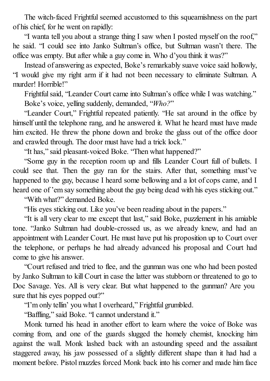The witch-faced Frightful seemed accustomed to this squeamishness on the part of his chief, for he went on rapidly:

"I wanta tell you about a strange thing I saw when I posted myself on the roof," he said. "I could see into Janko Sultman's office, but Sultman wasn't there. The office was empty. But after while a guy come in. Who d'you think it was?"

Instead of answering as expected, Boke's remarkably suave voice said hollowly, "I would give my right arm if it had not been necessary to eliminate Sultman. A murder! Horrible!"

Frightfulsaid, "Leander Court came into Sultman's office while I was watching." Boke's voice, yelling suddenly, demanded, "*Who?*"

"Leander Court," Frightful repeated patiently. "He sat around in the office by himself until the telephone rang, and he answered it. What he heard must have made him excited. He threw the phone down and broke the glass out of the office door and crawled through. The door must have had a trick lock."

"It has," said pleasant-voiced Boke. "Then what happened?"

"Some guy in the reception room up and fills Leander Court full of bullets. I could see that. Then the guy ran for the stairs. After that, something must've happened to the guy, because I heard some bellowing and a lot of cops came, and I heard one of 'em say something about the guy being dead with his eyes sticking out."

"With what?" demanded Boke.

"His eyes sticking out. Like you've been reading about in the papers."

"It is all very clear to me except that last," said Boke, puzzlement in his amiable tone. "Janko Sultman had double-crossed us, as we already knew, and had an appointment with Leander Court. He must have put his proposition up to Court over the telephone, or perhaps he had already advanced his proposal and Court had come to give his answer.

"Court refused and tried to flee, and the gunman was one who had been posted by Janko Sultman to kill Court in case the latter was stubborn or threatened to go to Doc Savage. Yes. All is very clear. But what happened to the gunman? Are you sure that his eyes popped out?"

"I'm only tellin' you what I overheard," Frightful grumbled.

"Baffling," said Boke. "I cannot understand it."

Monk turned his head in another effort to learn where the voice of Boke was coming from, and one of the guards slugged the homely chemist, knocking him against the wall. Monk lashed back with an astounding speed and the assailant staggered away, his jaw possessed of a slightly different shape than it had had a moment before. Pistol muzzles forced Monk back into his corner and made him face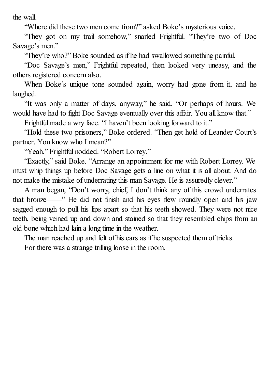the wall.

"Where did these two men come from?" asked Boke's mysterious voice.

"They got on my trail somehow," snarled Frightful. "They're two of Doc Savage's men."

"They're who?" Boke sounded as if he had swallowed something painful.

"Doc Savage's men," Frightful repeated, then looked very uneasy, and the others registered concern also.

When Boke's unique tone sounded again, worry had gone from it, and he laughed.

"It was only a matter of days, anyway," he said. "Or perhaps of hours. We would have had to fight Doc Savage eventually over this affair. You all know that."

Frightful made a wry face. "I haven't been looking forward to it."

"Hold these two prisoners," Boke ordered. "Then get hold of Leander Court's partner. You know who I mean?"

"Yeah." Frightful nodded. "Robert Lorrey."

"Exactly," said Boke. "Arrange an appointment for me with Robert Lorrey. We must whip things up before Doc Savage gets a line on what it is all about. And do not make the mistake of underrating this man Savage. He is assuredly clever."

A man began, "Don't worry, chief, I don't think any of this crowd underrates that bronze——" He did not finish and his eyes flew roundly open and his jaw sagged enough to pull his lips apart so that his teeth showed. They were not nice teeth, being veined up and down and stained so that they resembled chips from an old bone which had lain a long time in the weather.

The man reached up and felt of his ears as if he suspected them of tricks.

For there was a strange trilling loose in the room.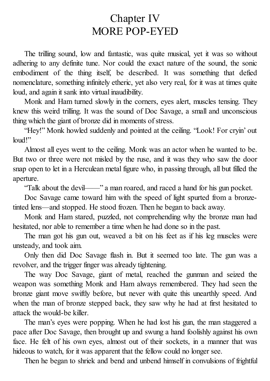## Chapter IV MORE POP-EYED

The trilling sound, low and fantastic, was quite musical, yet it was so without adhering to any definite tune. Nor could the exact nature of the sound, the sonic embodiment of the thing itself, be described. It was something that defied nomenclature, something infinitely etheric, yet also very real, for it was at times quite loud, and again it sank into virtual inaudibility.

Monk and Ham turned slowly in the corners, eyes alert, muscles tensing. They knew this weird trilling. It was the sound of Doc Savage, a small and unconscious thing which the giant of bronze did in moments of stress.

"Hey!" Monk howled suddenly and pointed at the ceiling. "Look! For cryin' out loud!"

Almost all eyes went to the ceiling. Monk was an actor when he wanted to be. But two or three were not misled by the ruse, and it was they who saw the door snap open to let in a Herculean metal figure who, in passing through, all but filled the aperture.

"Talk about the devil——" a man roared, and raced a hand for his gun pocket.

Doc Savage came toward him with the speed of light spurted from a bronzetinted lens—and stopped. He stood frozen. Then he began to back away.

Monk and Ham stared, puzzled, not comprehending why the bronze man had hesitated, nor able to remember a time when he had done so in the past.

The man got his gun out, weaved a bit on his feet as if his leg muscles were unsteady, and took aim.

Only then did Doc Savage flash in. But it seemed too late. The gun was a revolver, and the trigger finger was already tightening.

The way Doc Savage, giant of metal, reached the gunman and seized the weapon was something Monk and Ham always remembered. They had seen the bronze giant move swiftly before, but never with quite this unearthly speed. And when the man of bronze stepped back, they saw why he had at first hesitated to attack the would-be killer.

The man's eyes were popping. When he had lost his gun, the man staggered a pace after Doc Savage, then brought up and swung a hand foolishly against his own face. He felt of his own eyes, almost out of their sockets, in a manner that was hideous to watch, for it was apparent that the fellow could no longer see.

Then he began to shriek and bend and unbend himself in convulsions of frightful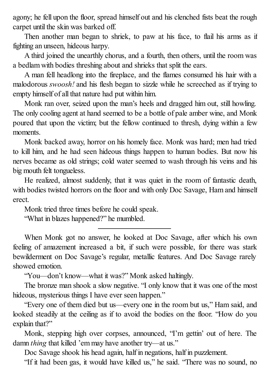agony; he fell upon the floor, spread himself out and his clenched fists beat the rough carpet until the skin was barked off.

Then another man began to shriek, to paw at his face, to flail his arms as if fighting an unseen, hideous harpy.

A third joined the unearthly chorus, and a fourth, then others, until the room was a bedlam with bodies threshing about and shrieks that split the ears.

A man fell headlong into the fireplace, and the flames consumed his hair with a malodorous *swoosh!* and his flesh began to sizzle while he screeched as if trying to empty himself of all that nature had put within him.

Monk ran over, seized upon the man's heels and dragged him out, still howling. The only cooling agent at hand seemed to be a bottle of pale amber wine, and Monk poured that upon the victim; but the fellow continued to thresh, dying within a few moments.

Monk backed away, horror on his homely face. Monk was hard; men had tried to kill him, and he had seen hideous things happen to human bodies. But now his nerves became as old strings; cold water seemed to wash through his veins and his big mouth felt tongueless.

He realized, almost suddenly, that it was quiet in the room of fantastic death, with bodies twisted horrors on the floor and with only Doc Savage, Ham and himself erect.

Monk tried three times before he could speak.

"What in blazes happened?" he mumbled.

When Monk got no answer, he looked at Doc Savage, after which his own feeling of amazement increased a bit, if such were possible, for there was stark bewilderment on Doc Savage's regular, metallic features. And Doc Savage rarely showed emotion.

"You—don't know—what it was?" Monk asked haltingly.

The bronze man shook a slow negative. "I only know that it was one of the most hideous, mysterious things I have ever seen happen."

"Every one of them died but us—every one in the room but us," Ham said, and looked steadily at the ceiling as if to avoid the bodies on the floor. "How do you explain that?"

Monk, stepping high over corpses, announced, "I'm gettin' out of here. The damn *thing* that killed 'em may have another try—at us."

Doc Savage shook his head again, half in negations, half in puzzlement.

"If it had been gas, it would have killed us," he said. "There was no sound, no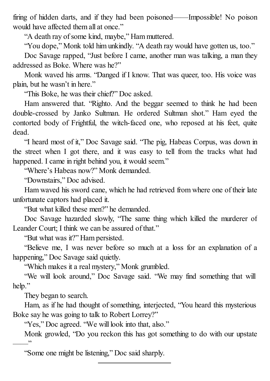firing of hidden darts, and if they had been poisoned——Impossible! No poison would have affected them all at once."

"A death ray of some kind, maybe," Ham muttered.

"You dope," Monk told him unkindly. "A death ray would have gotten us, too."

Doc Savage rapped, "Just before I came, another man was talking, a man they addressed as Boke. Where was he?"

Monk waved his arms. "Danged if I know. That was queer, too. His voice was plain, but he wasn't in here."

"This Boke, he was their chief?" Doc asked.

Ham answered that. "Righto. And the beggar seemed to think he had been double-crossed by Janko Sultman. He ordered Sultman shot." Ham eyed the contorted body of Frightful, the witch-faced one, who reposed at his feet, quite dead.

"I heard most of it," Doc Savage said. "The pig, Habeas Corpus, was down in the street when I got there, and it was easy to tell from the tracks what had happened. I came in right behind you, it would seem."

"Where's Habeas now?" Monk demanded.

"Downstairs," Doc advised.

Ham waved his sword cane, which he had retrieved from where one of their late unfortunate captors had placed it.

"But what killed these men?" he demanded.

Doc Savage hazarded slowly, "The same thing which killed the murderer of Leander Court; I think we can be assured of that."

"But what was it?" Ham persisted.

"Believe me, I was never before so much at a loss for an explanation of a happening," Doc Savage said quietly.

"Which makes it a real mystery," Monk grumbled.

"We will look around," Doc Savage said. "We may find something that will help."

They began to search.

Ham, as if he had thought of something, interjected, "You heard this mysterious Boke say he was going to talk to Robert Lorrey?"

"Yes," Doc agreed. "We will look into that, also."

Monk growled, "Do you reckon this has got something to do with our upstate ——"

"Some one might be listening," Doc said sharply.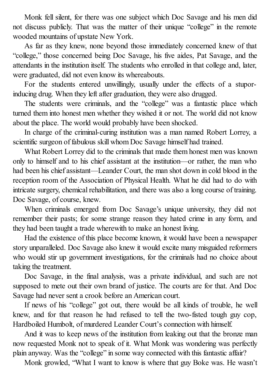Monk fell silent, for there was one subject which Doc Savage and his men did not discuss publicly. That was the matter of their unique "college" in the remote wooded mountains of upstate New York.

As far as they knew, none beyond those immediately concerned knew of that "college," those concerned being Doc Savage, his five aides, Pat Savage, and the attendants in the institution itself. The students who enrolled in that college and, later, were graduated, did not even know its whereabouts.

For the students entered unwillingly, usually under the effects of a stuporinducing drug. When they left after graduation, they were also drugged.

The students were criminals, and the "college" was a fantastic place which turned them into honest men whether they wished it or not. The world did not know about the place. The world would probably have been shocked.

In charge of the criminal-curing institution was a man named Robert Lorrey, a scientific surgeon of fabulous skill whom Doc Savage himself had trained.

What Robert Lorrey did to the criminals that made them honest men was known only to himself and to his chief assistant at the institution—or rather, the man who had been his chief assistant—Leander Court, the man shot down in cold blood in the reception room of the Association of Physical Health. What he did had to do with intricate surgery, chemical rehabilitation, and there was also a long course of training. Doc Savage, of course, knew.

When criminals emerged from Doc Savage's unique university, they did not remember their pasts; for some strange reason they hated crime in any form, and they had been taught a trade wherewith to make an honest living.

Had the existence of this place become known, it would have been a newspaper story unparalleled. Doc Savage also knew it would excite many misguided reformers who would stir up government investigations, for the criminals had no choice about taking the treatment.

Doc Savage, in the final analysis, was a private individual, and such are not supposed to mete out their own brand of justice. The courts are for that. And Doc Savage had never sent a crook before an American court.

If news of his "college" got out, there would be all kinds of trouble, he well knew, and for that reason he had refused to tell the two-fisted tough guy cop, Hardboiled Humbolt, of murdered Leander Court's connection with himself.

And it was to keep news of the institution from leaking out that the bronze man now requested Monk not to speak of it. What Monk was wondering was perfectly plain anyway. Was the "college" in some way connected with this fantastic affair?

Monk growled, "What I want to know is where that guy Boke was. He wasn't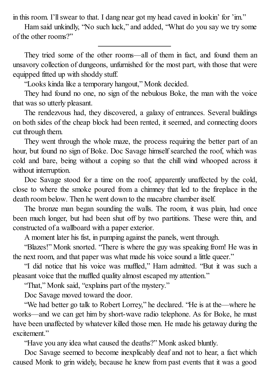in this room. I'll swear to that. I dang near got my head caved in lookin' for 'im."

Ham said unkindly, "No such luck," and added, "What do you say we try some of the other rooms?"

They tried some of the other rooms—all of them in fact, and found them an unsavory collection of dungeons, unfurnished for the most part, with those that were equipped fitted up with shoddy stuff.

"Looks kinda like a temporary hangout," Monk decided.

They had found no one, no sign of the nebulous Boke, the man with the voice that was so utterly pleasant.

The rendezvous had, they discovered, a galaxy of entrances. Several buildings on both sides of the cheap block had been rented, it seemed, and connecting doors cut through them.

They went through the whole maze, the process requiring the better part of an hour, but found no sign of Boke. Doc Savage himself searched the roof, which was cold and bare, being without a coping so that the chill wind whooped across it without interruption.

Doc Savage stood for a time on the roof, apparently unaffected by the cold, close to where the smoke poured from a chimney that led to the fireplace in the death room below. Then he went down to the macabre chamber itself.

The bronze man began sounding the walls. The room, it was plain, had once been much longer, but had been shut off by two partitions. These were thin, and constructed of a wallboard with a paper exterior.

A moment later his fist, in pumping against the panels, went through.

"Blazes!" Monk snorted. "There is where the guy was speaking from! He was in the next room, and that paper was what made his voice sound a little queer."

"I did notice that his voice was muffled," Ham admitted. "But it was such a pleasant voice that the muffled quality almost escaped my attention."

"That," Monk said, "explains part of the mystery."

Doc Savage moved toward the door.

"We had better go talk to Robert Lorrey," he declared. "He is at the—where he works—and we can get him by short-wave radio telephone. As for Boke, he must have been unaffected by whatever killed those men. He made his getaway during the excitement."

"Have you any idea what caused the deaths?" Monk asked bluntly.

Doc Savage seemed to become inexplicably deaf and not to hear, a fact which caused Monk to grin widely, because he knew from past events that it was a good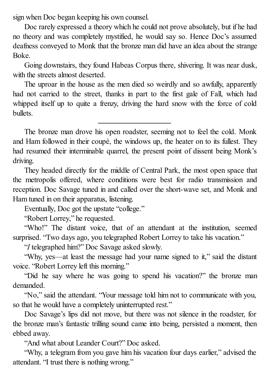sign when Doc began keeping his own counsel.

Doc rarely expressed a theory which he could not prove absolutely, but if he had no theory and was completely mystified, he would say so. Hence Doc's assumed deafness conveyed to Monk that the bronze man did have an idea about the strange Boke.

Going downstairs, they found Habeas Corpus there, shivering. It was near dusk, with the streets almost deserted.

The uproar in the house as the men died so weirdly and so awfully, apparently had not carried to the street, thanks in part to the first gale of Fall, which had whipped itself up to quite a frenzy, driving the hard snow with the force of cold bullets.

The bronze man drove his open roadster, seeming not to feel the cold. Monk and Ham followed in their coupé, the windows up, the heater on to its fullest. They had resumed their interminable quarrel, the present point of dissent being Monk's driving.

They headed directly for the middle of Central Park, the most open space that the metropolis offered, where conditions were best for radio transmission and reception. Doc Savage tuned in and called over the short-wave set, and Monk and Ham tuned in on their apparatus, listening.

Eventually, Doc got the upstate "college."

"Robert Lorrey," he requested.

"Who!" The distant voice, that of an attendant at the institution, seemed surprised. "Two days ago, you telegraphed Robert Lorrey to take his vacation."

"*I* telegraphed him?" Doc Savage asked slowly.

"Why, yes—at least the message had your name signed to it," said the distant voice. "Robert Lorrey left this morning."

"Did he say where he was going to spend his vacation?" the bronze man demanded.

"No," said the attendant. "Your message told him not to communicate with you, so that he would have a completely uninterrupted rest."

Doc Savage's lips did not move, but there was not silence in the roadster, for the bronze man's fantastic trilling sound came into being, persisted a moment, then ebbed away.

"And what about Leander Court?" Doc asked.

"Why, a telegram from you gave him his vacation four days earlier," advised the attendant. "I trust there is nothing wrong."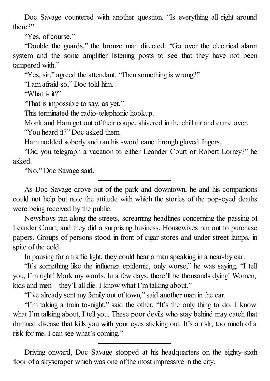Doc Savage countered with another question. "Is everything all right around there?"

"Yes, of course."

"Double the guards," the bronze man directed. "Go over the electrical alarm system and the sonic amplifier listening posts to see that they have not been tampered with."

"Yes, sir," agreed the attendant. "Then something is wrong?"

"I am afraid so," Doc told him.

"What is it?"

"That is impossible to say, as yet."

This terminated the radio-telephonic hookup.

Monk and Ham got out of their coupé, shivered in the chill air and came over.

"You heard it?" Doc asked them.

Ham nodded soberly and ran his sword cane through gloved fingers.

"Did you telegraph a vacation to either Leander Court or Robert Lorrey?" he asked.

"No," Doc Savage said.

As Doc Savage drove out of the park and downtown, he and his companions could not help but note the attitude with which the stories of the pop-eyed deaths were being received by the public.

Newsboys ran along the streets, screaming headlines concerning the passing of Leander Court, and they did a surprising business. Housewives ran out to purchase papers. Groups of persons stood in front of cigar stores and under street lamps, in spite of the cold.

In pausing for a traffic light, they could hear a man speaking in a near-by car.

"It's something like the influenza epidemic, only worse," he was saying. "I tell you, I'm right! Mark my words. In a few days, there'll be thousands dying! Women, kids and men—they'll all die. I know what I'm talking about."

"I've already sent my family out of town," said another man in the car.

"I'm taking a train to-night," said the other. "It's the only thing to do. I know what I'm talking about, I tell you. These poor devils who stay behind may catch that damned disease that kills you with your eyes sticking out. It's a risk, too much of a risk for me. I can see what's coming."

Driving onward, Doc Savage stopped at his headquarters on the eighty-sixth floor of a skyscraper which was one of the most impressive in the city.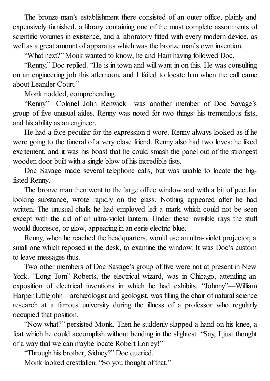The bronze man's establishment there consisted of an outer office, plainly and expensively furnished, a library containing one of the most complete assortments of scientific volumes in existence, and a laboratory fitted with every modern device, as well as a great amount of apparatus which was the bronze man's own invention.

"What next?" Monk wanted to know, he and Ham having followed Doc.

"Renny," Doc replied. "He is in town and will want in on this. He was consulting on an engineering job this afternoon, and I failed to locate him when the call came about Leander Court."

Monk nodded, comprehending.

"Renny"—Colonel John Renwick—was another member of Doc Savage's group of five unusual aides. Renny was noted for two things: his tremendous fists, and his ability as an engineer.

He had a face peculiar for the expression it wore. Renny always looked as if he were going to the funeral of a very close friend. Renny also had two loves: he liked excitement, and it was his boast that he could smash the panel out of the strongest wooden door built with a single blow of his incredible fists.

Doc Savage made several telephone calls, but was unable to locate the bigfisted Renny.

The bronze man then went to the large office window and with a bit of peculiar looking substance, wrote rapidly on the glass. Nothing appeared after he had written. The unusual chalk he had employed left a mark which could not be seen except with the aid of an ultra-violet lantern. Under these invisible rays the stuff would fluoresce, or glow, appearing in an eerie electric blue.

Renny, when he reached the headquarters, would use an ultra-violet projector, a small one which reposed in the desk, to examine the window. It was Doc's custom to leave messages thus.

Two other members of Doc Savage's group of five were not at present in New York. "Long Tom" Roberts, the electrical wizard, was in Chicago, attending an exposition of electrical inventions in which he had exhibits. "Johnny"—William Harper Littlejohn—archæologist and geologist, was filling the chair of natural science research at a famous university during the illness of a professor who regularly occupied that position.

"Now what?" persisted Monk. Then he suddenly slapped a hand on his knee, a feat which he could accomplish without bending in the slightest. "Say, I just thought of a way that we can maybe locate Robert Lorrey!"

"Through his brother, Sidney?" Doc queried.

Monk looked crestfallen. "So you thought of that."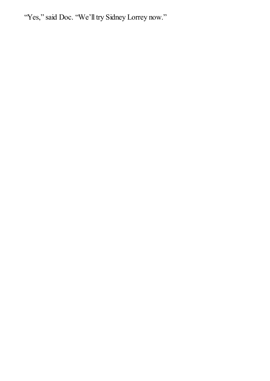"Yes," said Doc. "We'll try Sidney Lorrey now."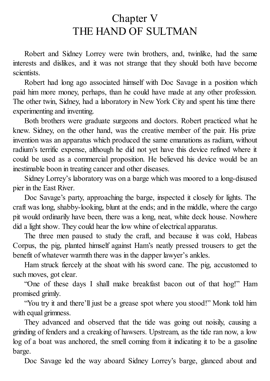# Chapter V THE HAND OF SULTMAN

Robert and Sidney Lorrey were twin brothers, and, twinlike, had the same interests and dislikes, and it was not strange that they should both have become scientists.

Robert had long ago associated himself with Doc Savage in a position which paid him more money, perhaps, than he could have made at any other profession. The other twin, Sidney, had a laboratory in New York City and spent his time there experimenting and inventing.

Both brothers were graduate surgeons and doctors. Robert practiced what he knew. Sidney, on the other hand, was the creative member of the pair. His prize invention was an apparatus which produced the same emanations as radium, without radium's terrific expense, although he did not yet have this device refined where it could be used as a commercial proposition. He believed his device would be an inestimable boon in treating cancer and other diseases.

Sidney Lorrey's laboratory was on a barge which was moored to a long-disused pier in the East River.

Doc Savage's party, approaching the barge, inspected it closely for lights. The craft was long, shabby-looking, blunt at the ends; and in the middle, where the cargo pit would ordinarily have been, there was a long, neat, white deck house. Nowhere did a light show. They could hear the low whine of electrical apparatus.

The three men paused to study the craft, and because it was cold, Habeas Corpus, the pig, planted himself against Ham's neatly pressed trousers to get the benefit of whatever warmth there was in the dapper lawyer's ankles.

Ham struck fiercely at the shoat with his sword cane. The pig, accustomed to such moves, got clear.

"One of these days I shall make breakfast bacon out of that hog!" Ham promised grimly.

"You try it and there'll just be a grease spot where you stood!" Monk told him with equal grimness.

They advanced and observed that the tide was going out noisily, causing a grinding of fenders and a creaking of hawsers. Upstream, as the tide ran now, a low log of a boat was anchored, the smell coming from it indicating it to be a gasoline barge.

Doc Savage led the way aboard Sidney Lorrey's barge, glanced about and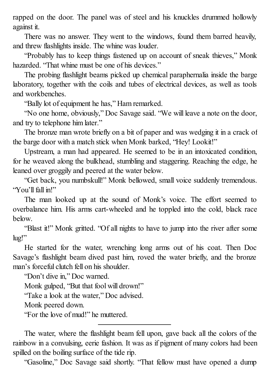rapped on the door. The panel was of steel and his knuckles drummed hollowly against it.

There was no answer. They went to the windows, found them barred heavily, and threw flashlights inside. The whine was louder.

"Probably has to keep things fastened up on account of sneak thieves," Monk hazarded. "That whine must be one of his devices."

The probing flashlight beams picked up chemical paraphernalia inside the barge laboratory, together with the coils and tubes of electrical devices, as well as tools and workbenches.

"Bally lot of equipment he has," Ham remarked.

"No one home, obviously," Doc Savage said. "We will leave a note on the door, and try to telephone him later."

The bronze man wrote briefly on a bit of paper and was wedging it in a crack of the barge door with a match stick when Monk barked, "Hey! Lookit!"

Upstream, a man had appeared. He seemed to be in an intoxicated condition, for he weaved along the bulkhead, stumbling and staggering. Reaching the edge, he leaned over groggily and peered at the water below.

"Get back, you numbskull!" Monk bellowed, small voice suddenly tremendous. "You'll fall in!"

The man looked up at the sound of Monk's voice. The effort seemed to overbalance him. His arms cart-wheeled and he toppled into the cold, black race below.

"Blast it!" Monk gritted. "Of all nights to have to jump into the river after some lug!"

He started for the water, wrenching long arms out of his coat. Then Doc Savage's flashlight beam dived past him, roved the water briefly, and the bronze man's forceful clutch fell on his shoulder.

"Don't dive in," Doc warned.

Monk gulped, "But that fool will drown!"

"Take a look at the water," Doc advised.

Monk peered down.

"For the love of mud!" he muttered.

The water, where the flashlight beam fell upon, gave back all the colors of the rainbow in a convulsing, eerie fashion. It was as if pigment of many colors had been spilled on the boiling surface of the tide rip.

"Gasoline," Doc Savage said shortly. "That fellow must have opened a dump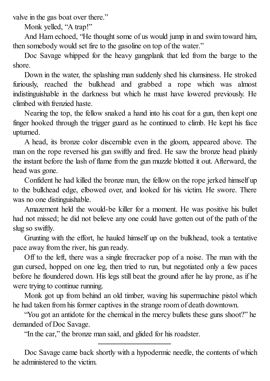valve in the gas boat over there."

Monk yelled, "A trap!"

And Ham echoed, "He thought some of us would jump in and swim toward him, then somebody would set fire to the gasoline on top of the water."

Doc Savage whipped for the heavy gangplank that led from the barge to the shore.

Down in the water, the splashing man suddenly shed his clumsiness. He stroked furiously, reached the bulkhead and grabbed a rope which was almost indistinguishable in the darkness but which he must have lowered previously. He climbed with frenzied haste.

Nearing the top, the fellow snaked a hand into his coat for a gun, then kept one finger hooked through the trigger guard as he continued to climb. He kept his face upturned.

A head, its bronze color discernible even in the gloom, appeared above. The man on the rope reversed his gun swiftly and fired. He saw the bronze head plainly the instant before the lash of flame from the gun muzzle blotted it out. Afterward, the head was gone.

Confident he had killed the bronze man, the fellow on the rope jerked himself up to the bulkhead edge, elbowed over, and looked for his victim. He swore. There was no one distinguishable.

Amazement held the would-be killer for a moment. He was positive his bullet had not missed; he did not believe any one could have gotten out of the path of the slug so swiftly.

Grunting with the effort, he hauled himself up on the bulkhead, took a tentative pace away from the river, his gun ready.

Off to the left, there was a single firecracker pop of a noise. The man with the gun cursed, hopped on one leg, then tried to run, but negotiated only a few paces before he floundered down. His legs still beat the ground after he lay prone, as if he were trying to continue running.

Monk got up from behind an old timber, waving his supermachine pistol which he had taken from his former captives in the strange room of death downtown.

"You got an antidote for the chemical in the mercy bullets these guns shoot?" he demanded of Doc Savage.

"In the car," the bronze man said, and glided for his roadster.

Doc Savage came back shortly with a hypodermic needle, the contents of which he administered to the victim.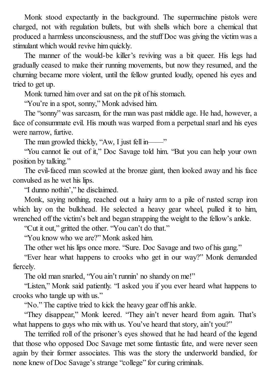Monk stood expectantly in the background. The supermachine pistols were charged, not with regulation bullets, but with shells which bore a chemical that produced a harmless unconsciousness, and the stuff Doc was giving the victim was a stimulant which would revive him quickly.

The manner of the would-be killer's reviving was a bit queer. His legs had gradually ceased to make their running movements, but now they resumed, and the churning became more violent, until the fellow grunted loudly, opened his eyes and tried to get up.

Monk turned him over and sat on the pit of his stomach.

"You're in a spot, sonny," Monk advised him.

The "sonny" was sarcasm, for the man was past middle age. He had, however, a face of consummate evil. His mouth was warped from a perpetual snarl and his eyes were narrow, furtive.

The man growled thickly, "Aw, I just fell in——"

"You cannot lie out of it," Doc Savage told him. "But you can help your own position by talking."

The evil-faced man scowled at the bronze giant, then looked away and his face convulsed as he wet his lips.

"I dunno nothin'," he disclaimed.

Monk, saying nothing, reached out a hairy arm to a pile of rusted scrap iron which lay on the bulkhead. He selected a heavy gear wheel, pulled it to him, wrenched off the victim's belt and began strapping the weight to the fellow's ankle.

"Cut it out," gritted the other. "You can't do that."

"You know who we are?" Monk asked him.

The other wet his lips once more. "Sure. Doc Savage and two of his gang."

"Ever hear what happens to crooks who get in our way?" Monk demanded fiercely.

The old man snarled, "You ain't runnin' no shandy on me!"

"Listen," Monk said patiently. "I asked you if you ever heard what happens to crooks who tangle up with us."

"No." The captive tried to kick the heavy gear off his ankle.

"They disappear," Monk leered. "They ain't never heard from again. That's what happens to guys who mix with us. You've heard that story, ain't you?"

The terrified roll of the prisoner's eyes showed that he had heard of the legend that those who opposed Doc Savage met some fantastic fate, and were never seen again by their former associates. This was the story the underworld bandied, for none knew of Doc Savage's strange "college" for curing criminals.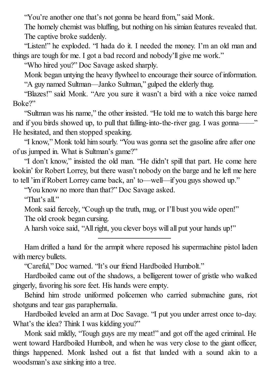"You're another one that's not gonna be heard from," said Monk.

The homely chemist was bluffing, but nothing on his simian features revealed that. The captive broke suddenly.

"Listen!" he exploded. "I hada do it. I needed the money. I'm an old man and things are tough for me. I got a bad record and nobody'll give me work."

"Who hired you?" Doc Savage asked sharply.

Monk began untying the heavy flywheel to encourage their source of information. "A guy named Sultman—Janko Sultman," gulped the elderly thug.

"Blazes!" said Monk. "Are you sure it wasn't a bird with a nice voice named Boke?"

"Sultman was his name," the other insisted. "He told me to watch this barge here and if you birds showed up, to pull that falling-into-the-river gag. I was gonna——" He hesitated, and then stopped speaking.

"I know," Monk told him sourly. "You was gonna set the gasoline afire after one of us jumped in. What is Sultman's game?"

"I don't know," insisted the old man. "He didn't spill that part. He come here lookin' for Robert Lorrey, but there wasn't nobody on the barge and he left me here to tell'im if Robert Lorrey came back, an' to—well—if you guys showed up."

"You know no more than that?" Doc Savage asked.

"That's all."

Monk said fiercely, "Cough up the truth, mug, or I'll bust you wide open!"

The old crook began cursing.

A harsh voice said, "Allright, you clever boys will all put your hands up!"

Ham drifted a hand for the armpit where reposed his supermachine pistol laden with mercy bullets.

"Careful," Doc warned. "It's our friend Hardboiled Humbolt."

Hardboiled came out of the shadows, a belligerent tower of gristle who walked gingerly, favoring his sore feet. His hands were empty.

Behind him strode uniformed policemen who carried submachine guns, riot shotguns and tear gas paraphernalia.

Hardboiled leveled an arm at Doc Savage. "I put you under arrest once to-day. What's the idea? Think I was kidding you?"

Monk said mildly, "Tough guys are my meat!" and got off the aged criminal. He went toward Hardboiled Humbolt, and when he was very close to the giant officer, things happened. Monk lashed out a fist that landed with a sound akin to a woodsman's axe sinking into a tree.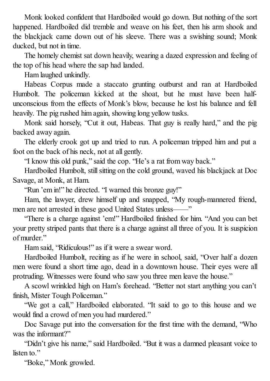Monk looked confident that Hardboiled would go down. But nothing of the sort happened. Hardboiled did tremble and weave on his feet, then his arm shook and the blackjack came down out of his sleeve. There was a swishing sound; Monk ducked, but not in time.

The homely chemist sat down heavily, wearing a dazed expression and feeling of the top of his head where the sap had landed.

Ham laughed unkindly.

Habeas Corpus made a staccato grunting outburst and ran at Hardboiled Humbolt. The policeman kicked at the shoat, but he must have been halfunconscious from the effects of Monk's blow, because he lost his balance and fell heavily. The pig rushed him again, showing long yellow tusks.

Monk said horsely, "Cut it out, Habeas. That guy is really hard," and the pig backed away again.

The elderly crook got up and tried to run. A policeman tripped him and put a foot on the back of his neck, not at all gently.

"I know this old punk," said the cop. "He's a rat from way back."

Hardboiled Humbolt, still sitting on the cold ground, waved his blackjack at Doc Savage, at Monk, at Ham.

"Run 'em in!" he directed. "I warned this bronze guy!"

Ham, the lawyer, drew himself up and snapped, "My rough-mannered friend, men are not arrested in these good United States unless——"

"There is a charge against 'em!" Hardboiled finished for him. "And you can bet your pretty striped pants that there is a charge against all three of you. It is suspicion of murder."

Ham said, "Ridiculous!" as if it were a swear word.

Hardboiled Humbolt, reciting as if he were in school, said, "Over half a dozen men were found a short time ago, dead in a downtown house. Their eyes were all protruding. Witnesses were found who saw you three men leave the house."

A scowl wrinkled high on Ham's forehead. "Better not start anything you can't finish, Mister Tough Policeman."

"We got a call," Hardboiled elaborated. "It said to go to this house and we would find a crowd of men you had murdered."

Doc Savage put into the conversation for the first time with the demand, "Who was the informant?"

"Didn't give his name," said Hardboiled. "But it was a damned pleasant voice to listen to."

"Boke," Monk growled.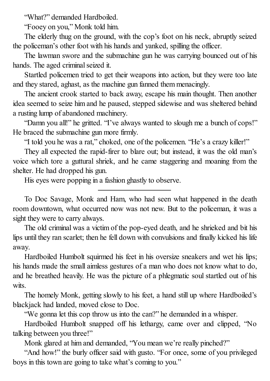"What?" demanded Hardboiled.

"Fooey on you," Monk told him.

The elderly thug on the ground, with the cop's foot on his neck, abruptly seized the policeman's other foot with his hands and yanked, spilling the officer.

The lawman swore and the submachine gun he was carrying bounced out of his hands. The aged criminal seized it.

Startled policemen tried to get their weapons into action, but they were too late and they stared, aghast, as the machine gun fanned them menacingly.

The ancient crook started to back away, escape his main thought. Then another idea seemed to seize him and he paused, stepped sidewise and was sheltered behind a rusting lump of abandoned machinery.

"Damn you all!" he gritted. "I've always wanted to slough me a bunch of cops!" He braced the submachine gun more firmly.

"I told you he was a rat," choked, one of the policemen. "He's a crazy killer!"

They all expected the rapid-firer to blare out; but instead, it was the old man's voice which tore a guttural shriek, and he came staggering and moaning from the shelter. He had dropped his gun.

His eyes were popping in a fashion ghastly to observe.

To Doc Savage, Monk and Ham, who had seen what happened in the death room downtown, what occurred now was not new. But to the policeman, it was a sight they were to carry always.

The old criminal was a victim of the pop-eyed death, and he shrieked and bit his lips until they ran scarlet; then he fell down with convulsions and finally kicked his life away.

Hardboiled Humbolt squirmed his feet in his oversize sneakers and wet his lips; his hands made the small aimless gestures of a man who does not know what to do, and he breathed heavily. He was the picture of a phlegmatic soul startled out of his wits.

The homely Monk, getting slowly to his feet, a hand still up where Hardboiled's blackjack had landed, moved close to Doc.

"We gonna let this cop throw us into the can?" he demanded in a whisper.

Hardboiled Humbolt snapped off his lethargy, came over and clipped, "No talking between you three!"

Monk glared at him and demanded, "You mean we're really pinched?"

"And how!" the burly officer said with gusto. "For once, some of you privileged boys in this town are going to take what's coming to you."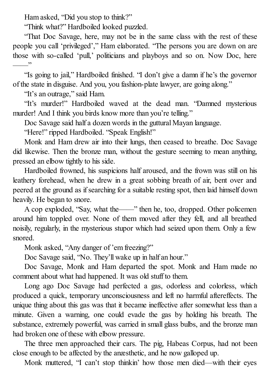Ham asked, "Did you stop to think?"

"Think what?" Hardboiled looked puzzled.

"That Doc Savage, here, may not be in the same class with the rest of these people you call 'privileged'," Ham elaborated. "The persons you are down on are those with so-called 'pull,' politicians and playboys and so on. Now Doc, here ——"<br>——"

"Is going to jail," Hardboiled finished. "I don't give a damn if he's the governor of the state in disguise. And you, you fashion-plate lawyer, are going along."

"It's an outrage," said Ham.

"It's murder!" Hardboiled waved at the dead man. "Damned mysterious murder! And I think you birds know more than you're telling."

Doc Savage said half a dozen words in the guttural Mayan language.

"Here!" ripped Hardboiled. "Speak English!"

Monk and Ham drew air into their lungs, then ceased to breathe. Doc Savage did likewise. Then the bronze man, without the gesture seeming to mean anything, pressed an elbow tightly to his side.

Hardboiled frowned, his suspicions half aroused, and the frown was still on his leathery forehead, when he drew in a great sobbing breath of air, bent over and peered at the ground as ifsearching for a suitable resting spot, then laid himself down heavily. He began to snore.

A cop exploded, "Say, what the——" then he, too, dropped. Other policemen around him toppled over. None of them moved after they fell, and all breathed noisily, regularly, in the mysterious stupor which had seized upon them. Only a few snored.

Monk asked, "Any danger of 'em freezing?"

Doc Savage said, "No. They'll wake up in half an hour."

Doc Savage, Monk and Ham departed the spot. Monk and Ham made no comment about what had happened. It was old stuff to them.

Long ago Doc Savage had perfected a gas, odorless and colorless, which produced a quick, temporary unconsciousness and left no harmful aftereffects. The unique thing about this gas was that it became ineffective after somewhat less than a minute. Given a warning, one could evade the gas by holding his breath. The substance, extremely powerful, was carried in small glass bulbs, and the bronze man had broken one of these with elbow pressure.

The three men approached their cars. The pig, Habeas Corpus, had not been close enough to be affected by the anæsthetic, and he now galloped up.

Monk muttered, "I can't stop thinkin' how those men died—with their eyes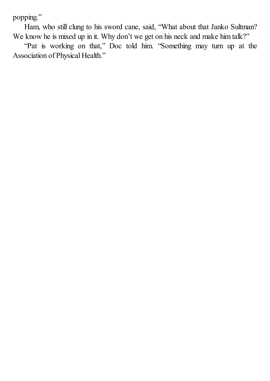popping."

Ham, who still clung to his sword cane, said, "What about that Janko Sultman? We know he is mixed up in it. Why don't we get on his neck and make him talk?"

"Pat is working on that," Doc told him. "Something may turn up at the Association of Physical Health."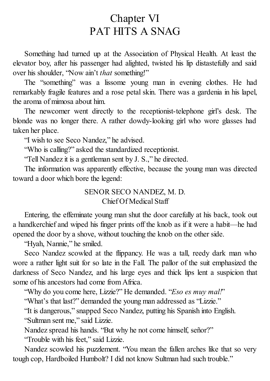# Chapter VI PAT HITS A SNAG

Something had turned up at the Association of Physical Health. At least the elevator boy, after his passenger had alighted, twisted his lip distastefully and said over his shoulder, "Now ain't *that* something!"

The "something" was a lissome young man in evening clothes. He had remarkably fragile features and a rose petal skin. There was a gardenia in his lapel, the aroma of mimosa about him.

The newcomer went directly to the receptionist-telephone girl's desk. The blonde was no longer there. A rather dowdy-looking girl who wore glasses had taken her place.

"I wish to see Seco Nandez," he advised.

"Who is calling?" asked the standardized receptionist.

"Tell Nandez it is a gentleman sent by J. S.," he directed.

The information was apparently effective, because the young man was directed toward a door which bore the legend:

#### SENOR SECO NANDEZ, M. D. Chief Of Medical Staff

Entering, the effeminate young man shut the door carefully at his back, took out a handkerchief and wiped his finger prints off the knob as if it were a habit—he had opened the door by a shove, without touching the knob on the other side.

"Hyah, Nannie," he smiled.

Seco Nandez scowled at the flippancy. He was a tall, reedy dark man who wore a rather light suit for so late in the Fall. The pallor of the suit emphasized the darkness of Seco Nandez, and his large eyes and thick lips lent a suspicion that some of his ancestors had come from Africa.

"Why do you come here, Lizzie?" He demanded. "*Eso es muy mal!*"

"What's that last?" demanded the young man addressed as "Lizzie."

"It is dangerous," snapped Seco Nandez, putting his Spanish into English.

"Sultman sent me," said Lizzie.

Nandez spread his hands. "But why he not come himself, señor?"

"Trouble with his feet," said Lizzie.

Nandez scowled his puzzlement. "You mean the fallen arches like that so very tough cop, Hardboiled Humbolt? I did not know Sultman had such trouble."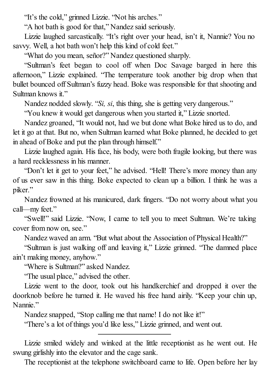"It's the cold," grinned Lizzie. "Not his arches."

"A hot bath is good for that," Nandez said seriously.

Lizzie laughed sarcastically. "It's right over your head, isn't it, Nannie? You no savvy. Well, a hot bath won't help this kind of cold feet."

"What do you mean, señor?" Nandez questioned sharply.

"Sultman's feet began to cool off when Doc Savage barged in here this afternoon," Lizzie explained. "The temperature took another big drop when that bullet bounced off Sultman's fuzzy head. Boke was responsible for that shooting and Sultman knows it."

Nandez nodded slowly. "*Si, si*, this thing, she is getting very dangerous."

"You knew it would get dangerous when you started it," Lizzie snorted.

Nandez groaned, "It would not, had we but done what Boke hired us to do, and let it go at that. But no, when Sultman learned what Boke planned, he decided to get in ahead of Boke and put the plan through himself."

Lizzie laughed again. His face, his body, were both fragile looking, but there was a hard recklessness in his manner.

"Don't let it get to your feet," he advised. "Hell! There's more money than any of us ever saw in this thing. Boke expected to clean up a billion. I think he was a piker."

Nandez frowned at his manicured, dark fingers. "Do not worry about what you call—my feet."

"Swell!" said Lizzie. "Now, I came to tell you to meet Sultman. We're taking cover from now on, see."

Nandez waved an arm. "But what about the Association of Physical Health?"

"Sultman is just walking off and leaving it," Lizzie grinned. "The damned place ain't making money, anyhow."

"Where is Sultman?" asked Nandez.

"The usual place," advised the other.

Lizzie went to the door, took out his handkerchief and dropped it over the doorknob before he turned it. He waved his free hand airily. "Keep your chin up, Nannie."

Nandez snapped, "Stop calling me that name! I do not like it!"

"There's a lot of things you'd like less," Lizzie grinned, and went out.

Lizzie smiled widely and winked at the little receptionist as he went out. He swung girlishly into the elevator and the cage sank.

The receptionist at the telephone switchboard came to life. Open before her lay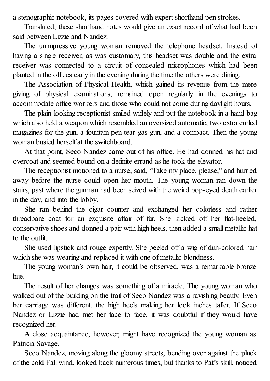a stenographic notebook, its pages covered with expert shorthand pen strokes.

Translated, these shorthand notes would give an exact record of what had been said between Lizzie and Nandez.

The unimpressive young woman removed the telephone headset. Instead of having a single receiver, as was customary, this headset was double and the extra receiver was connected to a circuit of concealed microphones which had been planted in the offices early in the evening during the time the others were dining.

The Association of Physical Health, which gained its revenue from the mere giving of physical examinations, remained open regularly in the evenings to accommodate office workers and those who could not come during daylight hours.

The plain-looking receptionist smiled widely and put the notebook in a hand bag which also held a weapon which resembled an oversized automatic, two extra curled magazines for the gun, a fountain pen tear-gas gun, and a compact. Then the young woman busied herself at the switchboard.

At that point, Seco Nandez came out of his office. He had donned his hat and overcoat and seemed bound on a definite errand as he took the elevator.

The receptionist motioned to a nurse, said, "Take my place, please," and hurried away before the nurse could open her mouth. The young woman ran down the stairs, past where the gunman had been seized with the weird pop-eyed death earlier in the day, and into the lobby.

She ran behind the cigar counter and exchanged her colorless and rather threadbare coat for an exquisite affair of fur. She kicked off her flat-heeled, conservative shoes and donned a pair with high heels, then added a small metallic hat to the outfit.

She used lipstick and rouge expertly. She peeled off a wig of dun-colored hair which she was wearing and replaced it with one of metallic blondness.

The young woman's own hair, it could be observed, was a remarkable bronze hue.

The result of her changes was something of a miracle. The young woman who walked out of the building on the trail of Seco Nandez was a ravishing beauty. Even her carriage was different, the high heels making her look inches taller. If Seco Nandez or Lizzie had met her face to face, it was doubtful if they would have recognized her.

A close acquaintance, however, might have recognized the young woman as Patricia Savage.

Seco Nandez, moving along the gloomy streets, bending over against the pluck of the cold Fall wind, looked back numerous times, but thanks to Pat's skill, noticed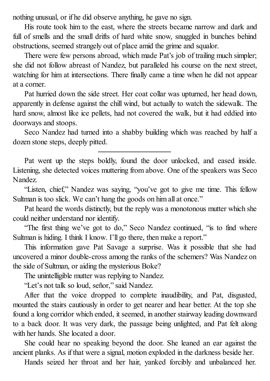nothing unusual, or if he did observe anything, he gave no sign.

His route took him to the east, where the streets became narrow and dark and full of smells and the small drifts of hard white snow, snuggled in bunches behind obstructions, seemed strangely out of place amid the grime and squalor.

There were few persons abroad, which made Pat's job of trailing much simpler; she did not follow abreast of Nandez, but paralleled his course on the next street, watching for him at intersections. There finally came a time when he did not appear at a corner.

Pat hurried down the side street. Her coat collar was upturned, her head down, apparently in defense against the chill wind, but actually to watch the sidewalk. The hard snow, almost like ice pellets, had not covered the walk, but it had eddied into doorways and stoops.

Seco Nandez had turned into a shabby building which was reached by half a dozen stone steps, deeply pitted.

Pat went up the steps boldly, found the door unlocked, and eased inside. Listening, she detected voices muttering from above. One of the speakers was Seco Nandez.

"Listen, chief," Nandez was saying, "you've got to give me time. This fellow Sultman is too slick. We can't hang the goods on him all at once."

Pat heard the words distinctly, but the reply was a monotonous mutter which she could neither understand nor identify.

"The first thing we've got to do," Seco Nandez continued, "is to find where Sultman is hiding. I think I know. I'll go there, then make a report."

This information gave Pat Savage a surprise. Was it possible that she had uncovered a minor double-cross among the ranks of the schemers? Was Nandez on the side of Sultman, or aiding the mysterious Boke?

The unintelligible mutter was replying to Nandez.

"Let's not talk so loud, señor," said Nandez.

After that the voice dropped to complete inaudibility, and Pat, disgusted, mounted the stairs cautiously in order to get nearer and hear better. At the top she found a long corridor which ended, it seemed, in another stairway leading downward to a back door. It was very dark, the passage being unlighted, and Pat felt along with her hands. She located a door.

She could hear no speaking beyond the door. She leaned an ear against the ancient planks. As if that were a signal, motion exploded in the darkness beside her.

Hands seized her throat and her hair, yanked forcibly and unbalanced her.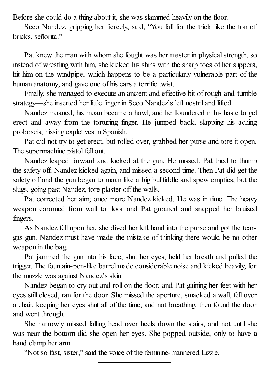Before she could do a thing about it, she was slammed heavily on the floor.

Seco Nandez, gripping her fiercely, said, "You fall for the trick like the ton of bricks, señorita."

Pat knew the man with whom she fought was her master in physical strength, so instead of wrestling with him, she kicked his shins with the sharp toes of her slippers, hit him on the windpipe, which happens to be a particularly vulnerable part of the human anatomy, and gave one of his ears a terrific twist.

Finally, she managed to execute an ancient and effective bit of rough-and-tumble strategy—she inserted her little finger in Seco Nandez's left nostril and lifted.

Nandez moaned, his moan became a howl, and he floundered in his haste to get erect and away from the torturing finger. He jumped back, slapping his aching proboscis, hissing expletives in Spanish.

Pat did not try to get erect, but rolled over, grabbed her purse and tore it open. The supermachine pistol fell out.

Nandez leaped forward and kicked at the gun. He missed. Pat tried to thumb the safety off. Nandez kicked again, and missed a second time. Then Pat did get the safety off and the gun began to moan like a big bullfiddle and spew empties, but the slugs, going past Nandez, tore plaster off the walls.

Pat corrected her aim; once more Nandez kicked. He was in time. The heavy weapon caromed from wall to floor and Pat groaned and snapped her bruised fingers.

As Nandez fell upon her, she dived her left hand into the purse and got the teargas gun. Nandez must have made the mistake of thinking there would be no other weapon in the bag.

Pat jammed the gun into his face, shut her eyes, held her breath and pulled the trigger. The fountain-pen-like barrel made considerable noise and kicked heavily, for the muzzle was against Nandez's skin.

Nandez began to cry out and roll on the floor, and Pat gaining her feet with her eyes still closed, ran for the door. She missed the aperture, smacked a wall, fell over a chair, keeping her eyes shut all of the time, and not breathing, then found the door and went through.

She narrowly missed falling head over heels down the stairs, and not until she was near the bottom did she open her eyes. She popped outside, only to have a hand clamp her arm.

"Not so fast, sister," said the voice of the feminine-mannered Lizzie.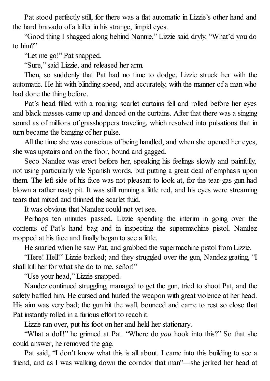Pat stood perfectly still, for there was a flat automatic in Lizzie's other hand and the hard bravado of a killer in his strange, limpid eyes.

"Good thing I shagged along behind Nannie," Lizzie said dryly. "What'd you do to him?"

"Let me go!" Pat snapped.

"Sure," said Lizzie, and released her arm.

Then, so suddenly that Pat had no time to dodge, Lizzie struck her with the automatic. He hit with blinding speed, and accurately, with the manner of a man who had done the thing before.

Pat's head filled with a roaring; scarlet curtains fell and rolled before her eyes and black masses came up and danced on the curtains. After that there was a singing sound as of millions of grasshoppers traveling, which resolved into pulsations that in turn became the banging of her pulse.

All the time she was conscious of being handled, and when she opened her eyes, she was upstairs and on the floor, bound and gagged.

Seco Nandez was erect before her, speaking his feelings slowly and painfully, not using particularly vile Spanish words, but putting a great deal of emphasis upon them. The left side of his face was not pleasant to look at, for the tear-gas gun had blown a rather nasty pit. It was still running a little red, and his eyes were streaming tears that mixed and thinned the scarlet fluid.

It was obvious that Nandez could not yet see.

Perhaps ten minutes passed, Lizzie spending the interim in going over the contents of Pat's hand bag and in inspecting the supermachine pistol. Nandez mopped at his face and finally began to see a little.

He snarled when he saw Pat, and grabbed the supermachine pistol from Lizzie.

"Here! Hell!" Lizzie barked; and they struggled over the gun, Nandez grating, "I shall kill her for what she do to me, señor!"

"Use your head," Lizzie snapped.

Nandez continued struggling, managed to get the gun, tried to shoot Pat, and the safety baffled him. He cursed and hurled the weapon with great violence at her head. His aim was very bad; the gun hit the wall, bounced and came to rest so close that Pat instantly rolled in a furious effort to reach it.

Lizzie ran over, put his foot on her and held her stationary.

"What a doll!" he grinned at Pat. "Where do *you* hook into this?" So that she could answer, he removed the gag.

Pat said, "I don't know what this is all about. I came into this building to see a friend, and as I was walking down the corridor that man"—she jerked her head at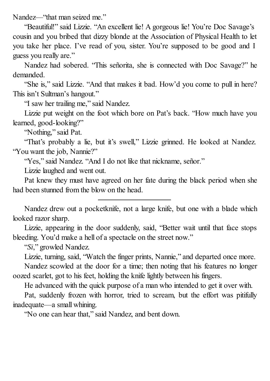Nandez—"that man seized me"

"Beautiful!" said Lizzie. "An excellent lie! A gorgeous lie! You're Doc Savage's cousin and you bribed that dizzy blonde at the Association of Physical Health to let you take her place. I've read of you, sister. You're supposed to be good and I guess you really are."

Nandez had sobered. "This señorita, she is connected with Doc Savage?" he demanded.

"She is," said Lizzie. "And that makes it bad. How'd you come to pull in here? This isn't Sultman's hangout."

"I saw her trailing me," said Nandez.

Lizzie put weight on the foot which bore on Pat's back. "How much have you learned, good-looking?"

"Nothing," said Pat.

"That's probably a lie, but it's swell," Lizzie grinned. He looked at Nandez. "You want the job, Nannie?"

"Yes," said Nandez. "And I do not like that nickname, señor."

Lizzie laughed and went out.

Pat knew they must have agreed on her fate during the black period when she had been stunned from the blow on the head.

Nandez drew out a pocketknife, not a large knife, but one with a blade which looked razor sharp.

Lizzie, appearing in the door suddenly, said, "Better wait until that face stops bleeding. You'd make a hell of a spectacle on the street now."

"*Si*," growled Nandez.

Lizzie, turning, said, "Watch the finger prints, Nannie," and departed once more.

Nandez scowled at the door for a time; then noting that his features no longer oozed scarlet, got to his feet, holding the knife lightly between his fingers.

He advanced with the quick purpose of a man who intended to get it over with.

Pat, suddenly frozen with horror, tried to scream, but the effort was pitifully inadequate—a small whining.

"No one can hear that," said Nandez, and bent down.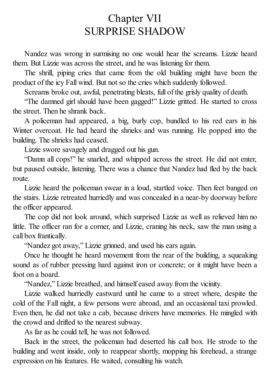## Chapter VII SURPRISE SHADOW

Nandez was wrong in surmising no one would hear the screams. Lizzie heard them. But Lizzie was across the street, and he was listening for them.

The shrill, piping cries that came from the old building might have been the product of the icy Fall wind. But not so the cries which suddenly followed.

Screams broke out, awful, penetrating bleats, full of the grisly quality of death.

"The damned girl should have been gagged!" Lizzie gritted. He started to cross the street. Then he shrank back.

A policeman had appeared, a big, burly cop, bundled to his red ears in his Winter overcoat. He had heard the shrieks and was running. He popped into the building. The shrieks had ceased.

Lizzie swore savagely and dragged out his gun.

"Damn all cops!" he snarled, and whipped across the street. He did not enter, but paused outside, listening. There was a chance that Nandez had fled by the back route.

Lizzie heard the policeman swear in a loud, startled voice. Then feet banged on the stairs. Lizzie retreated hurriedly and was concealed in a near-by doorway before the officer appeared.

The cop did not look around, which surprised Lizzie as well as relieved him no little. The officer ran for a corner, and Lizzie, craning his neck, saw the man using a call box frantically.

"Nandez got away," Lizzie grinned, and used his ears again.

Once he thought he heard movement from the rear of the building, a squeaking sound as of rubber pressing hard against iron or concrete; or it might have been a foot on a board.

"Nandez," Lizzie breathed, and himself eased away from the vicinity.

Lizzie walked hurriedly eastward until he came to a street where, despite the cold of the Fall night, a few persons were abroad, and an occasional taxi prowled. Even then, he did not take a cab, because drivers have memories. He mingled with the crowd and drifted to the nearest subway.

As far as he could tell, he was not followed.

Back in the street, the policeman had deserted his call box. He strode to the building and went inside, only to reappear shortly, mopping his forehead, a strange expression on his features. He waited, consulting his watch.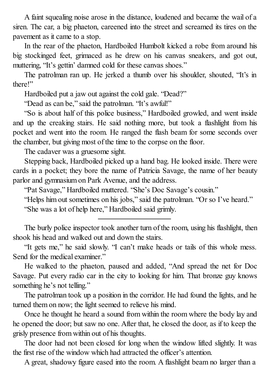A faint squealing noise arose in the distance, loudened and became the wail of a siren. The car, a big phaeton, careened into the street and screamed its tires on the pavement as it came to a stop.

In the rear of the phaeton, Hardboiled Humbolt kicked a robe from around his big stockinged feet, grimaced as he drew on his canvas sneakers, and got out, muttering, "It's gettin' damned cold for these canvas shoes."

The patrolman ran up. He jerked a thumb over his shoulder, shouted, "It's in there!"

Hardboiled put a jaw out against the cold gale. "Dead?"

"Dead as can be," said the patrolman. "It's awful!"

"So is about half of this police business," Hardboiled growled, and went inside and up the creaking stairs. He said nothing more, but took a flashlight from his pocket and went into the room. He ranged the flash beam for some seconds over the chamber, but giving most of the time to the corpse on the floor.

The cadaver was a gruesome sight.

Stepping back, Hardboiled picked up a hand bag. He looked inside. There were cards in a pocket; they bore the name of Patricia Savage, the name of her beauty parlor and gymnasium on Park Avenue, and the address.

"Pat Savage," Hardboiled muttered. "She's Doc Savage's cousin."

"Helps him out sometimes on his jobs," said the patrolman. "Or so I've heard."

"She was a lot of help here," Hardboiled said grimly.

The burly police inspector took another turn of the room, using his flashlight, then shook his head and walked out and down the stairs.

"It gets me," he said slowly. "I can't make heads or tails of this whole mess. Send for the medical examiner."

He walked to the phaeton, paused and added, "And spread the net for Doc Savage. Put every radio car in the city to looking for him. That bronze guy knows something he's not telling."

The patrolman took up a position in the corridor. He had found the lights, and he turned them on now; the light seemed to relieve his mind.

Once he thought he heard a sound from within the room where the body lay and he opened the door; but saw no one. After that, he closed the door, as if to keep the grisly presence from within out of his thoughts.

The door had not been closed for long when the window lifted slightly. It was the first rise of the window which had attracted the officer's attention.

A great, shadowy figure eased into the room. A flashlight beam no larger than a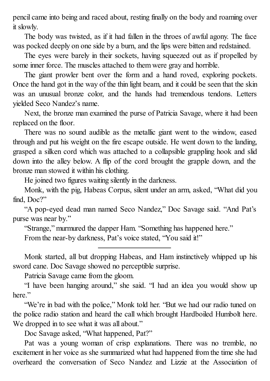pencil came into being and raced about, resting finally on the body and roaming over it slowly.

The body was twisted, as if it had fallen in the throes of awful agony. The face was pocked deeply on one side by a burn, and the lips were bitten and redstained.

The eyes were barely in their sockets, having squeezed out as if propelled by some inner force. The muscles attached to them were gray and horrible.

The giant prowler bent over the form and a hand roved, exploring pockets. Once the hand got in the way of the thin light beam, and it could be seen that the skin was an unusual bronze color, and the hands had tremendous tendons. Letters yielded Seco Nandez's name.

Next, the bronze man examined the purse of Patricia Savage, where it had been replaced on the floor.

There was no sound audible as the metallic giant went to the window, eased through and put his weight on the fire escape outside. He went down to the landing, grasped a silken cord which was attached to a collapsible grappling hook and slid down into the alley below. A flip of the cord brought the grapple down, and the bronze man stowed it within his clothing.

He joined two figures waiting silently in the darkness.

Monk, with the pig, Habeas Corpus, silent under an arm, asked, "What did you find, Doc?"

"A pop-eyed dead man named Seco Nandez," Doc Savage said. "And Pat's purse was near by."

"Strange," murmured the dapper Ham. "Something has happened here."

From the near-by darkness, Pat's voice stated, "You said it!"

Monk started, all but dropping Habeas, and Ham instinctively whipped up his sword cane. Doc Savage showed no perceptible surprise.

Patricia Savage came from the gloom.

"I have been hanging around," she said. "I had an idea you would show up here."

"We're in bad with the police," Monk told her. "But we had our radio tuned on the police radio station and heard the call which brought Hardboiled Humbolt here. We dropped in to see what it was all about."

Doc Savage asked, "What happened, Pat?"

Pat was a young woman of crisp explanations. There was no tremble, no excitement in her voice as she summarized what had happened from the time she had overheard the conversation of Seco Nandez and Lizzie at the Association of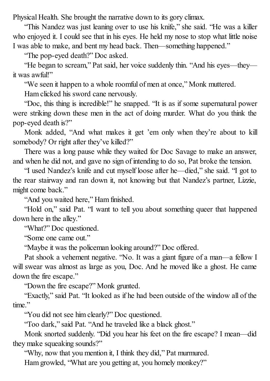Physical Health. She brought the narrative down to its gory climax.

"This Nandez was just leaning over to use his knife," she said. "He was a killer who enjoyed it. I could see that in his eyes. He held my nose to stop what little noise I was able to make, and bent my head back. Then—something happened."

"The pop-eyed death?" Doc asked.

"He began to scream," Pat said, her voice suddenly thin. "And his eyes—they it was awfull"

"We seen it happen to a whole roomful of men at once," Monk muttered.

Ham clicked his sword cane nervously.

"Doc, this thing is incredible!" he snapped. "It is as if some supernatural power were striking down these men in the act of doing murder. What do you think the pop-eyed death is?"

Monk added, "And what makes it get 'em only when they're about to kill somebody? Or right after they've killed?"

There was a long pause while they waited for Doc Savage to make an answer, and when he did not, and gave no sign of intending to do so, Pat broke the tension.

"I used Nandez's knife and cut myself loose after he—died," she said. "I got to the rear stairway and ran down it, not knowing but that Nandez's partner, Lizzie, might come back."

"And you waited here," Ham finished.

"Hold on," said Pat. "I want to tell you about something queer that happened down here in the alley."

"What?" Doc questioned.

"Some one came out."

"Maybe it was the policeman looking around?" Doc offered.

Pat shook a vehement negative. "No. It was a giant figure of a man—a fellow I will swear was almost as large as you, Doc. And he moved like a ghost. He came down the fire escape."

"Down the fire escape?" Monk grunted.

"Exactly," said Pat. "It looked as if he had been outside of the window all of the time."

"You did not see him clearly?" Doc questioned.

"Too dark," said Pat. "And he traveled like a black ghost."

Monk snorted suddenly. "Did you hear his feet on the fire escape? I mean—did they make squeaking sounds?"

"Why, now that you mention it, I think they did," Pat murmured.

Ham growled, "What are you getting at, you homely monkey?"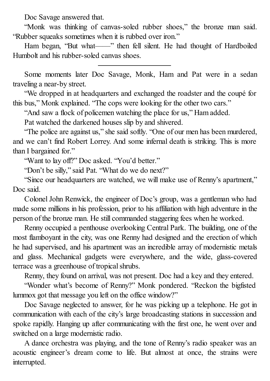Doc Savage answered that.

"Monk was thinking of canvas-soled rubber shoes," the bronze man said. "Rubber squeaks sometimes when it is rubbed over iron."

Ham began, "But what——" then fell silent. He had thought of Hardboiled Humbolt and his rubber-soled canvas shoes.

Some moments later Doc Savage, Monk, Ham and Pat were in a sedan traveling a near-by street.

"We dropped in at headquarters and exchanged the roadster and the coupé for this bus," Monk explained. "The cops were looking for the other two cars."

"And saw a flock of policemen watching the place for us," Ham added.

Pat watched the darkened houses slip by and shivered.

"The police are against us," she said softly. "One of our men has been murdered, and we can't find Robert Lorrey. And some infernal death is striking. This is more than I bargained for."

"Want to lay off?" Doc asked. "You'd better."

"Don't be silly," said Pat. "What do we do next?"

"Since our headquarters are watched, we will make use of Renny's apartment," Doc said.

Colonel John Renwick, the engineer of Doc's group, was a gentleman who had made some millions in his profession, prior to his affiliation with high adventure in the person of the bronze man. He still commanded staggering fees when he worked.

Renny occupied a penthouse overlooking Central Park. The building, one of the most flamboyant in the city, was one Renny had designed and the erection of which he had supervised, and his apartment was an incredible array of modernistic metals and glass. Mechanical gadgets were everywhere, and the wide, glass-covered terrace was a greenhouse of tropical shrubs.

Renny, they found on arrival, was not present. Doc had a key and they entered.

"Wonder what's become of Renny?" Monk pondered. "Reckon the bigfisted lummox got that message you left on the office window?"

Doc Savage neglected to answer, for he was picking up a telephone. He got in communication with each of the city's large broadcasting stations in succession and spoke rapidly. Hanging up after communicating with the first one, he went over and switched on a large modernistic radio.

A dance orchestra was playing, and the tone of Renny's radio speaker was an acoustic engineer's dream come to life. But almost at once, the strains were interrupted.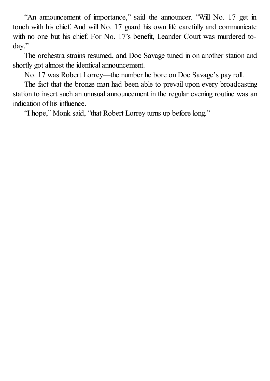"An announcement of importance," said the announcer. "Will No. 17 get in touch with his chief. And will No. 17 guard his own life carefully and communicate with no one but his chief. For No. 17's benefit, Leander Court was murdered today."

The orchestra strains resumed, and Doc Savage tuned in on another station and shortly got almost the identical announcement.

No. 17 was Robert Lorrey—the number he bore on Doc Savage's pay roll.

The fact that the bronze man had been able to prevail upon every broadcasting station to insert such an unusual announcement in the regular evening routine was an indication of his influence.

"I hope," Monk said, "that Robert Lorrey turns up before long."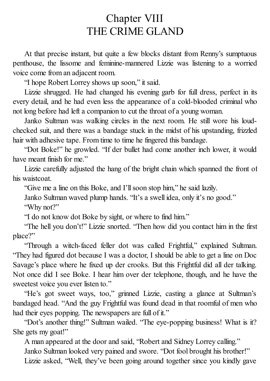## Chapter VIII THE CRIME GLAND

At that precise instant, but quite a few blocks distant from Renny's sumptuous penthouse, the lissome and feminine-mannered Lizzie was listening to a worried voice come from an adjacent room.

"I hope Robert Lorrey shows up soon," it said.

Lizzie shrugged. He had changed his evening garb for full dress, perfect in its every detail, and he had even less the appearance of a cold-blooded criminal who not long before had left a companion to cut the throat of a young woman.

Janko Sultman was walking circles in the next room. He still wore his loudchecked suit, and there was a bandage stuck in the midst of his upstanding, frizzled hair with adhesive tape. From time to time he fingered this bandage.

"Dot Boke!" he growled. "If der bullet had come another inch lower, it would have meant finish for me."

Lizzie carefully adjusted the hang of the bright chain which spanned the front of his waistcoat.

"Give me a line on this Boke, and I'll soon stop him," he said lazily.

Janko Sultman waved plump hands. "It's a swell idea, only it's no good."

"Why not?"

"I do not know dot Boke by sight, or where to find him."

"The hell you don't!" Lizzie snorted. "Then how did you contact him in the first place?"

"Through a witch-faced feller dot was called Frightful," explained Sultman. "They had figured dot because I was a doctor, I should be able to get a line on Doc Savage's place where he fixed up der crooks. But this Frightful did all der talking. Not once did I see Boke. I hear him over der telephone, though, and he have the sweetest voice you ever listen to."

"He's got sweet ways, too," grinned Lizzie, casting a glance at Sultman's bandaged head. "And the guy Frightful was found dead in that roomful of men who had their eyes popping. The newspapers are full of it."

"Dot's another thing!" Sultman wailed. "The eye-popping business! What is it? She gets my goat!"

A man appeared at the door and said, "Robert and Sidney Lorrey calling." Janko Sultman looked very pained and swore. "Dot fool brought his brother!" Lizzie asked, "Well, they've been going around together since you kindly gave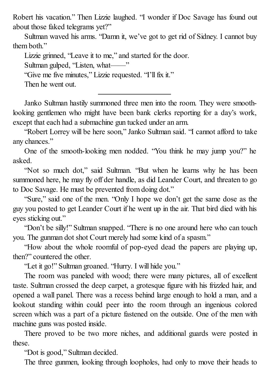Robert his vacation." Then Lizzie laughed. "I wonder if Doc Savage has found out about those faked telegrams yet?"

Sultman waved his arms. "Damn it, we've got to get rid of Sidney. I cannot buy them both"

Lizzie grinned, "Leave it to me," and started for the door.

Sultman gulped, "Listen, what——"

"Give me five minutes," Lizzie requested. "I'll fix it."

Then he went out.

Janko Sultman hastily summoned three men into the room. They were smoothlooking gentlemen who might have been bank clerks reporting for a day's work, except that each had a submachine gun tucked under an arm.

"Robert Lorrey will be here soon," Janko Sultman said. "I cannot afford to take any chances."

One of the smooth-looking men nodded. "You think he may jump you?" he asked.

"Not so much dot," said Sultman. "But when he learns why he has been summoned here, he may fly off der handle, as did Leander Court, and threaten to go to Doc Savage. He must be prevented from doing dot."

"Sure," said one of the men. "Only I hope we don't get the same dose as the guy you posted to get Leander Court if he went up in the air. That bird died with his eyes sticking out."

"Don't be silly!" Sultman snapped. "There is no one around here who can touch you. The gunman dot shot Court merely had some kind of a spasm."

"How about the whole roomful of pop-eyed dead the papers are playing up, then?" countered the other.

"Let it go!" Sultman groaned. "Hurry. I will hide you."

The room was paneled with wood; there were many pictures, all of excellent taste. Sultman crossed the deep carpet, a grotesque figure with his frizzled hair, and opened a wall panel. There was a recess behind large enough to hold a man, and a lookout standing within could peer into the room through an ingenious colored screen which was a part of a picture fastened on the outside. One of the men with machine guns was posted inside.

There proved to be two more niches, and additional guards were posted in these.

"Dot is good," Sultman decided.

The three gunmen, looking through loopholes, had only to move their heads to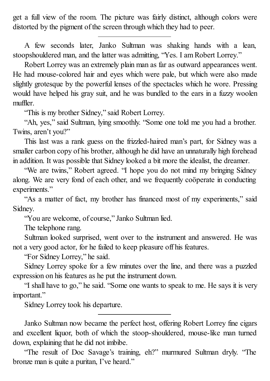get a full view of the room. The picture was fairly distinct, although colors were distorted by the pigment of the screen through which they had to peer.

A few seconds later, Janko Sultman was shaking hands with a lean, stoopshouldered man, and the latter was admitting, "Yes. I am Robert Lorrey."

Robert Lorrey was an extremely plain man as far as outward appearances went. He had mouse-colored hair and eyes which were pale, but which were also made slightly grotesque by the powerful lenses of the spectacles which he wore. Pressing would have helped his gray suit, and he was bundled to the ears in a fuzzy woolen muffler.

"This is my brother Sidney," said Robert Lorrey.

"Ah, yes," said Sultman, lying smoothly. "Some one told me you had a brother. Twins, aren't you?"

This last was a rank guess on the frizzled-haired man's part, for Sidney was a smaller carbon copy of his brother, although he did have an unnaturally high forehead in addition. It was possible that Sidney looked a bit more the idealist, the dreamer.

"We are twins," Robert agreed. "I hope you do not mind my bringing Sidney along. We are very fond of each other, and we frequently coöperate in conducting experiments."

"As a matter of fact, my brother has financed most of my experiments," said Sidney.

"You are welcome, of course," Janko Sultman lied.

The telephone rang.

Sultman looked surprised, went over to the instrument and answered. He was not a very good actor, for he failed to keep pleasure off his features.

"For Sidney Lorrey," he said.

Sidney Lorrey spoke for a few minutes over the line, and there was a puzzled expression on his features as he put the instrument down.

"I shall have to go," he said. "Some one wants to speak to me. He says it is very important."

Sidney Lorrey took his departure.

Janko Sultman now became the perfect host, offering Robert Lorrey fine cigars and excellent liquor, both of which the stoop-shouldered, mouse-like man turned down, explaining that he did not imbibe.

"The result of Doc Savage's training, eh?" murmured Sultman dryly. "The bronze man is quite a puritan, I've heard."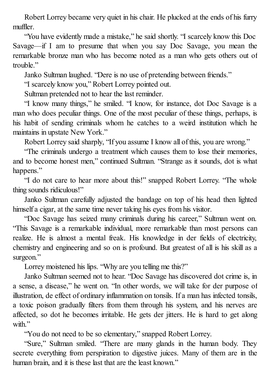Robert Lorrey became very quiet in his chair. He plucked at the ends of his furry muffler.

"You have evidently made a mistake," he said shortly. "I scarcely know this Doc Savage—if I am to presume that when you say Doc Savage, you mean the remarkable bronze man who has become noted as a man who gets others out of trouble."

Janko Sultman laughed. "Dere is no use of pretending between friends."

"I scarcely know you," Robert Lorrey pointed out.

Sultman pretended not to hear the last reminder.

"I know many things," he smiled. "I know, for instance, dot Doc Savage is a man who does peculiar things. One of the most peculiar of these things, perhaps, is his habit of sending criminals whom he catches to a weird institution which he maintains in upstate New York."

Robert Lorrey said sharply, "If you assume I know all of this, you are wrong."

"The criminals undergo a treatment which causes them to lose their memories, and to become honest men," continued Sultman. "Strange as it sounds, dot is what happens."

"I do not care to hear more about this!" snapped Robert Lorrey. "The whole thing sounds ridiculous!"

Janko Sultman carefully adjusted the bandage on top of his head then lighted himself a cigar, at the same time never taking his eyes from his visitor.

"Doc Savage has seized many criminals during his career," Sultman went on. "This Savage is a remarkable individual, more remarkable than most persons can realize. He is almost a mental freak. His knowledge in der fields of electricity, chemistry and engineering and so on is profound. But greatest of all is his skill as a surgeon."

Lorrey moistened his lips. "Why are you telling me this?"

Janko Sultman seemed not to hear. "Doc Savage has discovered dot crime is, in a sense, a disease," he went on. "In other words, we will take for der purpose of illustration, de effect of ordinary inflammation on tonsils. If a man has infected tonsils, a toxic poison gradually filters from them through his system, and his nerves are affected, so dot he becomes irritable. He gets der jitters. He is hard to get along with"

"You do not need to be so elementary," snapped Robert Lorrey.

"Sure," Sultman smiled. "There are many glands in the human body. They secrete everything from perspiration to digestive juices. Many of them are in the human brain, and it is these last that are the least known."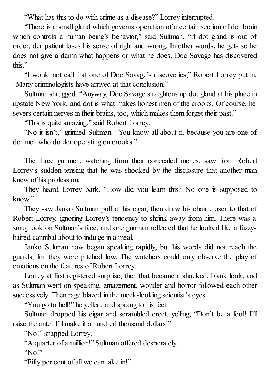"What has this to do with crime as a disease?" Lorrey interrupted.

"There is a small gland which governs operation of a certain section of der brain which controls a human being's behavior," said Sultman. "If dot gland is out of order, der patient loses his sense of right and wrong. In other words, he gets so he does not give a damn what happens or what he does. Doc Savage has discovered this."

"I would not call that one of Doc Savage's discoveries," Robert Lorrey put in. "Many criminologists have arrived at that conclusion."

Sultman shrugged. "Anyway, Doc Savage straightens up dot gland at his place in upstate New York, and dot is what makes honest men of the crooks. Of course, he severs certain nerves in their brains, too, which makes them forget their past."

"This is quite amazing," said Robert Lorrey.

"No it isn't," grinned Sultman. "You know all about it, because you are one of der men who do der operating on crooks."

The three gunmen, watching from their concealed niches, saw from Robert Lorrey's sudden tensing that he was shocked by the disclosure that another man knew of his profession.

They heard Lorrey bark, "How did you learn this? No one is supposed to know."

They saw Janko Sultman puff at his cigar, then draw his chair closer to that of Robert Lorrey, ignoring Lorrey's tendency to shrink away from him. There was a smug look on Sultman's face, and one gunman reflected that he looked like a fuzzyhaired cannibal about to indulge in a meal.

Janko Sultman now began speaking rapidly, but his words did not reach the guards, for they were pitched low. The watchers could only observe the play of emotions on the features of Robert Lorrey.

Lorrey at first registered surprise, then that became a shocked, blank look, and as Sultman went on speaking, amazement, wonder and horror followed each other successively. Then rage blazed in the meek-looking scientist's eyes.

"You go to hell!" he yelled, and sprang to his feet.

Sultman dropped his cigar and scrambled erect, yelling, "Don't be a fool! I'll raise the ante! I'll make it a hundred thousand dollars!"

"No!" snapped Lorrey.

"A quarter of a million!" Sultman offered desperately.

"No!"

"Fifty per cent of all we can take in!"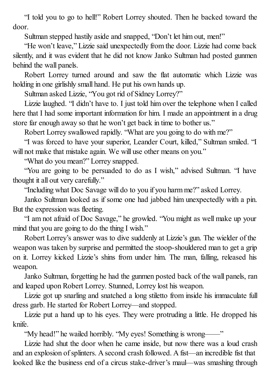"I told you to go to hell!" Robert Lorrey shouted. Then he backed toward the door.

Sultman stepped hastily aside and snapped, "Don't let him out, men!"

"He won't leave," Lizzie said unexpectedly from the door. Lizzie had come back silently, and it was evident that he did not know Janko Sultman had posted gunmen behind the wall panels.

Robert Lorrey turned around and saw the flat automatic which Lizzie was holding in one girlishly small hand. He put his own hands up.

Sultman asked Lizzie, "You got rid of Sidney Lorrey?"

Lizzie laughed. "I didn't have to. I just told him over the telephone when I called here that I had some important information for him. I made an appointment in a drug store far enough away so that he won't get back in time to bother us."

Robert Lorrey swallowed rapidly. "What are you going to do with me?"

"I was forced to have your superior, Leander Court, killed," Sultman smiled. "I will not make that mistake again. We will use other means on you."

"What do you mean?" Lorrey snapped.

"You are going to be persuaded to do as I wish," advised Sultman. "I have thought it all out very carefully."

"Including what Doc Savage will do to you if you harm me?" asked Lorrey.

Janko Sultman looked as if some one had jabbed him unexpectedly with a pin. But the expression was fleeting.

"I am not afraid of Doc Savage," he growled. "You might as well make up your mind that you are going to do the thing I wish."

Robert Lorrey's answer was to dive suddenly at Lizzie's gun. The wielder of the weapon was taken by surprise and permitted the stoop-shouldered man to get a grip on it. Lorrey kicked Lizzie's shins from under him. The man, falling, released his weapon.

Janko Sultman, forgetting he had the gunmen posted back of the wall panels, ran and leaped upon Robert Lorrey. Stunned, Lorrey lost his weapon.

Lizzie got up snarling and snatched a long stiletto from inside his immaculate full dress garb. He started for Robert Lorrey—and stopped.

Lizzie put a hand up to his eyes. They were protruding a little. He dropped his knife.

"My head!" he wailed horribly. "My eyes! Something is wrong——"

Lizzie had shut the door when he came inside, but now there was a loud crash and an explosion of splinters. A second crash followed. A fist—an incredible fist that looked like the business end of a circus stake-driver's maul—was smashing through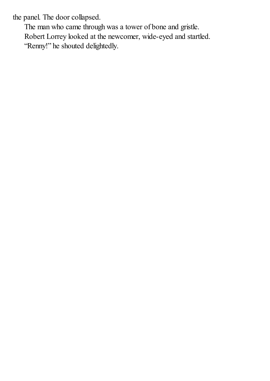the panel. The door collapsed.

The man who came through was a tower of bone and gristle.

Robert Lorrey looked at the newcomer, wide-eyed and startled.

"Renny!" he shouted delightedly.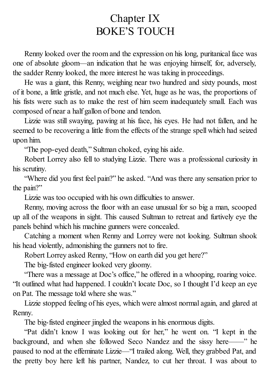# Chapter IX BOKE'S TOUCH

Renny looked over the room and the expression on his long, puritanical face was one of absolute gloom—an indication that he was enjoying himself, for, adversely, the sadder Renny looked, the more interest he was taking in proceedings.

He was a giant, this Renny, weighing near two hundred and sixty pounds, most of it bone, a little gristle, and not much else. Yet, huge as he was, the proportions of his fists were such as to make the rest of him seem inadequately small. Each was composed of near a half gallon of bone and tendon.

Lizzie was still swaying, pawing at his face, his eyes. He had not fallen, and he seemed to be recovering a little from the effects of the strange spell which had seized upon him.

"The pop-eyed death," Sultman choked, eying his aide.

Robert Lorrey also fell to studying Lizzie. There was a professional curiosity in his scrutiny.

"Where did you first feel pain?" he asked. "And was there any sensation prior to the pain?"

Lizzie was too occupied with his own difficulties to answer.

Renny, moving across the floor with an ease unusual for so big a man, scooped up all of the weapons in sight. This caused Sultman to retreat and furtively eye the panels behind which his machine gunners were concealed.

Catching a moment when Renny and Lorrey were not looking. Sultman shook his head violently, admonishing the gunners not to fire.

Robert Lorrey asked Renny, "How on earth did you get here?"

The big-fisted engineer looked very gloomy.

"There was a message at Doc's office," he offered in a whooping, roaring voice. "It outlined what had happened. I couldn't locate Doc, so I thought I'd keep an eye on Pat. The message told where she was."

Lizzie stopped feeling of his eyes, which were almost normal again, and glared at Renny.

The big-fisted engineer jingled the weapons in his enormous digits.

"Pat didn't know I was looking out for her," he went on. "I kept in the background, and when she followed Seco Nandez and the sissy here——" he paused to nod at the effeminate Lizzie—"I trailed along. Well, they grabbed Pat, and the pretty boy here left his partner, Nandez, to cut her throat. I was about to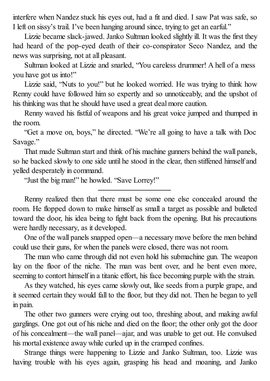interfere when Nandez stuck his eyes out, had a fit and died. I saw Pat was safe, so I left on sissy's trail. I've been hanging around since, trying to get an earful."

Lizzie became slack-jawed. Janko Sultman looked slightly ill. It was the first they had heard of the pop-eyed death of their co-conspirator Seco Nandez, and the news was surprising, not at all pleasant.

Sultman looked at Lizzie and snarled, "You careless drummer! A hell of a mess you have got us into!"

Lizzie said, "Nuts to you!" but he looked worried. He was trying to think how Renny could have followed him so expertly and so unnoticeably, and the upshot of his thinking was that he should have used a great deal more caution.

Renny waved his fistful of weapons and his great voice jumped and thumped in the room.

"Get a move on, boys," he directed. "We're all going to have a talk with Doc Savage."

That made Sultman start and think of his machine gunners behind the wall panels, so he backed slowly to one side until he stood in the clear, then stiffened himself and yelled desperately in command.

"Just the big man!" he howled. "Save Lorrey!"

Renny realized then that there must be some one else concealed around the room. He flopped down to make himself as small a target as possible and bulleted toward the door, his idea being to fight back from the opening. But his precautions were hardly necessary, as it developed.

One of the wall panels snapped open—a necessary move before the men behind could use their guns, for when the panels were closed, there was not room.

The man who came through did not even hold his submachine gun. The weapon lay on the floor of the niche. The man was bent over, and he bent even more, seeming to contort himself in a titanic effort, his face becoming purple with the strain.

As they watched, his eyes came slowly out, like seeds from a purple grape, and it seemed certain they would fall to the floor, but they did not. Then he began to yell in pain.

The other two gunners were crying out too, threshing about, and making awful garglings. One got out of his niche and died on the floor; the other only got the door of his concealment—the wall panel—ajar, and was unable to get out. He convulsed his mortal existence away while curled up in the cramped confines.

Strange things were happening to Lizzie and Janko Sultman, too. Lizzie was having trouble with his eyes again, grasping his head and moaning, and Janko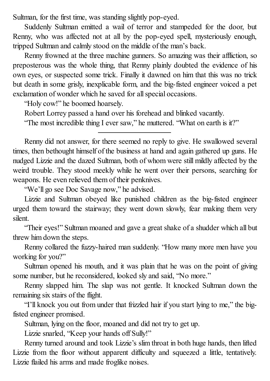Sultman, for the first time, was standing slightly pop-eyed.

Suddenly Sultman emitted a wail of terror and stampeded for the door, but Renny, who was affected not at all by the pop-eyed spell, mysteriously enough, tripped Sultman and calmly stood on the middle of the man's back.

Renny frowned at the three machine gunners. So amazing was their affliction, so preposterous was the whole thing, that Renny plainly doubted the evidence of his own eyes, or suspected some trick. Finally it dawned on him that this was no trick but death in some grisly, inexplicable form, and the big-fisted engineer voiced a pet exclamation of wonder which he saved for all special occasions.

"Holy cow!" he boomed hoarsely.

Robert Lorrey passed a hand over his forehead and blinked vacantly.

"The most incredible thing I ever saw," he muttered. "What on earth is it?"

Renny did not answer, for there seemed no reply to give. He swallowed several times, then bethought himself of the business at hand and again gathered up guns. He nudged Lizzie and the dazed Sultman, both of whom were still mildly affected by the weird trouble. They stood meekly while he went over their persons, searching for weapons. He even relieved them of their penknives.

"We'll go see Doc Savage now," he advised.

Lizzie and Sultman obeyed like punished children as the big-fisted engineer urged them toward the stairway; they went down slowly, fear making them very silent.

"Their eyes!" Sultman moaned and gave a great shake of a shudder which all but threw him down the steps.

Renny collared the fuzzy-haired man suddenly. "How many more men have you working for you?"

Sultman opened his mouth, and it was plain that he was on the point of giving some number, but he reconsidered, looked sly and said, "No more."

Renny slapped him. The slap was not gentle. It knocked Sultman down the remaining six stairs of the flight.

"I'll knock you out from under that frizzled hair if you start lying to me," the bigfisted engineer promised.

Sultman, lying on the floor, moaned and did not try to get up.

Lizzie snarled, "Keep your hands off Sully!"

Renny turned around and took Lizzie's slim throat in both huge hands, then lifted Lizzie from the floor without apparent difficulty and squeezed a little, tentatively. Lizzie flailed his arms and made froglike noises.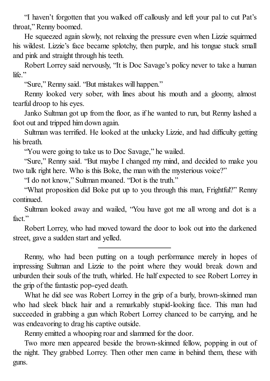"I haven't forgotten that you walked off callously and left your pal to cut Pat's throat," Renny boomed.

He squeezed again slowly, not relaxing the pressure even when Lizzie squirmed his wildest. Lizzie's face became splotchy, then purple, and his tongue stuck small and pink and straight through his teeth.

Robert Lorrey said nervously, "It is Doc Savage's policy never to take a human life."

"Sure," Renny said. "But mistakes will happen."

Renny looked very sober, with lines about his mouth and a gloomy, almost tearful droop to his eyes.

Janko Sultman got up from the floor, as if he wanted to run, but Renny lashed a foot out and tripped him down again.

Sultman was terrified. He looked at the unlucky Lizzie, and had difficulty getting his breath.

"You were going to take us to Doc Savage," he wailed.

"Sure," Renny said. "But maybe I changed my mind, and decided to make you two talk right here. Who is this Boke, the man with the mysterious voice?"

"I do not know," Sultman moaned. "Dot is the truth."

"What proposition did Boke put up to you through this man, Frightful?" Renny continued.

Sultman looked away and wailed, "You have got me all wrong and dot is a fact."

Robert Lorrey, who had moved toward the door to look out into the darkened street, gave a sudden start and yelled.

Renny, who had been putting on a tough performance merely in hopes of impressing Sultman and Lizzie to the point where they would break down and unburden their souls of the truth, whirled. He half expected to see Robert Lorrey in the grip of the fantastic pop-eyed death.

What he did see was Robert Lorrey in the grip of a burly, brown-skinned man who had sleek black hair and a remarkably stupid-looking face. This man had succeeded in grabbing a gun which Robert Lorrey chanced to be carrying, and he was endeavoring to drag his captive outside.

Renny emitted a whooping roar and slammed for the door.

Two more men appeared beside the brown-skinned fellow, popping in out of the night. They grabbed Lorrey. Then other men came in behind them, these with guns.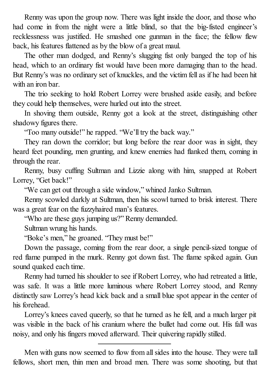Renny was upon the group now. There was light inside the door, and those who had come in from the night were a little blind, so that the big-fisted engineer's recklessness was justified. He smashed one gunman in the face; the fellow flew back, his features flattened as by the blow of a great maul.

The other man dodged, and Renny's slugging fist only banged the top of his head, which to an ordinary fist would have been more damaging than to the head. But Renny's was no ordinary set of knuckles, and the victim fell as if he had been hit with an iron bar.

The trio seeking to hold Robert Lorrey were brushed aside easily, and before they could help themselves, were hurled out into the street.

In shoving them outside, Renny got a look at the street, distinguishing other shadowy figures there.

"Too many outside!" he rapped. "We'll try the back way."

They ran down the corridor; but long before the rear door was in sight, they heard feet pounding, men grunting, and knew enemies had flanked them, coming in through the rear.

Renny, busy cuffing Sultman and Lizzie along with him, snapped at Robert Lorrey, "Get back!"

"We can get out through a side window," whined Janko Sultman.

Renny scowled darkly at Sultman, then his scowl turned to brisk interest. There was a great fear on the fuzzyhaired man's features.

"Who are these guys jumping us?" Renny demanded.

Sultman wrung his hands.

"Boke's men," he groaned. "They must be!"

Down the passage, coming from the rear door, a single pencil-sized tongue of red flame pumped in the murk. Renny got down fast. The flame spiked again. Gun sound quaked each time.

Renny had turned his shoulder to see if Robert Lorrey, who had retreated a little, was safe. It was a little more luminous where Robert Lorrey stood, and Renny distinctly saw Lorrey's head kick back and a small blue spot appear in the center of his forehead.

Lorrey's knees caved queerly, so that he turned as he fell, and a much larger pit was visible in the back of his cranium where the bullet had come out. His fall was noisy, and only his fingers moved afterward. Their quivering rapidly stilled.

Men with guns now seemed to flow from allsides into the house. They were tall fellows, short men, thin men and broad men. There was some shooting, but that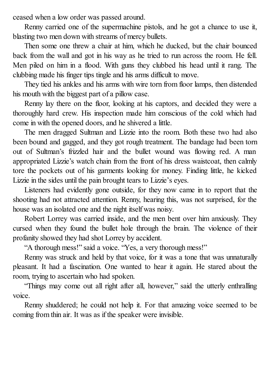ceased when a low order was passed around.

Renny carried one of the supermachine pistols, and he got a chance to use it, blasting two men down with streams of mercy bullets.

Then some one threw a chair at him, which he ducked, but the chair bounced back from the wall and got in his way as he tried to run across the room. He fell. Men piled on him in a flood. With guns they clubbed his head until it rang. The clubbing made his finger tips tingle and his arms difficult to move.

They tied his ankles and his arms with wire torn from floor lamps, then distended his mouth with the biggest part of a pillow case.

Renny lay there on the floor, looking at his captors, and decided they were a thoroughly hard crew. His inspection made him conscious of the cold which had come in with the opened doors, and he shivered a little.

The men dragged Sultman and Lizzie into the room. Both these two had also been bound and gagged, and they got rough treatment. The bandage had been torn out of Sultman's frizzled hair and the bullet wound was flowing red. A man appropriated Lizzie's watch chain from the front of his dress waistcoat, then calmly tore the pockets out of his garments looking for money. Finding little, he kicked Lizzie in the sides until the pain brought tears to Lizzie's eyes.

Listeners had evidently gone outside, for they now came in to report that the shooting had not attracted attention. Renny, hearing this, was not surprised, for the house was an isolated one and the night itself was noisy.

Robert Lorrey was carried inside, and the men bent over him anxiously. They cursed when they found the bullet hole through the brain. The violence of their profanity showed they had shot Lorrey by accident.

"A thorough mess!" said a voice. "Yes, a very thorough mess!"

Renny was struck and held by that voice, for it was a tone that was unnaturally pleasant. It had a fascination. One wanted to hear it again. He stared about the room, trying to ascertain who had spoken.

"Things may come out all right after all, however," said the utterly enthralling voice.

Renny shuddered; he could not help it. For that amazing voice seemed to be coming from thin air. It was as if the speaker were invisible.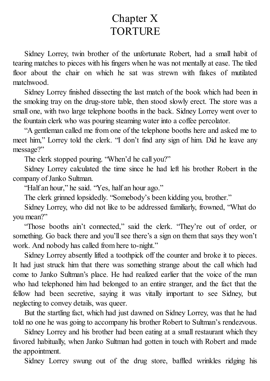# Chapter X **TORTURE**

Sidney Lorrey, twin brother of the unfortunate Robert, had a small habit of tearing matches to pieces with his fingers when he was not mentally at ease. The tiled floor about the chair on which he sat was strewn with flakes of mutilated matchwood.

Sidney Lorrey finished dissecting the last match of the book which had been in the smoking tray on the drug-store table, then stood slowly erect. The store was a small one, with two large telephone booths in the back. Sidney Lorrey went over to the fountain clerk who was pouring steaming water into a coffee percolator.

"A gentleman called me from one of the telephone booths here and asked me to meet him," Lorrey told the clerk. "I don't find any sign of him. Did he leave any message?"

The clerk stopped pouring. "When'd he call you?"

Sidney Lorrey calculated the time since he had left his brother Robert in the company of Janko Sultman.

"Half an hour," he said. "Yes, half an hour ago."

The clerk grinned lopsidedly. "Somebody's been kidding you, brother."

Sidney Lorrey, who did not like to be addressed familiarly, frowned, "What do you mean?"

"Those booths ain't connected," said the clerk. "They're out of order, or something. Go back there and you'll see there's a sign on them that says they won't work. And nobody has called from here to-night."

Sidney Lorrey absently lifted a toothpick off the counter and broke it to pieces. It had just struck him that there was something strange about the call which had come to Janko Sultman's place. He had realized earlier that the voice of the man who had telephoned him had belonged to an entire stranger, and the fact that the fellow had been secretive, saying it was vitally important to see Sidney, but neglecting to convey details, was queer.

But the startling fact, which had just dawned on Sidney Lorrey, was that he had told no one he was going to accompany his brother Robert to Sultman's rendezvous.

Sidney Lorrey and his brother had been eating at a small restaurant which they favored habitually, when Janko Sultman had gotten in touch with Robert and made the appointment.

Sidney Lorrey swung out of the drug store, baffled wrinkles ridging his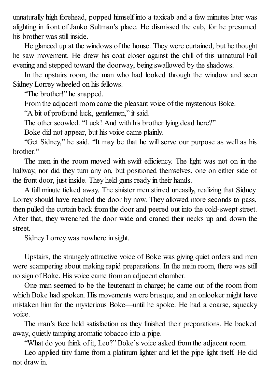unnaturally high forehead, popped himself into a taxicab and a few minutes later was alighting in front of Janko Sultman's place. He dismissed the cab, for he presumed his brother was still inside.

He glanced up at the windows of the house. They were curtained, but he thought he saw movement. He drew his coat closer against the chill of this unnatural Fall evening and stepped toward the doorway, being swallowed by the shadows.

In the upstairs room, the man who had looked through the window and seen Sidney Lorrey wheeled on his fellows.

"The brother!" he snapped.

From the adjacent room came the pleasant voice of the mysterious Boke.

"A bit of profound luck, gentlemen," it said.

The other scowled. "Luck! And with his brother lying dead here?"

Boke did not appear, but his voice came plainly.

"Get Sidney," he said. "It may be that he will serve our purpose as well as his hrother."

The men in the room moved with swift efficiency. The light was not on in the hallway, nor did they turn any on, but positioned themselves, one on either side of the front door, just inside. They held guns ready in their hands.

A full minute ticked away. The sinister men stirred uneasily, realizing that Sidney Lorrey should have reached the door by now. They allowed more seconds to pass, then pulled the curtain back from the door and peered out into the cold-swept street. After that, they wrenched the door wide and craned their necks up and down the street.

Sidney Lorrey was nowhere in sight.

Upstairs, the strangely attractive voice of Boke was giving quiet orders and men were scampering about making rapid preparations. In the main room, there was still no sign of Boke. His voice came from an adjacent chamber.

One man seemed to be the lieutenant in charge; he came out of the room from which Boke had spoken. His movements were brusque, and an onlooker might have mistaken him for the mysterious Boke—until he spoke. He had a coarse, squeaky voice.

The man's face held satisfaction as they finished their preparations. He backed away, quietly tamping aromatic tobacco into a pipe.

"What do you think of it, Leo?" Boke's voice asked from the adjacent room.

Leo applied tiny flame from a platinum lighter and let the pipe light itself. He did not draw in.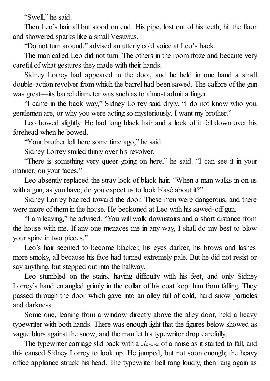"Swell," he said.

Then Leo's hair all but stood on end. His pipe, lost out of his teeth, hit the floor and showered sparks like a small Vesuvius.

"Do not turn around," advised an utterly cold voice at Leo's back.

The man called Leo did not turn. The others in the room froze and became very careful of what gestures they made with their hands.

Sidney Lorrey had appeared in the door, and he held in one hand a small double-action revolver from which the barrel had been sawed. The calibre of the gun was great—its barrel diameter was such as to almost admit a finger.

"I came in the back way," Sidney Lorrey said dryly. "I do not know who you gentlemen are, or why you were acting so mysteriously. I want my brother."

Leo bowed slightly. He had long black hair and a lock of it fell down over his forehead when he bowed.

"Your brother left here some time ago," he said.

Sidney Lorrey smiled thinly over his revolver.

"There is something very queer going on here," he said. "I can see it in your manner, on your faces."

Leo absently replaced the stray lock of black hair. "When a man walks in on us with a gun, as you have, do you expect us to look blasé about it?"

Sidney Lorrey backed toward the door. These men were dangerous, and there were more of them in the house. He beckoned at Leo with his sawed-off gun.

"I am leaving," he advised. "You will walk downstairs and a short distance from the house with me. If any one menaces me in any way, I shall do my best to blow your spine in two pieces."

Leo's hair seemed to become blacker, his eyes darker, his brows and lashes more smoky, all because his face had turned extremely pale. But he did not resist or say anything, but stepped out into the hallway.

Leo stumbled on the stairs, having difficulty with his feet, and only Sidney Lorrey's hand entangled grimly in the collar of his coat kept him from falling. They passed through the door which gave into an alley full of cold, hard snow particles and darkness.

Some one, leaning from a window directly above the alley door, held a heavy typewriter with both hands. There was enough light that the figures below showed as vague blurs against the snow, and the man let his typewriter drop carefully.

The typewriter carriage slid back with a *ziz-z-z* of a noise as it started to fall, and this caused Sidney Lorrey to look up. He jumped, but not soon enough; the heavy office appliance struck his head. The typewriter bell rang loudly, then rang again as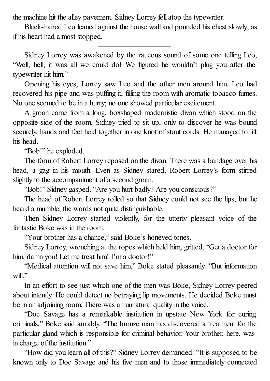the machine hit the alley pavement. Sidney Lorrey fell atop the typewriter.

Black-haired Leo leaned against the house wall and pounded his chest slowly, as if his heart had almost stopped.

Sidney Lorrey was awakened by the raucous sound of some one telling Leo, "Well, hell, it was all we could do! We figured he wouldn't plug you after the typewriter hit him."

Opening his eyes, Lorrey saw Leo and the other men around him. Leo had recovered his pipe and was puffing it, filling the room with aromatic tobacco fumes. No one seemed to be in a hurry; no one showed particular excitement.

A groan came from a long, boxshaped modernistic divan which stood on the opposite side of the room. Sidney tried to sit up, only to discover he was bound securely, hands and feet held together in one knot of stout cords. He managed to lift his head.

"Bob!" he exploded.

The form of Robert Lorrey reposed on the divan. There was a bandage over his head, a gag in his mouth. Even as Sidney stared, Robert Lorrey's form stirred slightly to the accompaniment of a second groan.

"Bob!" Sidney gasped. "Are you hurt badly? Are you conscious?"

The head of Robert Lorrey rolled so that Sidney could not see the lips, but he heard a mumble, the words not quite distinguishable.

Then Sidney Lorrey started violently, for the utterly pleasant voice of the fantastic Boke was in the room.

"Your brother has a chance," said Boke's honeyed tones.

Sidney Lorrey, wrenching at the ropes which held him, gritted, "Get a doctor for him, damn you! Let me treat him! I'm a doctor!"

"Medical attention will not save him," Boke stated pleasantly. "But information will."

In an effort to see just which one of the men was Boke, Sidney Lorrey peered about intently. He could detect no betraying lip movements. He decided Boke must be in an adjoining room. There was an unnatural quality in the voice.

"Doc Savage has a remarkable institution in upstate New York for curing criminals," Boke said amiably. "The bronze man has discovered a treatment for the particular gland which is responsible for criminal behavior. Your brother, here, was in charge of the institution."

"How did you learn all of this?" Sidney Lorrey demanded. "It is supposed to be known only to Doc Savage and his five men and to those immediately connected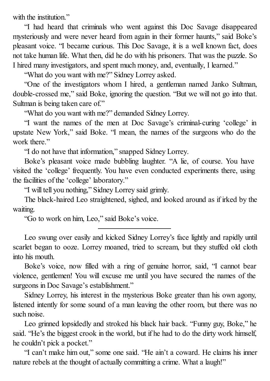with the institution."

"I had heard that criminals who went against this Doc Savage disappeared mysteriously and were never heard from again in their former haunts," said Boke's pleasant voice. "I became curious. This Doc Savage, it is a well known fact, does not take human life. What then, did he do with his prisoners. That was the puzzle. So I hired many investigators, and spent much money, and, eventually, I learned."

"What do you want with me?" Sidney Lorrey asked.

"One of the investigators whom I hired, a gentleman named Janko Sultman, double-crossed me," said Boke, ignoring the question. "But we will not go into that. Sultman is being taken care of."

"What do you want with me?" demanded Sidney Lorrey.

"I want the names of the men at Doc Savage's criminal-curing 'college' in upstate New York," said Boke. "I mean, the names of the surgeons who do the work there."

"I do not have that information," snapped Sidney Lorrey.

Boke's pleasant voice made bubbling laughter. "A lie, of course. You have visited the 'college' frequently. You have even conducted experiments there, using the facilities of the 'college' laboratory."

"I will tell you nothing," Sidney Lorrey said grimly.

The black-haired Leo straightened, sighed, and looked around as if irked by the waiting.

"Go to work on him, Leo," said Boke's voice.

Leo swung over easily and kicked Sidney Lorrey's face lightly and rapidly until scarlet began to ooze. Lorrey moaned, tried to scream, but they stuffed old cloth into his mouth.

Boke's voice, now filled with a ring of genuine horror, said, "I cannot bear violence, gentlemen! You will excuse me until you have secured the names of the surgeons in Doc Savage's establishment."

Sidney Lorrey, his interest in the mysterious Boke greater than his own agony, listened intently for some sound of a man leaving the other room, but there was no such noise.

Leo grinned lopsidedly and stroked his black hair back. "Funny guy, Boke," he said. "He's the biggest crook in the world, but if he had to do the dirty work himself, he couldn't pick a pocket."

"I can't make him out," some one said. "He ain't a coward. He claims his inner nature rebels at the thought of actually committing a crime. What a laugh!"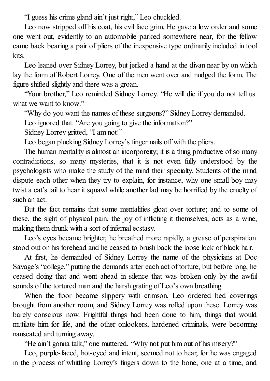"I guess his crime gland ain't just right," Leo chuckled.

Leo now stripped off his coat, his evil face grim. He gave a low order and some one went out, evidently to an automobile parked somewhere near, for the fellow came back bearing a pair of pliers of the inexpensive type ordinarily included in tool kits.

Leo leaned over Sidney Lorrey, but jerked a hand at the divan near by on which lay the form of Robert Lorrey. One of the men went over and nudged the form. The figure shifted slightly and there was a groan.

"Your brother," Leo reminded Sidney Lorrey. "He will die if you do not tell us what we want to know"

"Why do you want the names of these surgeons?" Sidney Lorrey demanded.

Leo ignored that. "Are you going to give the information?"

Sidney Lorrey gritted, "I am not!"

Leo began plucking Sidney Lorrey's finger nails off with the pliers.

The human mentality is almost an incorporeity; it is a thing productive of so many contradictions, so many mysteries, that it is not even fully understood by the psychologists who make the study of the mind their specialty. Students of the mind dispute each other when they try to explain, for instance, why one small boy may twist a cat's tail to hear it squawl while another lad may be horrified by the cruelty of such an act.

But the fact remains that some mentalities gloat over torture; and to some of these, the sight of physical pain, the joy of inflicting it themselves, acts as a wine, making them drunk with a sort of infernal ecstasy.

Leo's eyes became brighter, he breathed more rapidly, a grease of perspiration stood out on his forehead and he ceased to brush back the loose lock of black hair.

At first, he demanded of Sidney Lorrey the name of the physicians at Doc Savage's "college," putting the demands after each act of torture, but before long, he ceased doing that and went ahead in silence that was broken only by the awful sounds of the tortured man and the harsh grating of Leo's own breathing.

When the floor became slippery with crimson, Leo ordered bed coverings brought from another room, and Sidney Lorrey was rolled upon these. Lorrey was barely conscious now. Frightful things had been done to him, things that would mutilate him for life, and the other onlookers, hardened criminals, were becoming nauseated and turning away.

"He ain't gonna talk," one muttered. "Why not put him out of his misery?"

Leo, purple-faced, hot-eyed and intent, seemed not to hear, for he was engaged in the process of whittling Lorrey's fingers down to the bone, one at a time, and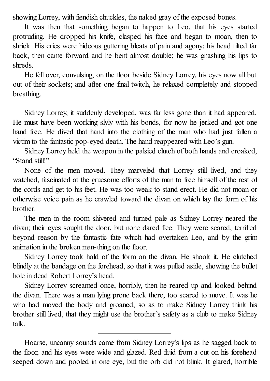showing Lorrey, with fiendish chuckles, the naked gray of the exposed bones.

It was then that something began to happen to Leo, that his eyes started protruding. He dropped his knife, clasped his face and began to moan, then to shriek. His cries were hideous guttering bleats of pain and agony; his head tilted far back, then came forward and he bent almost double; he was gnashing his lips to shreds.

He fell over, convulsing, on the floor beside Sidney Lorrey, his eyes now all but out of their sockets; and after one final twitch, he relaxed completely and stopped breathing.

Sidney Lorrey, it suddenly developed, was far less gone than it had appeared. He must have been working slyly with his bonds, for now he jerked and got one hand free. He dived that hand into the clothing of the man who had just fallen a victim to the fantastic pop-eyed death. The hand reappeared with Leo's gun.

Sidney Lorrey held the weapon in the palsied clutch of both hands and croaked, "Stand still!"

None of the men moved. They marveled that Lorrey still lived, and they watched, fascinated at the gruesome efforts of the man to free himself of the rest of the cords and get to his feet. He was too weak to stand erect. He did not moan or otherwise voice pain as he crawled toward the divan on which lay the form of his brother.

The men in the room shivered and turned pale as Sidney Lorrey neared the divan; their eyes sought the door, but none dared flee. They were scared, terrified beyond reason by the fantastic fate which had overtaken Leo, and by the grim animation in the broken man-thing on the floor.

Sidney Lorrey took hold of the form on the divan. He shook it. He clutched blindly at the bandage on the forehead, so that it was pulled aside, showing the bullet hole in dead Robert Lorrey's head.

Sidney Lorrey screamed once, horribly, then he reared up and looked behind the divan. There was a man lying prone back there, too scared to move. It was he who had moved the body and groaned, so as to make Sidney Lorrey think his brother still lived, that they might use the brother's safety as a club to make Sidney talk.

Hoarse, uncanny sounds came from Sidney Lorrey's lips as he sagged back to the floor, and his eyes were wide and glazed. Red fluid from a cut on his forehead seeped down and pooled in one eye, but the orb did not blink. It glared, horrible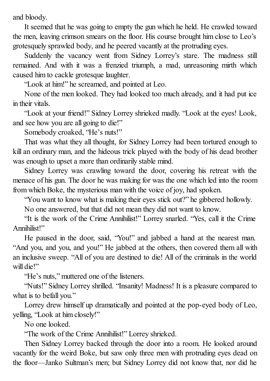and bloody.

It seemed that he was going to empty the gun which he held. He crawled toward the men, leaving crimson smears on the floor. His course brought him close to Leo's grotesquely sprawled body, and he peered vacantly at the protruding eyes.

Suddenly the vacancy went from Sidney Lorrey's stare. The madness still remained. And with it was a frenzied triumph, a mad, unreasoning mirth which caused him to cackle grotesque laughter.

"Look at him!" he screamed, and pointed at Leo.

None of the men looked. They had looked too much already, and it had put ice in their vitals.

"Look at your friend!" Sidney Lorrey shrieked madly. "Look at the eyes! Look, and see how you are all going to die!"

Somebody croaked, "He's nuts!"

That was what they all thought, for Sidney Lorrey had been tortured enough to kill an ordinary man, and the hideous trick played with the body of his dead brother was enough to upset a more than ordinarily stable mind.

Sidney Lorrey was crawling toward the door, covering his retreat with the menace of his gun. The door he was making for was the one which led into the room from which Boke, the mysterious man with the voice of joy, had spoken.

"You want to know what is making their eyes stick out?" he gibbered hollowly.

No one answered, but that did not mean they did not want to know.

"It is the work of the Crime Annihilist!" Lorrey snarled. "Yes, call it the Crime Annihilist!"

He paused in the door, said, "You!" and jabbed a hand at the nearest man. "And you, and you, and you!" He jabbed at the others, then covered them all with an inclusive sweep. "All of you are destined to die! All of the criminals in the world will die!"

"He's nuts," muttered one of the listeners.

"Nuts!" Sidney Lorrey shrilled. "Insanity! Madness! It is a pleasure compared to what is to befall you."

Lorrey drew himself up dramatically and pointed at the pop-eyed body of Leo, yelling, "Look at him closely!"

No one looked.

"The work of the Crime Annihilist!" Lorrey shrieked.

Then Sidney Lorrey backed through the door into a room. He looked around vacantly for the weird Boke, but saw only three men with protruding eyes dead on the floor—Janko Sultman's men; but Sidney Lorrey did not know that, nor did he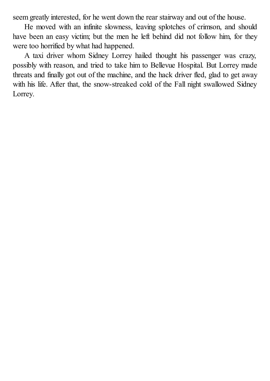seem greatly interested, for he went down the rear stairway and out of the house.

He moved with an infinite slowness, leaving splotches of crimson, and should have been an easy victim; but the men he left behind did not follow him, for they were too horrified by what had happened.

A taxi driver whom Sidney Lorrey hailed thought his passenger was crazy, possibly with reason, and tried to take him to Bellevue Hospital. But Lorrey made threats and finally got out of the machine, and the hack driver fled, glad to get away with his life. After that, the snow-streaked cold of the Fall night swallowed Sidney Lorrey.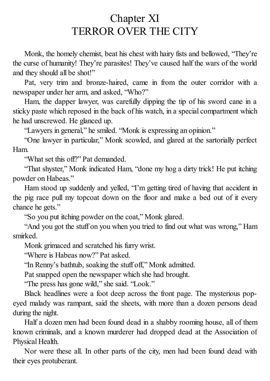## Chapter XI TERROR OVER THE CITY

Monk, the homely chemist, beat his chest with hairy fists and bellowed, "They're the curse of humanity! They're parasites! They've caused half the wars of the world and they should all be shot!"

Pat, very trim and bronze-haired, came in from the outer corridor with a newspaper under her arm, and asked, "Who?"

Ham, the dapper lawyer, was carefully dipping the tip of his sword cane in a sticky paste which reposed in the back of his watch, in a special compartment which he had unscrewed. He glanced up.

"Lawyers in general," he smiled. "Monk is expressing an opinion."

"One lawyer in particular," Monk scowled, and glared at the sartorially perfect Ham.

"What set this off?" Pat demanded.

"That shyster," Monk indicated Ham, "done my hog a dirty trick! He put itching powder on Habeas."

Ham stood up suddenly and yelled, "I'm getting tired of having that accident in the pig race pull my topcoat down on the floor and make a bed out of it every chance he gets."

"So you put itching powder on the coat," Monk glared.

"And you got the stuff on you when you tried to find out what was wrong," Ham smirked.

Monk grimaced and scratched his furry wrist.

"Where is Habeas now?" Pat asked.

"In Renny's bathtub, soaking the stuff off," Monk admitted.

Pat snapped open the newspaper which she had brought.

"The press has gone wild," she said. "Look."

Black headlines were a foot deep across the front page. The mysterious popeyed malady was rampant, said the sheets, with more than a dozen persons dead during the night.

Half a dozen men had been found dead in a shabby rooming house, all of them known criminals, and a known murderer had dropped dead at the Association of Physical Health.

Nor were these all. In other parts of the city, men had been found dead with their eyes protuberant.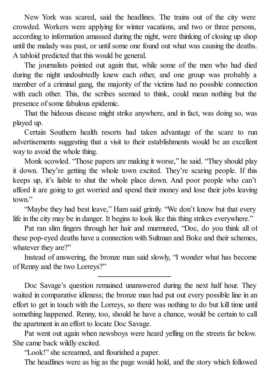New York was scared, said the headlines. The trains out of the city were crowded. Workers were applying for winter vacations, and two or three persons, according to information amassed during the night, were thinking of closing up shop until the malady was past, or until some one found out what was causing the deaths. A tabloid predicted that this would be general.

The journalists pointed out again that, while some of the men who had died during the night undoubtedly knew each other, and one group was probably a member of a criminal gang, the majority of the victims had no possible connection with each other. This, the scribes seemed to think, could mean nothing but the presence of some fabulous epidemic.

That the hideous disease might strike anywhere, and in fact, was doing so, was played up.

Certain Southern health resorts had taken advantage of the scare to run advertisements suggesting that a visit to their establishments would be an excellent way to avoid the whole thing.

Monk scowled. "Those papers are making it worse," he said. "They should play it down. They're getting the whole town excited. They're scaring people. If this keeps up, it's liable to shut the whole place down. And poor people who can't afford it are going to get worried and spend their money and lose their jobs leaving town."

"Maybe they had best leave," Ham said grimly. "We don't know but that every life in the city may be in danger. It begins to look like this thing strikes everywhere."

Pat ran slim fingers through her hair and murmured, "Doc, do you think all of these pop-eyed deaths have a connection with Sultman and Boke and their schemes, whatever they are?"

Instead of answering, the bronze man said slowly, "I wonder what has become of Renny and the two Lorreys?"

Doc Savage's question remained unanswered during the next half hour. They waited in comparative idleness; the bronze man had put out every possible line in an effort to get in touch with the Lorreys, so there was nothing to do but kill time until something happened. Renny, too, should he have a chance, would be certain to call the apartment in an effort to locate Doc Savage.

Pat went out again when newsboys were heard yelling on the streets far below. She came back wildly excited.

"Look!" she screamed, and flourished a paper.

The headlines were as big as the page would hold, and the story which followed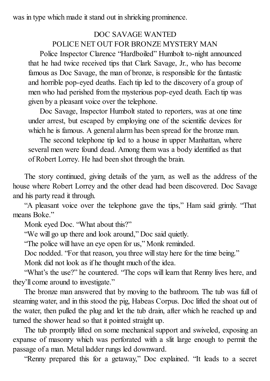was in type which made it stand out in shrieking prominence.

#### DOC SAVAGE WANTED POLICE NET OUT FOR BRONZE MYSTERY MAN

Police Inspector Clarence "Hardboiled" Humbolt to-night announced that he had twice received tips that Clark Savage, Jr., who has become famous as Doc Savage, the man of bronze, is responsible for the fantastic and horrible pop-eyed deaths. Each tip led to the discovery of a group of men who had perished from the mysterious pop-eyed death. Each tip was given by a pleasant voice over the telephone.

Doc Savage, Inspector Humbolt stated to reporters, was at one time under arrest, but escaped by employing one of the scientific devices for which he is famous. A general alarm has been spread for the bronze man.

The second telephone tip led to a house in upper Manhattan, where several men were found dead. Among them was a body identified as that of Robert Lorrey. He had been shot through the brain.

The story continued, giving details of the yarn, as well as the address of the house where Robert Lorrey and the other dead had been discovered. Doc Savage and his party read it through.

"A pleasant voice over the telephone gave the tips," Ham said grimly. "That means Boke."

Monk eyed Doc. "What about this?"

"We will go up there and look around," Doc said quietly.

"The police will have an eye open for us," Monk reminded.

Doc nodded. "For that reason, you three will stay here for the time being."

Monk did not look as if he thought much of the idea.

"What's the use?" he countered. "The cops will learn that Renny lives here, and they'll come around to investigate."

The bronze man answered that by moving to the bathroom. The tub was full of steaming water, and in this stood the pig, Habeas Corpus. Doc lifted the shoat out of the water, then pulled the plug and let the tub drain, after which he reached up and turned the shower head so that it pointed straight up.

The tub promptly lifted on some mechanical support and swiveled, exposing an expanse of masonry which was perforated with a slit large enough to permit the passage of a man. Metal ladder rungs led downward.

"Renny prepared this for a getaway," Doc explained. "It leads to a secret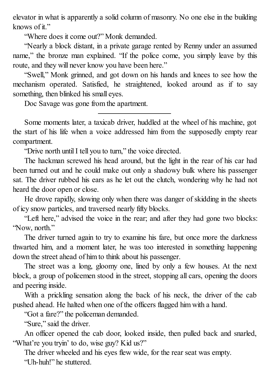elevator in what is apparently a solid column of masonry. No one else in the building knows of it."

"Where does it come out?" Monk demanded.

"Nearly a block distant, in a private garage rented by Renny under an assumed name," the bronze man explained. "If the police come, you simply leave by this route, and they will never know you have been here."

"Swell," Monk grinned, and got down on his hands and knees to see how the mechanism operated. Satisfied, he straightened, looked around as if to say something, then blinked his small eyes.

Doc Savage was gone from the apartment.

Some moments later, a taxicab driver, huddled at the wheel of his machine, got the start of his life when a voice addressed him from the supposedly empty rear compartment.

"Drive north until I tell you to turn," the voice directed.

The hackman screwed his head around, but the light in the rear of his car had been turned out and he could make out only a shadowy bulk where his passenger sat. The driver rubbed his ears as he let out the clutch, wondering why he had not heard the door open or close.

He drove rapidly, slowing only when there was danger of skidding in the sheets of icy snow particles, and traversed nearly fifty blocks.

"Left here," advised the voice in the rear; and after they had gone two blocks: "Now, north."

The driver turned again to try to examine his fare, but once more the darkness thwarted him, and a moment later, he was too interested in something happening down the street ahead of him to think about his passenger.

The street was a long, gloomy one, lined by only a few houses. At the next block, a group of policemen stood in the street, stopping all cars, opening the doors and peering inside.

With a prickling sensation along the back of his neck, the driver of the cab pushed ahead. He halted when one of the officers flagged him with a hand.

"Got a fare?" the policeman demanded.

"Sure," said the driver.

An officer opened the cab door, looked inside, then pulled back and snarled, "What're you tryin' to do, wise guy? Kid us?"

The driver wheeled and his eyes flew wide, for the rear seat was empty.

"Uh-huh!" he stuttered.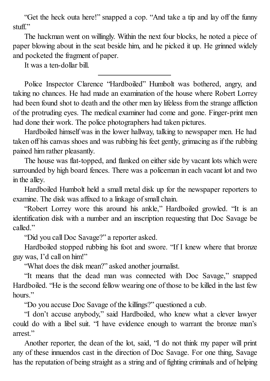"Get the heck outa here!" snapped a cop. "And take a tip and lay off the funny stuff"

The hackman went on willingly. Within the next four blocks, he noted a piece of paper blowing about in the seat beside him, and he picked it up. He grinned widely and pocketed the fragment of paper.

It was a ten-dollar bill.

Police Inspector Clarence "Hardboiled" Humbolt was bothered, angry, and taking no chances. He had made an examination of the house where Robert Lorrey had been found shot to death and the other men lay lifeless from the strange affliction of the protruding eyes. The medical examiner had come and gone. Finger-print men had done their work. The police photographers had taken pictures.

Hardboiled himself was in the lower hallway, talking to newspaper men. He had taken off his canvas shoes and was rubbing his feet gently, grimacing as if the rubbing pained him rather pleasantly.

The house was flat-topped, and flanked on either side by vacant lots which were surrounded by high board fences. There was a policeman in each vacant lot and two in the alley.

Hardboiled Humbolt held a small metal disk up for the newspaper reporters to examine. The disk was affixed to a linkage of small chain.

"Robert Lorrey wore this around his ankle," Hardboiled growled. "It is an identification disk with a number and an inscription requesting that Doc Savage be called."

"Did you call Doc Savage?" a reporter asked.

Hardboiled stopped rubbing his foot and swore. "If I knew where that bronze guy was, I'd call on him!"

"What does the disk mean?" asked another journalist.

"It means that the dead man was connected with Doc Savage," snapped Hardboiled. "He is the second fellow wearing one of those to be killed in the last few hours<sup>"</sup>

"Do you accuse Doc Savage of the killings?" questioned a cub.

"I don't accuse anybody," said Hardboiled, who knew what a clever lawyer could do with a libel suit. "I have evidence enough to warrant the bronze man's arrest<sup>"</sup>

Another reporter, the dean of the lot, said, "I do not think my paper will print any of these innuendos cast in the direction of Doc Savage. For one thing, Savage has the reputation of being straight as a string and of fighting criminals and of helping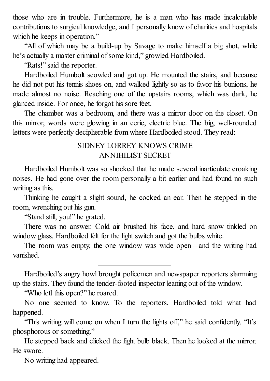those who are in trouble. Furthermore, he is a man who has made incalculable contributions to surgical knowledge, and I personally know of charities and hospitals which he keeps in operation."

"All of which may be a build-up by Savage to make himself a big shot, while he's actually a master criminal of some kind," growled Hardboiled.

"Rats!" said the reporter.

Hardboiled Humbolt scowled and got up. He mounted the stairs, and because he did not put his tennis shoes on, and walked lightly so as to favor his bunions, he made almost no noise. Reaching one of the upstairs rooms, which was dark, he glanced inside. For once, he forgot his sore feet.

The chamber was a bedroom, and there was a mirror door on the closet. On this mirror, words were glowing in an eerie, electric blue. The big, well-rounded letters were perfectly decipherable from where Hardboiled stood. They read:

### SIDNEY LORREY KNOWS CRIME ANNIHILIST SECRET

Hardboiled Humbolt was so shocked that he made several inarticulate croaking noises. He had gone over the room personally a bit earlier and had found no such writing as this.

Thinking he caught a slight sound, he cocked an ear. Then he stepped in the room, wrenching out his gun.

"Stand still, you!" he grated.

There was no answer. Cold air brushed his face, and hard snow tinkled on window glass. Hardboiled felt for the light switch and got the bulbs white.

The room was empty, the one window was wide open—and the writing had vanished.

Hardboiled's angry howl brought policemen and newspaper reporters slamming up the stairs. They found the tender-footed inspector leaning out of the window.

"Who left this open?" he roared.

No one seemed to know. To the reporters, Hardboiled told what had happened.

"This writing will come on when I turn the lights off," he said confidently. "It's phosphorous or something."

He stepped back and clicked the fight bulb black. Then he looked at the mirror. He swore.

No writing had appeared.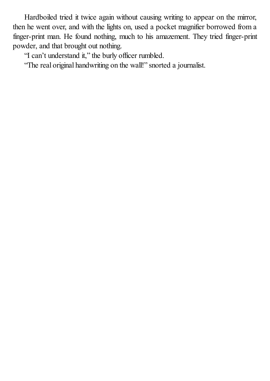Hardboiled tried it twice again without causing writing to appear on the mirror, then he went over, and with the lights on, used a pocket magnifier borrowed from a finger-print man. He found nothing, much to his amazement. They tried finger-print powder, and that brought out nothing.

"I can't understand it," the burly officer rumbled.

"The real original handwriting on the wall!" snorted a journalist.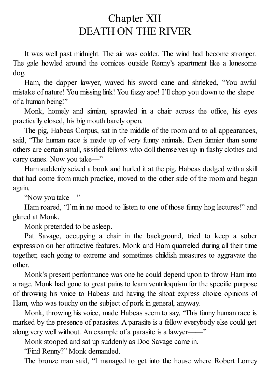### Chapter XII DEATH ON THE RIVER

It was well past midnight. The air was colder. The wind had become stronger. The gale howled around the cornices outside Renny's apartment like a lonesome dog.

Ham, the dapper lawyer, waved his sword cane and shrieked, "You awful mistake of nature! You missing link! You fuzzy ape! I'll chop you down to the shape of a human being!"

Monk, homely and simian, sprawled in a chair across the office, his eyes practically closed, his big mouth barely open.

The pig, Habeas Corpus, sat in the middle of the room and to all appearances, said, "The human race is made up of very funny animals. Even funnier than some others are certain small, sissified fellows who doll themselves up in flashy clothes and carry canes. Now you take—"

Ham suddenly seized a book and hurled it at the pig. Habeas dodged with a skill that had come from much practice, moved to the other side of the room and began again.

"Now you take—"

Ham roared, "I'm in no mood to listen to one of those funny hog lectures!" and glared at Monk.

Monk pretended to be asleep.

Pat Savage, occupying a chair in the background, tried to keep a sober expression on her attractive features. Monk and Ham quarreled during all their time together, each going to extreme and sometimes childish measures to aggravate the other.

Monk's present performance was one he could depend upon to throw Ham into a rage. Monk had gone to great pains to learn ventriloquism for the specific purpose of throwing his voice to Habeas and having the shoat express choice opinions of Ham, who was touchy on the subject of pork in general, anyway.

Monk, throwing his voice, made Habeas seem to say, "This funny human race is marked by the presence of parasites. A parasite is a fellow everybody else could get along very well without. An example of a parasite is a lawyer——"

Monk stooped and sat up suddenly as Doc Savage came in.

"Find Renny?" Monk demanded.

The bronze man said, "I managed to get into the house where Robert Lorrey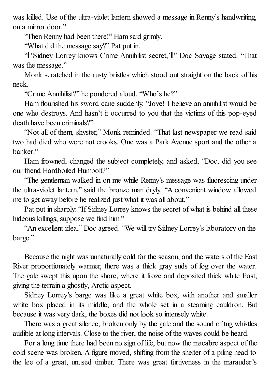was killed. Use of the ultra-violet lantern showed a message in Renny's handwriting, on a mirror door."

"Then Renny had been there!" Ham said grimly.

"What did the message say?" Pat put in.

"I 'Sidney Lorrey knows Crime Annihilist secret, I" Doc Savage stated. "That was the message."

Monk scratched in the rusty bristles which stood out straight on the back of his neck.

"Crime Annihilist?" he pondered aloud. "Who's he?"

Ham flourished his sword cane suddenly. "Jove! I believe an annihilist would be one who destroys. And hasn't it occurred to you that the victims of this pop-eyed death have been criminals?"

"Not all of them, shyster," Monk reminded. "That last newspaper we read said two had died who were not crooks. One was a Park Avenue sport and the other a banker."

Ham frowned, changed the subject completely, and asked, "Doc, did you see our friend Hardboiled Humbolt?"

"The gentleman walked in on me while Renny's message was fluorescing under the ultra-violet lantern," said the bronze man dryly. "A convenient window allowed me to get away before he realized just what it was all about."

Pat put in sharply: "If Sidney Lorrey knows the secret of what is behind all these hideous killings, suppose we find him."

"An excellent idea," Doc agreed. "We will try Sidney Lorrey's laboratory on the barge."

Because the night was unnaturally cold for the season, and the waters of the East River proportionately warmer, there was a thick gray suds of fog over the water. The gale swept this upon the shore, where it froze and deposited thick white frost, giving the terrain a ghostly, Arctic aspect.

Sidney Lorrey's barge was like a great white box, with another and smaller white box placed in its middle, and the whole set in a steaming cauldron. But because it was very dark, the boxes did not look so intensely white.

There was a great silence, broken only by the gale and the sound of tug whistles audible at long intervals. Close to the river, the noise of the waves could be heard.

For a long time there had been no sign of life, but now the macabre aspect of the cold scene was broken. A figure moved, shifting from the shelter of a piling head to the lee of a great, unused timber. There was great furtiveness in the marauder's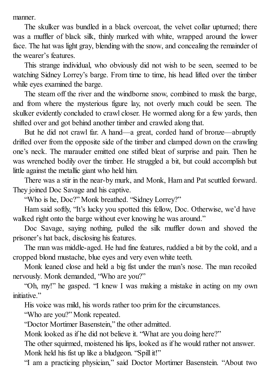manner.

The skulker was bundled in a black overcoat, the velvet collar upturned; there was a muffler of black silk, thinly marked with white, wrapped around the lower face. The hat was light gray, blending with the snow, and concealing the remainder of the wearer's features.

This strange individual, who obviously did not wish to be seen, seemed to be watching Sidney Lorrey's barge. From time to time, his head lifted over the timber while eyes examined the barge.

The steam off the river and the windborne snow, combined to mask the barge, and from where the mysterious figure lay, not overly much could be seen. The skulker evidently concluded to crawl closer. He wormed along for a few yards, then shifted over and got behind another timber and crawled along that.

But he did not crawl far. A hand—a great, corded hand of bronze—abruptly drifted over from the opposite side of the timber and clamped down on the crawling one's neck. The marauder emitted one stifled bleat of surprise and pain. Then he was wrenched bodily over the timber. He struggled a bit, but could accomplish but little against the metallic giant who held him.

There was a stir in the near-by murk, and Monk, Ham and Pat scuttled forward. They joined Doc Savage and his captive.

"Who is he, Doc?" Monk breathed. "Sidney Lorrey?"

Ham said softly, "It's lucky you spotted this fellow, Doc. Otherwise, we'd have walked right onto the barge without ever knowing he was around."

Doc Savage, saying nothing, pulled the silk muffler down and shoved the prisoner's hat back, disclosing his features.

The man was middle-aged. He had fine features, ruddied a bit by the cold, and a cropped blond mustache, blue eyes and very even white teeth.

Monk leaned close and held a big fist under the man's nose. The man recoiled nervously. Monk demanded, "Who are you?"

"Oh, my!" he gasped. "I knew I was making a mistake in acting on my own initiative."

His voice was mild, his words rather too prim for the circumstances.

"Who are you?" Monk repeated.

"Doctor Mortimer Basenstein," the other admitted.

Monk looked as if he did not believe it. "What are you doing here?"

The other squirmed, moistened his lips, looked as if he would rather not answer. Monk held his fist up like a bludgeon. "Spill it!"

"I am a practicing physician," said Doctor Mortimer Basenstein. "About two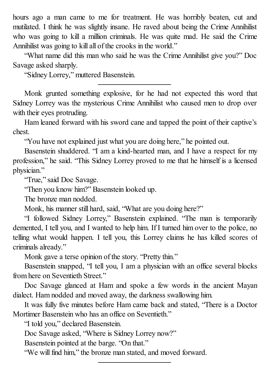hours ago a man came to me for treatment. He was horribly beaten, cut and mutilated. I think he was slightly insane. He raved about being the Crime Annihilist who was going to kill a million criminals. He was quite mad. He said the Crime Annihilist was going to kill all of the crooks in the world."

"What name did this man who said he was the Crime Annihilist give you?" Doc Savage asked sharply.

"Sidney Lorrey," muttered Basenstein.

Monk grunted something explosive, for he had not expected this word that Sidney Lorrey was the mysterious Crime Annihilist who caused men to drop over with their eyes protruding.

Ham leaned forward with his sword cane and tapped the point of their captive's chest.

"You have not explained just what you are doing here," he pointed out.

Basenstein shuddered. "I am a kind-hearted man, and I have a respect for my profession," he said. "This Sidney Lorrey proved to me that he himself is a licensed physician."

"True," said Doc Savage.

"Then you know him?" Basenstein looked up.

The bronze man nodded.

Monk, his manner still hard, said, "What are you doing here?"

"I followed Sidney Lorrey," Basenstein explained. "The man is temporarily demented, I tell you, and I wanted to help him. If I turned him over to the police, no telling what would happen. I tell you, this Lorrey claims he has killed scores of criminals already."

Monk gave a terse opinion of the story. "Pretty thin."

Basenstein snapped, "I tell you, I am a physician with an office several blocks from here on Seventieth Street."

Doc Savage glanced at Ham and spoke a few words in the ancient Mayan dialect. Ham nodded and moved away, the darkness swallowing him.

It was fully five minutes before Ham came back and stated, "There is a Doctor Mortimer Basenstein who has an office on Seventieth."

"I told you," declared Basenstein.

Doc Savage asked, "Where is Sidney Lorrey now?"

Basenstein pointed at the barge. "On that."

"We will find him," the bronze man stated, and moved forward.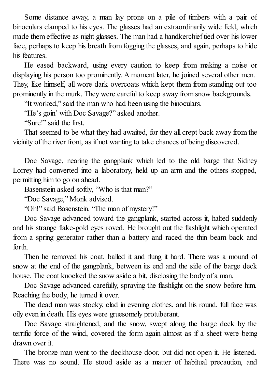Some distance away, a man lay prone on a pile of timbers with a pair of binoculars clamped to his eyes. The glasses had an extraordinarily wide field, which made them effective as night glasses. The man had a handkerchief tied over his lower face, perhaps to keep his breath from fogging the glasses, and again, perhaps to hide his features.

He eased backward, using every caution to keep from making a noise or displaying his person too prominently. A moment later, he joined several other men. They, like himself, all wore dark overcoats which kept them from standing out too prominently in the murk. They were careful to keep away from snow backgrounds.

"It worked," said the man who had been using the binoculars.

"He's goin' with Doc Savage?" asked another.

"Sure!" said the first.

That seemed to be what they had awaited, for they all crept back away from the vicinity of the river front, as if not wanting to take chances of being discovered.

Doc Savage, nearing the gangplank which led to the old barge that Sidney Lorrey had converted into a laboratory, held up an arm and the others stopped, permitting him to go on ahead.

Basenstein asked softly, "Who is that man?"

"Doc Savage," Monk advised.

"Oh!" said Basenstein. "The man of mystery!"

Doc Savage advanced toward the gangplank, started across it, halted suddenly and his strange flake-gold eyes roved. He brought out the flashlight which operated from a spring generator rather than a battery and raced the thin beam back and forth.

Then he removed his coat, balled it and flung it hard. There was a mound of snow at the end of the gangplank, between its end and the side of the barge deck house. The coat knocked the snow aside a bit, disclosing the body of a man.

Doc Savage advanced carefully, spraying the flashlight on the snow before him. Reaching the body, he turned it over.

The dead man was stocky, clad in evening clothes, and his round, full face was oily even in death. His eyes were gruesomely protuberant.

Doc Savage straightened, and the snow, swept along the barge deck by the terrific force of the wind, covered the form again almost as if a sheet were being drawn over it.

The bronze man went to the deckhouse door, but did not open it. He listened. There was no sound. He stood aside as a matter of habitual precaution, and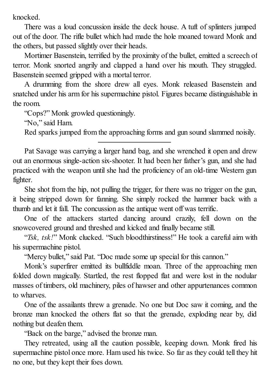knocked.

There was a loud concussion inside the deck house. A tuft of splinters jumped out of the door. The rifle bullet which had made the hole moaned toward Monk and the others, but passed slightly over their heads.

Mortimer Basenstein, terrified by the proximity of the bullet, emitted a screech of terror. Monk snorted angrily and clapped a hand over his mouth. They struggled. Basenstein seemed gripped with a mortal terror.

A drumming from the shore drew all eyes. Monk released Basenstein and snatched under his arm for his supermachine pistol. Figures became distinguishable in the room.

"Cops?" Monk growled questioningly.

"No," said Ham.

Red sparks jumped from the approaching forms and gun sound slammed noisily.

Pat Savage was carrying a larger hand bag, and she wrenched it open and drew out an enormous single-action six-shooter. It had been her father's gun, and she had practiced with the weapon until she had the proficiency of an old-time Western gun fighter.

She shot from the hip, not pulling the trigger, for there was no trigger on the gun, it being stripped down for fanning. She simply rocked the hammer back with a thumb and let it fall. The concussion as the antique went off was terrific.

One of the attackers started dancing around crazily, fell down on the snowcovered ground and threshed and kicked and finally became still.

"*Tsk, tsk!*" Monk clucked. "Such bloodthirstiness!" He took a careful aim with his supermachine pistol.

"Mercy bullet," said Pat. "Doc made some up special for this cannon."

Monk's superfirer emitted its bullfiddle moan. Three of the approaching men folded down magically. Startled, the rest flopped flat and were lost in the nodular masses of timbers, old machinery, piles of hawser and other appurtenances common to wharves.

One of the assailants threw a grenade. No one but Doc saw it coming, and the bronze man knocked the others flat so that the grenade, exploding near by, did nothing but deafen them.

"Back on the barge," advised the bronze man.

They retreated, using all the caution possible, keeping down. Monk fired his supermachine pistol once more. Ham used his twice. So far as they could tell they hit no one, but they kept their foes down.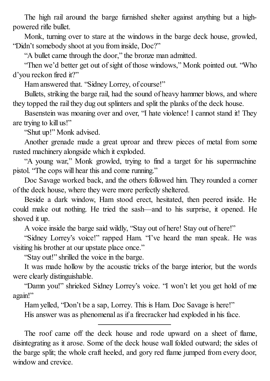The high rail around the barge furnished shelter against anything but a highpowered rifle bullet.

Monk, turning over to stare at the windows in the barge deck house, growled, "Didn't somebody shoot at you from inside, Doc?"

"A bullet came through the door," the bronze man admitted.

"Then we'd better get out of sight of those windows," Monk pointed out. "Who d'you reckon fired it?"

Ham answered that. "Sidney Lorrey, of course!"

Bullets, striking the barge rail, had the sound of heavy hammer blows, and where they topped the rail they dug out splinters and split the planks of the deck house.

Basenstein was moaning over and over, "I hate violence! I cannot stand it! They are trying to kill us!"

"Shut up!" Monk advised.

Another grenade made a great uproar and threw pieces of metal from some rusted machinery alongside which it exploded.

"A young war," Monk growled, trying to find a target for his supermachine pistol. "The cops will hear this and come running."

Doc Savage worked back, and the others followed him. They rounded a corner of the deck house, where they were more perfectly sheltered.

Beside a dark window, Ham stood erect, hesitated, then peered inside. He could make out nothing. He tried the sash—and to his surprise, it opened. He shoved it up.

A voice inside the barge said wildly, "Stay out of here! Stay out of here!"

"Sidney Lorrey's voice!" rapped Ham. "I've heard the man speak. He was visiting his brother at our upstate place once."

"Stay out!" shrilled the voice in the barge.

It was made hollow by the acoustic tricks of the barge interior, but the words were clearly distinguishable.

"Damn you!" shrieked Sidney Lorrey's voice. "I won't let you get hold of me again!"

Ham yelled, "Don't be a sap, Lorrey. This is Ham. Doc Savage is here!"

His answer was as phenomenal as if a firecracker had exploded in his face.

The roof came off the deck house and rode upward on a sheet of flame, disintegrating as it arose. Some of the deck house wall folded outward; the sides of the barge split; the whole craft heeled, and gory red flame jumped from every door, window and crevice.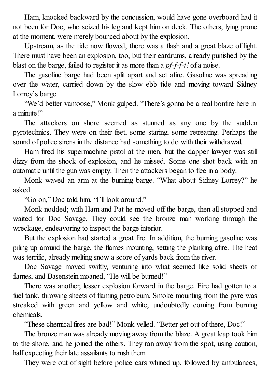Ham, knocked backward by the concussion, would have gone overboard had it not been for Doc, who seized his leg and kept him on deck. The others, lying prone at the moment, were merely bounced about by the explosion.

Upstream, as the tide now flowed, there was a flash and a great blaze of light. There must have been an explosion, too, but their eardrums, already punished by the blast on the barge, failed to register it as more than a *pf-f-f-t!* of a noise.

The gasoline barge had been split apart and set afire. Gasoline was spreading over the water, carried down by the slow ebb tide and moving toward Sidney Lorrey's barge.

"We'd better vamoose," Monk gulped. "There's gonna be a real bonfire here in a minute!"

The attackers on shore seemed as stunned as any one by the sudden pyrotechnics. They were on their feet, some staring, some retreating. Perhaps the sound of police sirens in the distance had something to do with their withdrawal.

Ham fired his supermachine pistol at the men, but the dapper lawyer was still dizzy from the shock of explosion, and he missed. Some one shot back with an automatic until the gun was empty. Then the attackers began to flee in a body.

Monk waved an arm at the burning barge. "What about Sidney Lorrey?" he asked.

"Go on," Doc told him. "I'll look around."

Monk nodded; with Ham and Pat he moved off the barge, then all stopped and waited for Doc Savage. They could see the bronze man working through the wreckage, endeavoring to inspect the barge interior.

But the explosion had started a great fire. In addition, the burning gasoline was piling up around the barge, the flames mounting, setting the planking afire. The heat was terrific, already melting snow a score of yards back from the river.

Doc Savage moved swiftly, venturing into what seemed like solid sheets of flames, and Basenstein moaned, "He will be burned!"

There was another, lesser explosion forward in the barge. Fire had gotten to a fuel tank, throwing sheets of flaming petroleum. Smoke mounting from the pyre was streaked with green and yellow and white, undoubtedly coming from burning chemicals.

"These chemical fires are bad!" Monk yelled. "Better get out of there, Doc!"

The bronze man was already moving away from the blaze. A great leap took him to the shore, and he joined the others. They ran away from the spot, using caution, half expecting their late assailants to rush them.

They were out of sight before police cars whined up, followed by ambulances,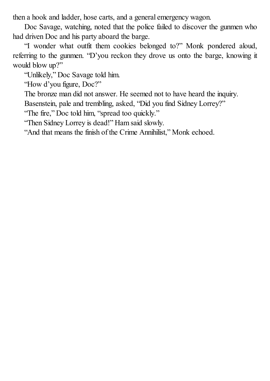then a hook and ladder, hose carts, and a general emergency wagon.

Doc Savage, watching, noted that the police failed to discover the gunmen who had driven Doc and his party aboard the barge.

"I wonder what outfit them cookies belonged to?" Monk pondered aloud, referring to the gunmen. "D'you reckon they drove us onto the barge, knowing it would blow up?"

"Unlikely," Doc Savage told him.

"How d'you figure, Doc?"

The bronze man did not answer. He seemed not to have heard the inquiry.

Basenstein, pale and trembling, asked, "Did you find Sidney Lorrey?"

"The fire," Doc told him, "spread too quickly."

"Then Sidney Lorrey is dead!" Ham said slowly.

"And that means the finish of the Crime Annihilist," Monk echoed.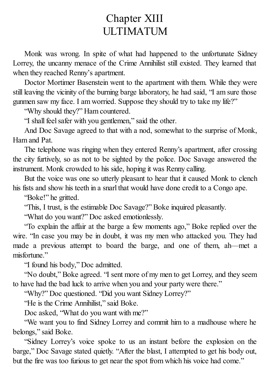# Chapter XIII ULTIMATUM

Monk was wrong. In spite of what had happened to the unfortunate Sidney Lorrey, the uncanny menace of the Crime Annihilist still existed. They learned that when they reached Renny's apartment.

Doctor Mortimer Basenstein went to the apartment with them. While they were still leaving the vicinity of the burning barge laboratory, he had said, "I am sure those gunmen saw my face. I am worried. Suppose they should try to take my life?"

"Why should they?" Ham countered.

"I shall feel safer with you gentlemen," said the other.

And Doc Savage agreed to that with a nod, somewhat to the surprise of Monk, Ham and Pat.

The telephone was ringing when they entered Renny's apartment, after crossing the city furtively, so as not to be sighted by the police. Doc Savage answered the instrument. Monk crowded to his side, hoping it was Renny calling.

But the voice was one so utterly pleasant to hear that it caused Monk to clench his fists and show his teeth in a snarl that would have done credit to a Congo ape.

"Boke!" he gritted.

"This, I trust, is the estimable Doc Savage?" Boke inquired pleasantly.

"What do you want?" Doc asked emotionlessly.

"To explain the affair at the barge a few moments ago," Boke replied over the wire. "In case you may be in doubt, it was my men who attacked you. They had made a previous attempt to board the barge, and one of them, ah—met a misfortune."

"I found his body," Doc admitted.

"No doubt," Boke agreed. "I sent more of my men to get Lorrey, and they seem to have had the bad luck to arrive when you and your party were there."

"Why?" Doc questioned. "Did you want Sidney Lorrey?"

"He is the Crime Annihilist," said Boke.

Doc asked, "What do you want with me?"

"We want you to find Sidney Lorrey and commit him to a madhouse where he belongs," said Boke.

"Sidney Lorrey's voice spoke to us an instant before the explosion on the barge," Doc Savage stated quietly. "After the blast, I attempted to get his body out, but the fire was too furious to get near the spot from which his voice had come."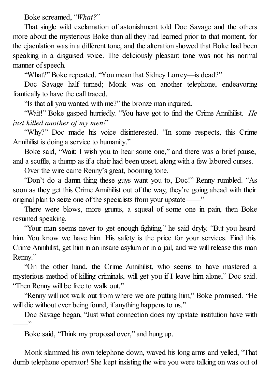Boke screamed, "*What?*"

That single wild exclamation of astonishment told Doc Savage and the others more about the mysterious Boke than all they had learned prior to that moment, for the ejaculation was in a different tone, and the alteration showed that Boke had been speaking in a disguised voice. The deliciously pleasant tone was not his normal manner of speech.

"What?" Boke repeated. "You mean that Sidney Lorrey—is dead?"

Doc Savage half turned; Monk was on another telephone, endeavoring frantically to have the call traced.

"Is that all you wanted with me?" the bronze man inquired.

"Wait!" Boke gasped hurriedly. "You have got to find the Crime Annihilist. *He just killed another of my men!*"

"Why?" Doc made his voice disinterested. "In some respects, this Crime Annihilist is doing a service to humanity."

Boke said, "Wait; I wish you to hear some one," and there was a brief pause, and a scuffle, a thump as if a chair had been upset, along with a few labored curses.

Over the wire came Renny's great, booming tone.

"Don't do a damn thing these guys want you to, Doc!" Renny rumbled. "As soon as they get this Crime Annihilist out of the way, they're going ahead with their original plan to seize one of the specialists from your upstate——"

There were blows, more grunts, a squeal of some one in pain, then Boke resumed speaking.

"Your man seems never to get enough fighting," he said dryly. "But you heard him. You know we have him. His safety is the price for your services. Find this Crime Annihilist, get him in an insane asylum or in a jail, and we will release this man Renny."

"On the other hand, the Crime Annihilist, who seems to have mastered a mysterious method of killing criminals, will get you if I leave him alone," Doc said. "Then Renny will be free to walk out."

"Renny will not walk out from where we are putting him," Boke promised. "He will die without ever being found, if anything happens to us."

Doc Savage began, "Just what connection does my upstate institution have with ——"

Boke said, "Think my proposal over," and hung up.

Monk slammed his own telephone down, waved his long arms and yelled, "That dumb telephone operator! She kept insisting the wire you were talking on was out of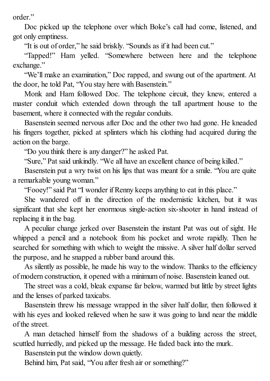order<sup>"</sup>

Doc picked up the telephone over which Boke's call had come, listened, and got only emptiness.

"It is out of order," he said briskly. "Sounds as if it had been cut."

"Tapped!" Ham yelled. "Somewhere between here and the telephone exchange."

"We'll make an examination," Doc rapped, and swung out of the apartment. At the door, he told Pat, "You stay here with Basenstein."

Monk and Ham followed Doc. The telephone circuit, they knew, entered a master conduit which extended down through the tall apartment house to the basement, where it connected with the regular conduits.

Basenstein seemed nervous after Doc and the other two had gone. He kneaded his fingers together, picked at splinters which his clothing had acquired during the action on the barge.

"Do you think there is any danger?" he asked Pat.

"Sure," Pat said unkindly. "We all have an excellent chance of being killed."

Basenstein put a wry twist on his lips that was meant for a smile. "You are quite a remarkable young woman."

"Fooey!" said Pat "I wonder if Renny keeps anything to eat in this place."

She wandered off in the direction of the modernistic kitchen, but it was significant that she kept her enormous single-action six-shooter in hand instead of replacing it in the bag.

A peculiar change jerked over Basenstein the instant Pat was out of sight. He whipped a pencil and a notebook from his pocket and wrote rapidly. Then he searched for something with which to weight the missive. A silver half dollar served the purpose, and he snapped a rubber band around this.

As silently as possible, he made his way to the window. Thanks to the efficiency of modern construction, it opened with a minimum of noise. Basenstein leaned out.

The street was a cold, bleak expanse far below, warmed but little by street lights and the lenses of parked taxicabs.

Basenstein threw his message wrapped in the silver half dollar, then followed it with his eyes and looked relieved when he saw it was going to land near the middle of the street.

A man detached himself from the shadows of a building across the street, scuttled hurriedly, and picked up the message. He faded back into the murk.

Basenstein put the window down quietly.

Behind him, Pat said, "You after fresh air or something?"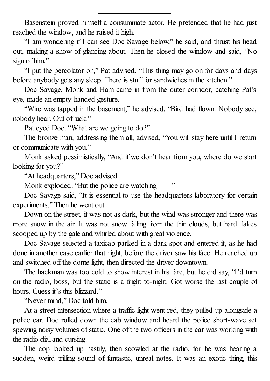Basenstein proved himself a consummate actor. He pretended that he had just reached the window, and he raised it high.

"I am wondering if I can see Doc Savage below," he said, and thrust his head out, making a show of glancing about. Then he closed the window and said, "No sign of him."

"I put the percolator on," Pat advised. "This thing may go on for days and days before anybody gets any sleep. There is stuff for sandwiches in the kitchen."

Doc Savage, Monk and Ham came in from the outer corridor, catching Pat's eye, made an empty-handed gesture.

"Wire was tapped in the basement," he advised. "Bird had flown. Nobody see, nobody hear. Out of luck."

Pat eyed Doc. "What are we going to do?"

The bronze man, addressing them all, advised, "You will stay here until I return or communicate with you."

Monk asked pessimistically, "And if we don't hear from you, where do we start looking for you?"

"At headquarters," Doc advised.

Monk exploded. "But the police are watching——"

Doc Savage said, "It is essential to use the headquarters laboratory for certain experiments." Then he went out.

Down on the street, it was not as dark, but the wind was stronger and there was more snow in the air. It was not snow falling from the thin clouds, but hard flakes scooped up by the gale and whirled about with great violence.

Doc Savage selected a taxicab parked in a dark spot and entered it, as he had done in another case earlier that night, before the driver saw his face. He reached up and switched off the dome light, then directed the driver downtown.

The hackman was too cold to show interest in his fare, but he did say, "I'd turn on the radio, boss, but the static is a fright to-night. Got worse the last couple of hours. Guess it's this blizzard."

"Never mind," Doc told him.

At a street intersection where a traffic light went red, they pulled up alongside a police car. Doc rolled down the cab window and heard the police short-wave set spewing noisy volumes of static. One of the two officers in the car was working with the radio dial and cursing.

The cop looked up hastily, then scowled at the radio, for he was hearing a sudden, weird trilling sound of fantastic, unreal notes. It was an exotic thing, this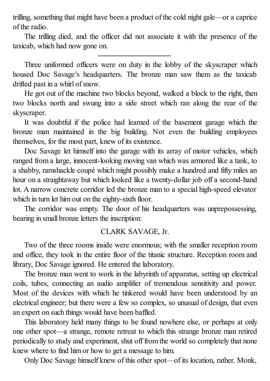trilling, something that might have been a product of the cold night gale—or a caprice of the radio.

The trilling died, and the officer did not associate it with the presence of the taxicab, which had now gone on.

Three uniformed officers were on duty in the lobby of the skyscraper which housed Doc Savage's headquarters. The bronze man saw them as the taxicab drifted past in a whirl of snow.

He got out of the machine two blocks beyond, walked a block to the right, then two blocks north and swung into a side street which ran along the rear of the skyscraper.

It was doubtful if the police had learned of the basement garage which the bronze man maintained in the big building. Not even the building employees themselves, for the most part, knew of its existence.

Doc Savage let himself into the garage with its array of motor vehicles, which ranged from a large, innocent-looking moving van which was armored like a tank, to a shabby, ramshackle coupé which might possibly make a hundred and fifty miles an hour on a straightaway but which looked like a twenty-dollar job off a second-hand lot. A narrow concrete corridor led the bronze man to a special high-speed elevator which in turn let him out on the eighty-sixth floor.

The corridor was empty. The door of his headquarters was unprepossessing, bearing in small bronze letters the inscription:

#### CLARK SAVAGE, Jr.

Two of the three rooms inside were enormous; with the smaller reception room and office, they took in the entire floor of the titanic structure. Reception room and library, Doc Savage ignored. He entered the laboratory.

The bronze man went to work in the labyrinth of apparatus, setting up electrical coils, tubes, connecting an audio amplifier of tremendous sensitivity and power. Most of the devices with which he tinkered would have been understood by an electrical engineer; but there were a few so complex, so unusual of design, that even an expert on such things would have been baffled.

This laboratory held many things to be found nowhere else, or perhaps at only one other spot—a strange, remote retreat to which this strange bronze man retired periodically to study and experiment, shut off from the world so completely that none knew where to find him or how to get a message to him.

Only Doc Savage himself knew of this other spot—of its location, rather. Monk,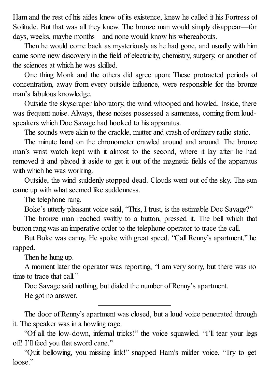Ham and the rest of his aides knew of its existence, knew he called it his Fortress of Solitude. But that was all they knew. The bronze man would simply disappear—for days, weeks, maybe months—and none would know his whereabouts.

Then he would come back as mysteriously as he had gone, and usually with him came some new discovery in the field of electricity, chemistry, surgery, or another of the sciences at which he was skilled.

One thing Monk and the others did agree upon: These protracted periods of concentration, away from every outside influence, were responsible for the bronze man's fabulous knowledge.

Outside the skyscraper laboratory, the wind whooped and howled. Inside, there was frequent noise. Always, these noises possessed a sameness, coming from loudspeakers which Doc Savage had hooked to his apparatus.

The sounds were akin to the crackle, mutter and crash of ordinary radio static.

The minute hand on the chronometer crawled around and around. The bronze man's wrist watch kept with it almost to the second, where it lay after he had removed it and placed it aside to get it out of the magnetic fields of the apparatus with which he was working.

Outside, the wind suddenly stopped dead. Clouds went out of the sky. The sun came up with what seemed like suddenness.

The telephone rang.

Boke's utterly pleasant voice said, "This, I trust, is the estimable Doc Savage?"

The bronze man reached swiftly to a button, pressed it. The bell which that button rang was an imperative order to the telephone operator to trace the call.

But Boke was canny. He spoke with great speed. "Call Renny's apartment," he rapped.

Then he hung up.

A moment later the operator was reporting, "I am very sorry, but there was no time to trace that call."

Doc Savage said nothing, but dialed the number of Renny's apartment.

He got no answer.

The door of Renny's apartment was closed, but a loud voice penetrated through it. The speaker was in a howling rage.

"Of all the low-down, infernal tricks!" the voice squawled. "I'll tear your legs off! I'll feed you that sword cane."

"Quit bellowing, you missing link!" snapped Ham's milder voice. "Try to get loose."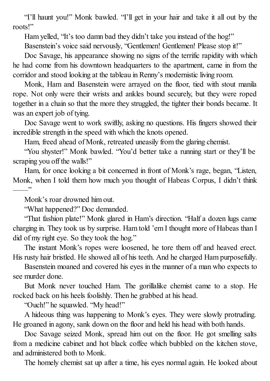"I'll haunt you!" Monk bawled. "I'll get in your hair and take it all out by the roots!"

Ham yelled, "It's too damn bad they didn't take you instead of the hog!"

Basenstein's voice said nervously, "Gentlemen! Gentlemen! Please stop it!"

Doc Savage, his appearance showing no signs of the terrific rapidity with which he had come from his downtown headquarters to the apartment, came in from the corridor and stood looking at the tableau in Renny's modernistic living room.

Monk, Ham and Basenstein were arrayed on the floor, tied with stout manila rope. Not only were their wrists and ankles bound securely, but they were roped together in a chain so that the more they struggled, the tighter their bonds became. It was an expert job of tying.

Doc Savage went to work swiftly, asking no questions. His fingers showed their incredible strength in the speed with which the knots opened.

Ham, freed ahead of Monk, retreated uneasily from the glaring chemist.

"You shyster!" Monk bawled. "You'd better take a running start or they'll be scraping you off the walls!"

Ham, for once looking a bit concerned in front of Monk's rage, began, "Listen, Monk, when I told them how much you thought of Habeas Corpus, I didn't think ——"

Monk's roar drowned him out.

"What happened?" Doc demanded.

"That fashion plate!" Monk glared in Ham's direction. "Half a dozen lugs came charging in. They took us by surprise. Ham told 'em I thought more of Habeas than I did of my right eye. So they took the hog."

The instant Monk's ropes were loosened, he tore them off and heaved erect. His rusty hair bristled. He showed all of his teeth. And he charged Ham purposefully.

Basenstein moaned and covered his eyes in the manner of a man who expects to see murder done.

But Monk never touched Ham. The gorillalike chemist came to a stop. He rocked back on his heels foolishly. Then he grabbed at his head.

"Ouch!" he squawled. "My head!"

A hideous thing was happening to Monk's eyes. They were slowly protruding. He groaned in agony, sank down on the floor and held his head with both hands.

Doc Savage seized Monk, spread him out on the floor. He got smelling salts from a medicine cabinet and hot black coffee which bubbled on the kitchen stove, and administered both to Monk.

The homely chemist sat up after a time, his eyes normal again. He looked about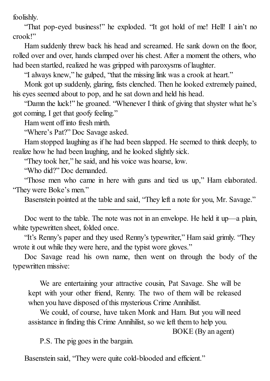foolishly.

"That pop-eyed business!" he exploded. "It got hold of me! Hell! I ain't no crook!"

Ham suddenly threw back his head and screamed. He sank down on the floor, rolled over and over, hands clamped over his chest. After a moment the others, who had been startled, realized he was gripped with paroxysms of laughter.

"I always knew," he gulped, "that the missing link was a crook at heart."

Monk got up suddenly, glaring, fists clenched. Then he looked extremely pained, his eyes seemed about to pop, and he sat down and held his head.

"Damn the luck!" he groaned. "Whenever I think of giving that shyster what he's got coming, I get that goofy feeling."

Ham went off into fresh mirth.

"Where's Pat?" Doc Savage asked.

Ham stopped laughing as if he had been slapped. He seemed to think deeply, to realize how he had been laughing, and he looked slightly sick.

"They took her," he said, and his voice was hoarse, low.

"Who did?" Doc demanded.

"Those men who came in here with guns and tied us up," Ham elaborated. "They were Boke's men."

Basenstein pointed at the table and said, "They left a note for you, Mr. Savage."

Doc went to the table. The note was not in an envelope. He held it up—a plain, white typewritten sheet, folded once.

"It's Renny's paper and they used Renny's typewriter," Ham said grimly. "They wrote it out while they were here, and the typist wore gloves."

Doc Savage read his own name, then went on through the body of the typewritten missive:

We are entertaining your attractive cousin, Pat Savage. She will be kept with your other friend, Renny. The two of them will be released when you have disposed of this mysterious Crime Annihilist.

We could, of course, have taken Monk and Ham. But you will need assistance in finding this Crime Annihilist, so we left them to help you.

BOKE (By an agent)

P.S. The pig goes in the bargain.

Basenstein said, "They were quite cold-blooded and efficient."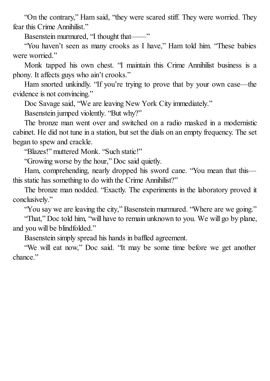"On the contrary," Ham said, "they were scared stiff. They were worried. They fear this Crime Annihilist."

Basenstein murmured, "I thought that——"

"You haven't seen as many crooks as I have," Ham told him. "These babies were worried."

Monk tapped his own chest. "I maintain this Crime Annihilist business is a phony. It affects guys who ain't crooks."

Ham snorted unkindly. "If you're trying to prove that by your own case—the evidence is not convincing."

Doc Savage said, "We are leaving New York City immediately."

Basenstein jumped violently. "But why?"

The bronze man went over and switched on a radio masked in a modernistic cabinet. He did not tune in a station, but set the dials on an empty frequency. The set began to spew and crackle.

"Blazes!" muttered Monk. "Such static!"

"Growing worse by the hour," Doc said quietly.

Ham, comprehending, nearly dropped his sword cane. "You mean that this this static has something to do with the Crime Annihilist?"

The bronze man nodded. "Exactly. The experiments in the laboratory proved it conclusively."

"You say we are leaving the city," Basenstein murmured. "Where are we going."

"That," Doc told him, "will have to remain unknown to you. We will go by plane, and you will be blindfolded."

Basenstein simply spread his hands in baffled agreement.

"We will eat now," Doc said. "It may be some time before we get another chance."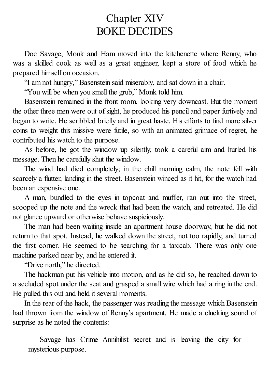## Chapter XIV BOKE DECIDES

Doc Savage, Monk and Ham moved into the kitchenette where Renny, who was a skilled cook as well as a great engineer, kept a store of food which he prepared himself on occasion.

"I am not hungry," Basenstein said miserably, and sat down in a chair.

"You will be when you smell the grub," Monk told him.

Basenstein remained in the front room, looking very downcast. But the moment the other three men were out of sight, he produced his pencil and paper furtively and began to write. He scribbled briefly and in great haste. His efforts to find more silver coins to weight this missive were futile, so with an animated grimace of regret, he contributed his watch to the purpose.

As before, he got the window up silently, took a careful aim and hurled his message. Then he carefully shut the window.

The wind had died completely; in the chill morning calm, the note fell with scarcely a flutter, landing in the street. Basenstein winced as it hit, for the watch had been an expensive one.

A man, bundled to the eyes in topcoat and muffler, ran out into the street, scooped up the note and the wreck that had been the watch, and retreated. He did not glance upward or otherwise behave suspiciously.

The man had been waiting inside an apartment house doorway, but he did not return to that spot. Instead, he walked down the street, not too rapidly, and turned the first corner. He seemed to be searching for a taxicab. There was only one machine parked near by, and he entered it.

"Drive north," he directed.

The hackman put his vehicle into motion, and as he did so, he reached down to a secluded spot under the seat and grasped a small wire which had a ring in the end. He pulled this out and held it several moments.

In the rear of the hack, the passenger was reading the message which Basenstein had thrown from the window of Renny's apartment. He made a clucking sound of surprise as he noted the contents:

Savage has Crime Annihilist secret and is leaving the city for mysterious purpose.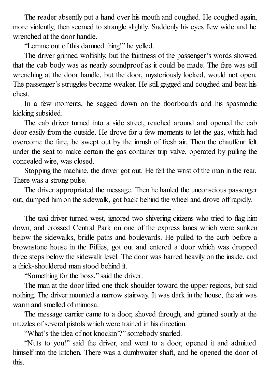The reader absently put a hand over his mouth and coughed. He coughed again, more violently, then seemed to strangle slightly. Suddenly his eyes flew wide and he wrenched at the door handle.

"Lemme out of this damned thing!" he yelled.

The driver grinned wolfishly, but the faintness of the passenger's words showed that the cab body was as nearly soundproof as it could be made. The fare was still wrenching at the door handle, but the door, mysteriously locked, would not open. The passenger's struggles became weaker. He still gagged and coughed and beat his chest.

In a few moments, he sagged down on the floorboards and his spasmodic kicking subsided.

The cab driver turned into a side street, reached around and opened the cab door easily from the outside. He drove for a few moments to let the gas, which had overcome the fare, be swept out by the inrush of fresh air. Then the chauffeur felt under the seat to make certain the gas container trip valve, operated by pulling the concealed wire, was closed.

Stopping the machine, the driver got out. He felt the wrist of the man in the rear. There was a strong pulse.

The driver appropriated the message. Then he hauled the unconscious passenger out, dumped him on the sidewalk, got back behind the wheel and drove off rapidly.

"Something for the boss," said the driver.

The man at the door lifted one thick shoulder toward the upper regions, but said nothing. The driver mounted a narrow stairway. It was dark in the house, the air was warm and smelled of mimosa.

The message carrier came to a door, shoved through, and grinned sourly at the muzzles of several pistols which were trained in his direction.

"What's the idea of not knockin'?" somebody snarled.

"Nuts to you!" said the driver, and went to a door, opened it and admitted himself into the kitchen. There was a dumbwaiter shaft, and he opened the door of this.

The taxi driver turned west, ignored two shivering citizens who tried to flag him down, and crossed Central Park on one of the express lanes which were sunken below the sidewalks, bridle paths and boulevards. He pulled to the curb before a brownstone house in the Fifties, got out and entered a door which was dropped three steps below the sidewalk level. The door was barred heavily on the inside, and a thick-shouldered man stood behind it.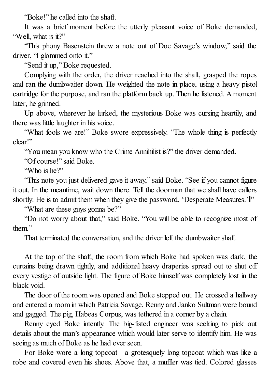"Boke!" he called into the shaft.

It was a brief moment before the utterly pleasant voice of Boke demanded, "Well, what is it?"

"This phony Basenstein threw a note out of Doc Savage's window," said the driver. "I glommed onto it."

"Send it up," Boke requested.

Complying with the order, the driver reached into the shaft, grasped the ropes and ran the dumbwaiter down. He weighted the note in place, using a heavy pistol cartridge for the purpose, and ran the platform back up. Then he listened. A moment later, he grinned.

Up above, wherever he lurked, the mysterious Boke was cursing heartily, and there was little laughter in his voice.

"What fools we are!" Boke swore expressively. "The whole thing is perfectly clear!"

"You mean you know who the Crime Annihilist is?" the driver demanded.

"Of course!" said Boke.

"Who is he?"

"This note you just delivered gave it away," said Boke. "See if you cannot figure it out. In the meantime, wait down there. Tell the doorman that we shall have callers shortly. He is to admit them when they give the password, 'Desperate Measures.' I"

"What are these guys gonna be?"

"Do not worry about that," said Boke. "You will be able to recognize most of them"

That terminated the conversation, and the driver left the dumbwaiter shaft.

At the top of the shaft, the room from which Boke had spoken was dark, the curtains being drawn tightly, and additional heavy draperies spread out to shut off every vestige of outside light. The figure of Boke himself was completely lost in the black void.

The door of the room was opened and Boke stepped out. He crossed a hallway and entered a room in which Patricia Savage, Renny and Janko Sultman were bound and gagged. The pig, Habeas Corpus, was tethered in a corner by a chain.

Renny eyed Boke intently. The big-fisted engineer was seeking to pick out details about the man's appearance which would later serve to identify him. He was seeing as much of Boke as he had ever seen.

For Boke wore a long topcoat—a grotesquely long topcoat which was like a robe and covered even his shoes. Above that, a muffler was tied. Colored glasses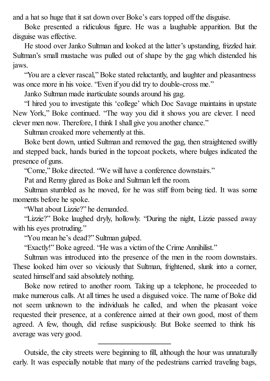and a hat so huge that it sat down over Boke's ears topped off the disguise.

Boke presented a ridiculous figure. He was a laughable apparition. But the disguise was effective.

He stood over Janko Sultman and looked at the latter's upstanding, frizzled hair. Sultman's small mustache was pulled out of shape by the gag which distended his jaws.

"You are a clever rascal," Boke stated reluctantly, and laughter and pleasantness was once more in his voice. "Even if you did try to double-cross me."

Janko Sultman made inarticulate sounds around his gag.

"I hired you to investigate this 'college' which Doc Savage maintains in upstate New York," Boke continued. "The way you did it shows you are clever. I need clever men now. Therefore, I think I shall give you another chance."

Sultman croaked more vehemently at this.

Boke bent down, untied Sultman and removed the gag, then straightened swiftly and stepped back, hands buried in the topcoat pockets, where bulges indicated the presence of guns.

"Come," Boke directed. "We will have a conference downstairs."

Pat and Renny glared as Boke and Sultman left the room.

Sultman stumbled as he moved, for he was stiff from being tied. It was some moments before he spoke.

"What about Lizzie?" he demanded.

"Lizzie?" Boke laughed dryly, hollowly. "During the night, Lizzie passed away with his eyes protruding."

"You mean he's dead?" Sultman gulped.

"Exactly!" Boke agreed. "He was a victim of the Crime Annihilist."

Sultman was introduced into the presence of the men in the room downstairs. These looked him over so viciously that Sultman, frightened, slunk into a corner, seated himself and said absolutely nothing.

Boke now retired to another room. Taking up a telephone, he proceeded to make numerous calls. At all times he used a disguised voice. The name of Boke did not seem unknown to the individuals he called, and when the pleasant voice requested their presence, at a conference aimed at their own good, most of them agreed. A few, though, did refuse suspiciously. But Boke seemed to think his average was very good.

Outside, the city streets were beginning to fill, although the hour was unnaturally early. It was especially notable that many of the pedestrians carried traveling bags,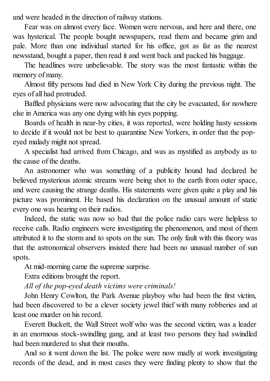and were headed in the direction of railway stations.

Fear was on almost every face. Women were nervous, and here and there, one was hysterical. The people bought newspapers, read them and became grim and pale. More than one individual started for his office, got as far as the nearest newsstand, bought a paper, then read it and went back and packed his baggage.

The headlines were unbelievable. The story was the most fantastic within the memory of many.

Almost fifty persons had died in New York City during the previous night. The eyes of all had protruded.

Baffled physicians were now advocating that the city be evacuated, for nowhere else in America was any one dying with his eyes popping.

Boards of health in near-by cities, it was reported, were holding hasty sessions to decide if it would not be best to quarantine New Yorkers, in order that the popeyed malady might not spread.

A specialist had arrived from Chicago, and was as mystified as anybody as to the cause of the deaths.

An astronomer who was something of a publicity hound had declared he believed mysterious atomic streams were being shot to the earth from outer space, and were causing the strange deaths. His statements were given quite a play and his picture was prominent. He based his declaration on the unusual amount of static every one was hearing on their radios.

Indeed, the static was now so bad that the police radio cars were helpless to receive calls. Radio engineers were investigating the phenomenon, and most of them attributed it to the storm and to spots on the sun. The only fault with this theory was that the astronomical observers insisted there had been no unusual number of sun spots.

At mid-morning came the supreme surprise.

Extra editions brought the report.

*All of the pop-eyed death victims were criminals!*

John Henry Cowlton, the Park Avenue playboy who had been the first victim, had been discovered to be a clever society jewel thief with many robberies and at least one murder on his record.

Everett Buckett, the Wall Street wolf who was the second victim, was a leader in an enormous stock-swindling gang, and at least two persons they had swindled had been murdered to shut their mouths.

And so it went down the list. The police were now madly at work investigating records of the dead, and in most cases they were finding plenty to show that the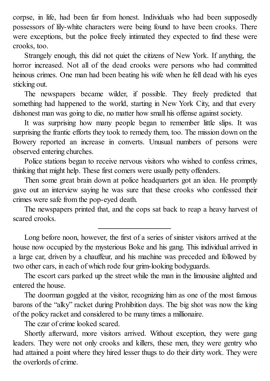corpse, in life, had been far from honest. Individuals who had been supposedly possessors of lily-white characters were being found to have been crooks. There were exceptions, but the police freely intimated they expected to find these were crooks, too.

Strangely enough, this did not quiet the citizens of New York. If anything, the horror increased. Not all of the dead crooks were persons who had committed heinous crimes. One man had been beating his wife when he fell dead with his eyes sticking out.

The newspapers became wilder, if possible. They freely predicted that something had happened to the world, starting in New York City, and that every dishonest man was going to die, no matter how small his offense against society.

It was surprising how many people began to remember little slips. It was surprising the frantic efforts they took to remedy them, too. The mission down on the Bowery reported an increase in converts. Unusual numbers of persons were observed entering churches.

Police stations began to receive nervous visitors who wished to confess crimes, thinking that might help. These first comers were usually petty offenders.

Then some great brain down at police headquarters got an idea. He promptly gave out an interview saying he was sure that these crooks who confessed their crimes were safe from the pop-eyed death.

The newspapers printed that, and the cops sat back to reap a heavy harvest of scared crooks.

Long before noon, however, the first of a series of sinister visitors arrived at the house now occupied by the mysterious Boke and his gang. This individual arrived in a large car, driven by a chauffeur, and his machine was preceded and followed by two other cars, in each of which rode four grim-looking bodyguards.

The escort cars parked up the street while the man in the limousine alighted and entered the house.

The doorman goggled at the visitor, recognizing him as one of the most famous barons of the "alky" racket during Prohibition days. The big shot was now the king of the policy racket and considered to be many times a millionaire.

The czar of crime looked scared.

Shortly afterward, more visitors arrived. Without exception, they were gang leaders. They were not only crooks and killers, these men, they were gentry who had attained a point where they hired lesser thugs to do their dirty work. They were the overlords of crime.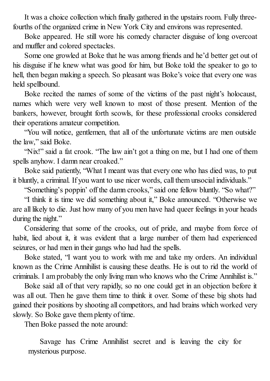It was a choice collection which finally gathered in the upstairs room. Fully threefourths of the organized crime in New York City and environs was represented.

Boke appeared. He still wore his comedy character disguise of long overcoat and muffler and colored spectacles.

Some one growled at Boke that he was among friends and he'd better get out of his disguise if he knew what was good for him, but Boke told the speaker to go to hell, then began making a speech. So pleasant was Boke's voice that every one was held spellbound.

Boke recited the names of some of the victims of the past night's holocaust, names which were very well known to most of those present. Mention of the bankers, however, brought forth scowls, for these professional crooks considered their operations amateur competition.

"You will notice, gentlemen, that all of the unfortunate victims are men outside the law," said Boke.

"Nix!" said a fat crook. "The law ain't got a thing on me, but I had one of them spells anyhow. I damn near croaked."

Boke said patiently, "What I meant was that every one who has died was, to put it bluntly, a criminal. If you want to use nicer words, call them unsocial individuals."

"Something's poppin' off the damn crooks," said one fellow bluntly. "So what?"

"I think it is time we did something about it," Boke announced. "Otherwise we are all likely to die. Just how many of you men have had queer feelings in your heads during the night."

Considering that some of the crooks, out of pride, and maybe from force of habit, lied about it, it was evident that a large number of them had experienced seizures, or had men in their gangs who had had the spells.

Boke stated, "I want you to work with me and take my orders. An individual known as the Crime Annihilist is causing these deaths. He is out to rid the world of criminals. I am probably the only living man who knows who the Crime Annihilist is."

Boke said all of that very rapidly, so no one could get in an objection before it was all out. Then he gave them time to think it over. Some of these big shots had gained their positions by shooting all competitors, and had brains which worked very slowly. So Boke gave them plenty of time.

Then Boke passed the note around:

Savage has Crime Annihilist secret and is leaving the city for mysterious purpose.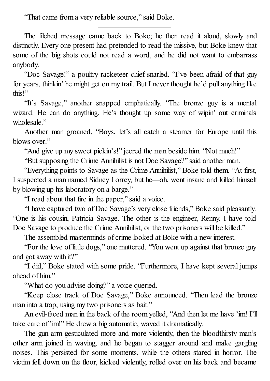"That came from a very reliable source," said Boke.

The filched message came back to Boke; he then read it aloud, slowly and distinctly. Every one present had pretended to read the missive, but Boke knew that some of the big shots could not read a word, and he did not want to embarrass anybody.

"Doc Savage!" a poultry racketeer chief snarled. "I've been afraid of that guy for years, thinkin' he might get on my trail. But I never thought he'd pull anything like this!"

"It's Savage," another snapped emphatically. "The bronze guy is a mental wizard. He can do anything. He's thought up some way of wipin' out criminals wholesale"

Another man groaned, "Boys, let's all catch a steamer for Europe until this blows over."

"And give up my sweet pickin's!" jeered the man beside him. "Not much!"

"But supposing the Crime Annihilist is not Doc Savage?" said another man.

"Everything points to Savage as the Crime Annihilist," Boke told them. "At first, I suspected a man named Sidney Lorrey, but he—ah, went insane and killed himself by blowing up his laboratory on a barge."

"I read about that fire in the paper," said a voice.

"I have captured two of Doc Savage's very close friends," Boke said pleasantly. "One is his cousin, Patricia Savage. The other is the engineer, Renny. I have told Doc Savage to produce the Crime Annihilist, or the two prisoners will be killed."

The assembled masterminds of crime looked at Boke with a new interest.

"For the love of little dogs," one muttered. "You went up against that bronze guy and got away with it?"

"I did," Boke stated with some pride. "Furthermore, I have kept several jumps ahead of him"

"What do you advise doing?" a voice queried.

"Keep close track of Doc Savage," Boke announced. "Then lead the bronze man into a trap, using my two prisoners as bait."

An evil-faced man in the back of the room yelled, "And then let me have 'im! I'll take care of 'im!" He drew a big automatic, waved it dramatically.

The gun arm gesticulated more and more violently, then the bloodthirsty man's other arm joined in waving, and he began to stagger around and make gargling noises. This persisted for some moments, while the others stared in horror. The victim fell down on the floor, kicked violently, rolled over on his back and became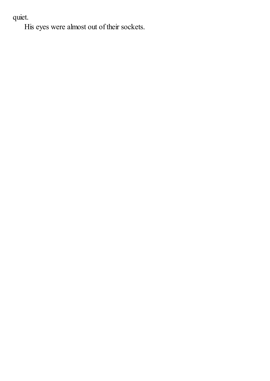#### quiet.

His eyes were almost out of their sockets.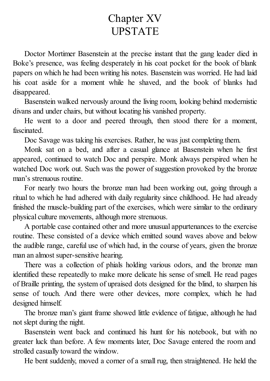# Chapter XV **UPSTATE**

Doctor Mortimer Basenstein at the precise instant that the gang leader died in Boke's presence, was feeling desperately in his coat pocket for the book of blank papers on which he had been writing his notes. Basenstein was worried. He had laid his coat aside for a moment while he shaved, and the book of blanks had disappeared.

Basenstein walked nervously around the living room, looking behind modernistic divans and under chairs, but without locating his vanished property.

He went to a door and peered through, then stood there for a moment, fascinated.

Doc Savage was taking his exercises. Rather, he was just completing them.

Monk sat on a bed, and after a casual glance at Basenstein when he first appeared, continued to watch Doc and perspire. Monk always perspired when he watched Doc work out. Such was the power of suggestion provoked by the bronze man's strenuous routine.

For nearly two hours the bronze man had been working out, going through a ritual to which he had adhered with daily regularity since childhood. He had already finished the muscle-building part of the exercises, which were similar to the ordinary physical culture movements, although more strenuous.

A portable case contained other and more unusual appurtenances to the exercise routine. These consisted of a device which emitted sound waves above and below the audible range, careful use of which had, in the course of years, given the bronze man an almost super-sensitive hearing.

There was a collection of phials holding various odors, and the bronze man identified these repeatedly to make more delicate his sense of smell. He read pages of Braille printing, the system of upraised dots designed for the blind, to sharpen his sense of touch. And there were other devices, more complex, which he had designed himself.

The bronze man's giant frame showed little evidence of fatigue, although he had not slept during the night.

Basenstein went back and continued his hunt for his notebook, but with no greater luck than before. A few moments later, Doc Savage entered the room and strolled casually toward the window.

He bent suddenly, moved a corner of a small rug, then straightened. He held the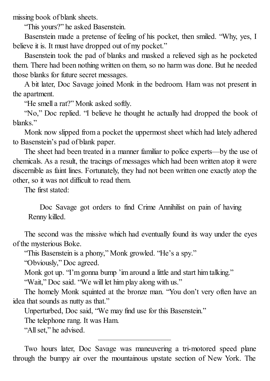missing book of blank sheets.

"This yours?" he asked Basenstein.

Basenstein made a pretense of feeling of his pocket, then smiled. "Why, yes, I believe it is. It must have dropped out of my pocket."

Basenstein took the pad of blanks and masked a relieved sigh as he pocketed them. There had been nothing written on them, so no harm was done. But he needed those blanks for future secret messages.

A bit later, Doc Savage joined Monk in the bedroom. Ham was not present in the apartment.

"He smell a rat?" Monk asked softly.

"No," Doc replied. "I believe he thought he actually had dropped the book of blanks."

Monk now slipped from a pocket the uppermost sheet which had lately adhered to Basenstein's pad of blank paper.

The sheet had been treated in a manner familiar to police experts—by the use of chemicals. As a result, the tracings of messages which had been written atop it were discernible as faint lines. Fortunately, they had not been written one exactly atop the other, so it was not difficult to read them.

The first stated:

Doc Savage got orders to find Crime Annihilist on pain of having Renny killed.

The second was the missive which had eventually found its way under the eyes of the mysterious Boke.

"This Basenstein is a phony," Monk growled. "He's a spy."

"Obviously," Doc agreed.

Monk got up. "I'm gonna bump 'im around a little and start him talking."

"Wait," Doc said. "We will let him play along with us."

The homely Monk squinted at the bronze man. "You don't very often have an idea that sounds as nutty as that."

Unperturbed, Doc said, "We may find use for this Basenstein."

The telephone rang. It was Ham.

"All set," he advised.

Two hours later, Doc Savage was maneuvering a tri-motored speed plane through the bumpy air over the mountainous upstate section of New York. The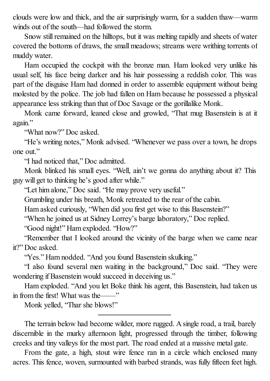clouds were low and thick, and the air surprisingly warm, for a sudden thaw—warm winds out of the south—had followed the storm.

Snow still remained on the hilltops, but it was melting rapidly and sheets of water covered the bottoms of draws, the small meadows; streams were writhing torrents of muddy water.

Ham occupied the cockpit with the bronze man. Ham looked very unlike his usual self, his face being darker and his hair possessing a reddish color. This was part of the disguise Ham had donned in order to assemble equipment without being molested by the police. The job had fallen on Ham because he possessed a physical appearance less striking than that of Doc Savage or the gorillalike Monk.

Monk came forward, leaned close and growled, "That mug Basenstein is at it again."

"What now?" Doc asked.

"He's writing notes," Monk advised. "Whenever we pass over a town, he drops one out."

"I had noticed that," Doc admitted.

Monk blinked his small eyes. "Well, ain't we gonna do anything about it? This guy will get to thinking he's good after while."

"Let him alone," Doc said. "He may prove very useful."

Grumbling under his breath, Monk retreated to the rear of the cabin.

Ham asked curiously, "When did you first get wise to this Basenstein?"

"When he joined us at Sidney Lorrey's barge laboratory," Doc replied.

"Good night!" Ham exploded. "How?"

"Remember that I looked around the vicinity of the barge when we came near it?" Doc asked.

"Yes." Ham nodded. "And you found Basenstein skulking."

"I also found several men waiting in the background," Doc said. "They were wondering if Basenstein would succeed in deceiving us."

Ham exploded. "And you let Boke think his agent, this Basenstein, had taken us in from the first! What was the——"

Monk yelled, "Thar she blows!"

The terrain below had become wilder, more rugged. A single road, a trail, barely discernible in the murky afternoon light, progressed through the timber, following creeks and tiny valleys for the most part. The road ended at a massive metal gate.

From the gate, a high, stout wire fence ran in a circle which enclosed many acres. This fence, woven, surmounted with barbed strands, was fully fifteen feet high.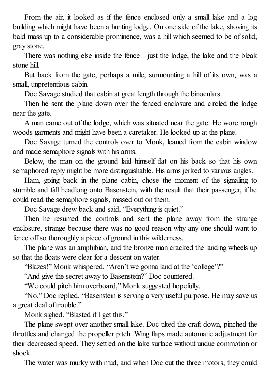From the air, it looked as if the fence enclosed only a small lake and a log building which might have been a hunting lodge. On one side of the lake, shoving its bald mass up to a considerable prominence, was a hill which seemed to be of solid, gray stone.

There was nothing else inside the fence—just the lodge, the lake and the bleak stone hill.

But back from the gate, perhaps a mile, surmounting a hill of its own, was a small, unpretentious cabin.

Doc Savage studied that cabin at great length through the binoculars.

Then he sent the plane down over the fenced enclosure and circled the lodge near the gate.

A man came out of the lodge, which was situated near the gate. He wore rough woods garments and might have been a caretaker. He looked up at the plane.

Doc Savage turned the controls over to Monk, leaned from the cabin window and made semaphore signals with his arms.

Below, the man on the ground laid himself flat on his back so that his own semaphored reply might be more distinguishable. His arms jerked to various angles.

Ham, going back in the plane cabin, chose the moment of the signaling to stumble and fall headlong onto Basenstein, with the result that their passenger, if he could read the semaphore signals, missed out on them.

Doc Savage drew back and said, "Everything is quiet."

Then he resumed the controls and sent the plane away from the strange enclosure, strange because there was no good reason why any one should want to fence off so thoroughly a piece of ground in this wilderness.

The plane was an amphibian, and the bronze man cracked the landing wheels up so that the floats were clear for a descent on water.

"Blazes!" Monk whispered. "Aren't we gonna land at the 'college'?"

"And give the secret away to Basenstein?" Doc countered.

"We could pitch him overboard," Monk suggested hopefully.

"No," Doc replied. "Basenstein is serving a very useful purpose. He may save us a great deal of trouble."

Monk sighed. "Blasted if I get this."

The plane swept over another small lake. Doc tilted the craft down, pinched the throttles and changed the propeller pitch. Wing flaps made automatic adjustment for their decreased speed. They settled on the lake surface without undue commotion or shock.

The water was murky with mud, and when Doc cut the three motors, they could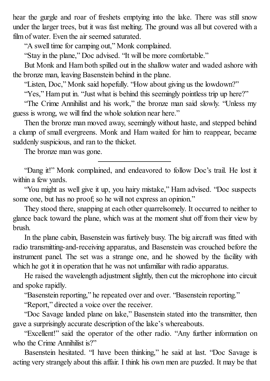hear the gurgle and roar of freshets emptying into the lake. There was still snow under the larger trees, but it was fast melting. The ground was all but covered with a film of water. Even the air seemed saturated.

"A swell time for camping out," Monk complained.

"Stay in the plane," Doc advised. "It will be more comfortable."

But Monk and Ham both spilled out in the shallow water and waded ashore with the bronze man, leaving Basenstein behind in the plane.

"Listen, Doc," Monk said hopefully. "How about giving us the lowdown?"

"Yes," Ham put in. "Just what is behind this seemingly pointless trip up here?"

"The Crime Annihilist and his work," the bronze man said slowly. "Unless my guess is wrong, we willfind the whole solution near here."

Then the bronze man moved away, seemingly without haste, and stepped behind a clump of small evergreens. Monk and Ham waited for him to reappear, became suddenly suspicious, and ran to the thicket.

The bronze man was gone.

"Dang it!" Monk complained, and endeavored to follow Doc's trail. He lost it within a few yards.

"You might as well give it up, you hairy mistake," Ham advised. "Doc suspects some one, but has no proof; so he will not express an opinion."

They stood there, snapping at each other quarrelsomely. It occurred to neither to glance back toward the plane, which was at the moment shut off from their view by brush.

In the plane cabin, Basenstein was furtively busy. The big aircraft was fitted with radio transmitting-and-receiving apparatus, and Basenstein was crouched before the instrument panel. The set was a strange one, and he showed by the facility with which he got it in operation that he was not unfamiliar with radio apparatus.

He raised the wavelength adjustment slightly, then cut the microphone into circuit and spoke rapidly.

"Basenstein reporting," he repeated over and over. "Basenstein reporting."

"Report," directed a voice over the receiver.

"Doc Savage landed plane on lake," Basenstein stated into the transmitter, then gave a surprisingly accurate description of the lake's whereabouts.

"Excellent!" said the operator of the other radio. "Any further information on who the Crime Annihilist is?"

Basenstein hesitated. "I have been thinking," he said at last. "Doc Savage is acting very strangely about this affair. I think his own men are puzzled. It may be that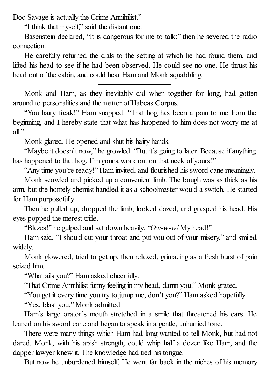Doc Savage is actually the Crime Annihilist."

"I think that myself," said the distant one.

Basenstein declared, "It is dangerous for me to talk;" then he severed the radio connection.

He carefully returned the dials to the setting at which he had found them, and lifted his head to see if he had been observed. He could see no one. He thrust his head out of the cabin, and could hear Ham and Monk squabbling.

Monk and Ham, as they inevitably did when together for long, had gotten around to personalities and the matter of Habeas Corpus.

"You hairy freak!" Ham snapped. "That hog has been a pain to me from the beginning, and I hereby state that what has happened to him does not worry me at  $all$ "

Monk glared. He opened and shut his hairy hands.

"Maybe it doesn't now," he growled. "But it's going to later. Because if anything has happened to that hog, I'm gonna work out on that neck of yours!"

"Any time you're ready!" Ham invited, and flourished his sword cane meaningly.

Monk scowled and picked up a convenient limb. The bough was as thick as his arm, but the homely chemist handled it as a schoolmaster would a switch. He started for Ham purposefully.

Then he pulled up, dropped the limb, looked dazed, and grasped his head. His eyes popped the merest trifle.

"Blazes!" he gulped and sat down heavily. "*Ow-w-w!* My head!"

Ham said, "I should cut your throat and put you out of your misery," and smiled widely.

Monk glowered, tried to get up, then relaxed, grimacing as a fresh burst of pain seized him.

"What ails you?" Ham asked cheerfully.

"That Crime Annihilist funny feeling in my head, damn you!" Monk grated.

"You get it every time you try to jump me, don't you?" Ham asked hopefully.

"Yes, blast you," Monk admitted.

Ham's large orator's mouth stretched in a smile that threatened his ears. He leaned on his sword cane and began to speak in a gentle, unhurried tone.

There were many things which Ham had long wanted to tell Monk, but had not dared. Monk, with his apish strength, could whip half a dozen like Ham, and the dapper lawyer knew it. The knowledge had tied his tongue.

But now he unburdened himself. He went far back in the niches of his memory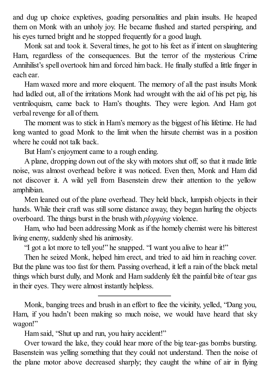and dug up choice expletives, goading personalities and plain insults. He heaped them on Monk with an unholy joy. He became flushed and started perspiring, and his eyes turned bright and he stopped frequently for a good laugh.

Monk sat and took it. Several times, he got to his feet as if intent on slaughtering Ham, regardless of the consequences. But the terror of the mysterious Crime Annihilist's spell overtook him and forced him back. He finally stuffed a little finger in each ear.

Ham waxed more and more eloquent. The memory of all the past insults Monk had ladled out, all of the irritations Monk had wrought with the aid of his pet pig, his ventriloquism, came back to Ham's thoughts. They were legion. And Ham got verbal revenge for all of them.

The moment was to stick in Ham's memory as the biggest of his lifetime. He had long wanted to goad Monk to the limit when the hirsute chemist was in a position where he could not talk back.

But Ham's enjoyment came to a rough ending.

A plane, dropping down out of the sky with motors shut off, so that it made little noise, was almost overhead before it was noticed. Even then, Monk and Ham did not discover it. A wild yell from Basenstein drew their attention to the yellow amphibian.

Men leaned out of the plane overhead. They held black, lumpish objects in their hands. While their craft was still some distance away, they began hurling the objects overboard. The things burst in the brush with *plopping* violence.

Ham, who had been addressing Monk as if the homely chemist were his bitterest living enemy, suddenly shed his animosity.

"I got a lot more to tell you!" he snapped. "I want you alive to hear it!"

Then he seized Monk, helped him erect, and tried to aid him in reaching cover. But the plane was too fast for them. Passing overhead, it left a rain of the black metal things which burst dully, and Monk and Ham suddenly felt the painful bite of tear gas in their eyes. They were almost instantly helpless.

Monk, banging trees and brush in an effort to flee the vicinity, yelled, "Dang you, Ham, if you hadn't been making so much noise, we would have heard that sky wagon!"

Ham said, "Shut up and run, you hairy accident!"

Over toward the lake, they could hear more of the big tear-gas bombs bursting. Basenstein was yelling something that they could not understand. Then the noise of the plane motor above decreased sharply; they caught the whine of air in flying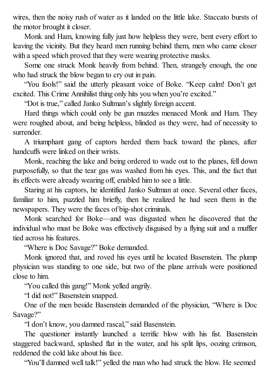wires, then the noisy rush of water as it landed on the little lake. Staccato bursts of the motor brought it closer.

Monk and Ham, knowing fully just how helpless they were, bent every effort to leaving the vicinity. But they heard men running behind them, men who came closer with a speed which proved that they were wearing protective masks.

Some one struck Monk heavily from behind. Then, strangely enough, the one who had struck the blow began to cry out in pain.

"You fools!" said the utterly pleasant voice of Boke. "Keep calm! Don't get excited. This Crime Annihilist thing only hits you when you're excited."

"Dot is true," called Janko Sultman's slightly foreign accent.

Hard things which could only be gun muzzles menaced Monk and Ham. They were roughed about, and being helpless, blinded as they were, had of necessity to surrender.

A triumphant gang of captors herded them back toward the planes, after handcuffs were linked on their wrists.

Monk, reaching the lake and being ordered to wade out to the planes, fell down purposefully, so that the tear gas was washed from his eyes. This, and the fact that its effects were already wearing off, enabled him to see a little.

Staring at his captors, he identified Janko Sultman at once. Several other faces, familiar to him, puzzled him briefly, then he realized he had seen them in the newspapers. They were the faces of big-shot criminals.

Monk searched for Boke—and was disgusted when he discovered that the individual who must be Boke was effectively disguised by a flying suit and a muffler tied across his features.

"Where is Doc Savage?" Boke demanded.

Monk ignored that, and roved his eyes until he located Basenstein. The plump physician was standing to one side, but two of the plane arrivals were positioned close to him.

"You called this gang!" Monk yelled angrily.

"I did not!" Basenstein snapped.

One of the men beside Basenstein demanded of the physician, "Where is Doc Savage?"

"I don't know, you damned rascal," said Basenstein.

The questioner instantly launched a terrific blow with his fist. Basenstein staggered backward, splashed flat in the water, and his split lips, oozing crimson, reddened the cold lake about his face.

"You'll damned well talk!" yelled the man who had struck the blow. He seemed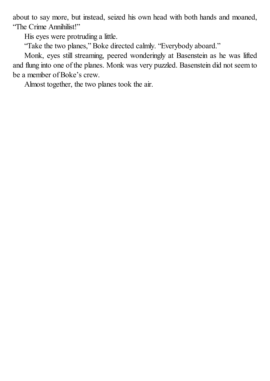about to say more, but instead, seized his own head with both hands and moaned, "The Crime Annihilist!"

His eyes were protruding a little.

"Take the two planes," Boke directed calmly. "Everybody aboard."

Monk, eyes still streaming, peered wonderingly at Basenstein as he was lifted and flung into one of the planes. Monk was very puzzled. Basenstein did not seem to be a member of Boke's crew.

Almost together, the two planes took the air.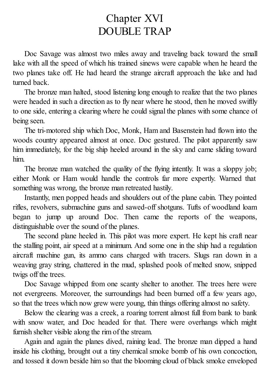# Chapter XVI DOUBLE TRAP

Doc Savage was almost two miles away and traveling back toward the small lake with all the speed of which his trained sinews were capable when he heard the two planes take off. He had heard the strange aircraft approach the lake and had turned back.

The bronze man halted, stood listening long enough to realize that the two planes were headed in such a direction as to fly near where he stood, then he moved swiftly to one side, entering a clearing where he could signal the planes with some chance of being seen.

The tri-motored ship which Doc, Monk, Ham and Basenstein had flown into the woods country appeared almost at once. Doc gestured. The pilot apparently saw him immediately, for the big ship heeled around in the sky and came sliding toward him.

The bronze man watched the quality of the flying intently. It was a sloppy job; either Monk or Ham would handle the controls far more expertly. Warned that something was wrong, the bronze man retreated hastily.

Instantly, men popped heads and shoulders out of the plane cabin. They pointed rifles, revolvers, submachine guns and sawed-off shotguns. Tufts of woodland loam began to jump up around Doc. Then came the reports of the weapons, distinguishable over the sound of the planes.

The second plane heeled in. This pilot was more expert. He kept his craft near the stalling point, air speed at a minimum. And some one in the ship had a regulation aircraft machine gun, its ammo cans charged with tracers. Slugs ran down in a weaving gray string, chattered in the mud, splashed pools of melted snow, snipped twigs off the trees.

Doc Savage whipped from one scanty shelter to another. The trees here were not evergreens. Moreover, the surroundings had been burned off a few years ago, so that the trees which now grew were young, thin things offering almost no safety.

Below the clearing was a creek, a roaring torrent almost full from bank to bank with snow water, and Doc headed for that. There were overhangs which might furnish shelter visible along the rim of the stream.

Again and again the planes dived, raining lead. The bronze man dipped a hand inside his clothing, brought out a tiny chemical smoke bomb of his own concoction, and tossed it down beside him so that the blooming cloud of black smoke enveloped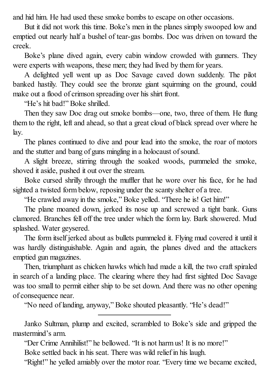and hid him. He had used these smoke bombs to escape on other occasions.

But it did not work this time. Boke's men in the planes simply swooped low and emptied out nearly half a bushel of tear-gas bombs. Doc was driven on toward the creek.

Boke's plane dived again, every cabin window crowded with gunners. They were experts with weapons, these men; they had lived by them for years.

A delighted yell went up as Doc Savage caved down suddenly. The pilot banked hastily. They could see the bronze giant squirming on the ground, could make out a flood of crimson spreading over his shirt front.

"He's hit bad!" Boke shrilled.

Then they saw Doc drag out smoke bombs—one, two, three of them. He flung them to the right, left and ahead, so that a great cloud of black spread over where he lay.

The planes continued to dive and pour lead into the smoke, the roar of motors and the stutter and bang of guns mingling in a holocaust of sound.

A slight breeze, stirring through the soaked woods, pummeled the smoke, shoved it aside, pushed it out over the stream.

Boke cursed shrilly through the muffler that he wore over his face, for he had sighted a twisted form below, reposing under the scanty shelter of a tree.

"He crawled away in the smoke," Boke yelled. "There he is! Get him!"

The plane moaned down, jerked its nose up and screwed a tight bank. Guns clamored. Branches fell off the tree under which the form lay. Bark showered. Mud splashed. Water geysered.

The form itself jerked about as bullets pummeled it. Flying mud covered it until it was hardly distinguishable. Again and again, the planes dived and the attackers emptied gun magazines.

Then, triumphant as chicken hawks which had made a kill, the two craft spiraled in search of a landing place. The clearing where they had first sighted Doc Savage was too small to permit either ship to be set down. And there was no other opening of consequence near.

"No need of landing, anyway," Boke shouted pleasantly. "He's dead!"

Janko Sultman, plump and excited, scrambled to Boke's side and gripped the mastermind's arm.

"Der Crime Annihilist!" he bellowed. "It is not harm us! It is no more!"

Boke settled back in his seat. There was wild relief in his laugh.

"Right!" he yelled amiably over the motor roar. "Every time we became excited,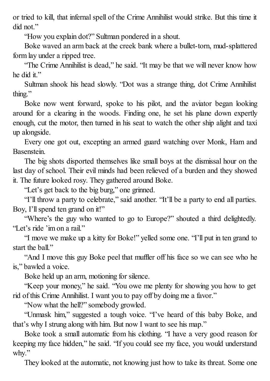or tried to kill, that infernal spell of the Crime Annihilist would strike. But this time it did not"

"How you explain dot?" Sultman pondered in a shout.

Boke waved an arm back at the creek bank where a bullet-torn, mud-splattered form lay under a ripped tree.

"The Crime Annihilist is dead," he said. "It may be that we will never know how he did it."

Sultman shook his head slowly. "Dot was a strange thing, dot Crime Annihilist thing."

Boke now went forward, spoke to his pilot, and the aviator began looking around for a clearing in the woods. Finding one, he set his plane down expertly enough, cut the motor, then turned in his seat to watch the other ship alight and taxi up alongside.

Every one got out, excepting an armed guard watching over Monk, Ham and Basenstein.

The big shots disported themselves like small boys at the dismissal hour on the last day of school. Their evil minds had been relieved of a burden and they showed it. The future looked rosy. They gathered around Boke.

"Let's get back to the big burg," one grinned.

"I'll throw a party to celebrate," said another. "It'll be a party to end all parties. Boy, I'll spend ten grand on it!"

"Where's the guy who wanted to go to Europe?" shouted a third delightedly. "Let's ride 'im on a rail."

"I move we make up a kitty for Boke!" yelled some one. "I'll put in ten grand to start the ball."

"And I move this guy Boke peel that muffler off his face so we can see who he is," bawled a voice.

Boke held up an arm, motioning for silence.

"Keep your money," he said. "You owe me plenty for showing you how to get rid of this Crime Annihilist. I want you to pay off by doing me a favor."

"Now what the hell?" somebody growled.

"Unmask him," suggested a tough voice. "I've heard of this baby Boke, and that's why I strung along with him. But now I want to see his map."

Boke took a small automatic from his clothing. "I have a very good reason for keeping my face hidden," he said. "If you could see my face, you would understand why."

They looked at the automatic, not knowing just how to take its threat. Some one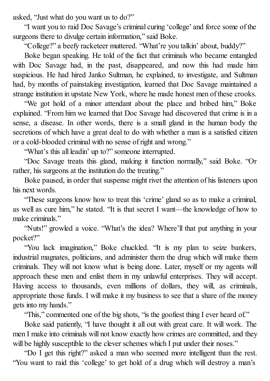asked, "Just what do you want us to do?"

"I want you to raid Doc Savage's criminal curing 'college' and force some of the surgeons there to divulge certain information," said Boke.

"College?" a beefy racketeer muttered. "What're you talkin' about, buddy?"

Boke began speaking. He told of the fact that criminals who became entangled with Doc Savage had, in the past, disappeared, and now this had made him suspicious. He had hired Janko Sultman, he explained, to investigate, and Sultman had, by months of painstaking investigation, learned that Doc Savage maintained a strange institution in upstate New York, where he made honest men of these crooks.

"We got hold of a minor attendant about the place and bribed him," Boke explained. "From him we learned that Doc Savage had discovered that crime is in a sense, a disease. In other words, there is a small gland in the human body the secretions of which have a great deal to do with whether a man is a satisfied citizen or a cold-blooded criminal with no sense of right and wrong."

"What's this all leadin' up to?" someone interrupted.

"Doc Savage treats this gland, making it function normally," said Boke. "Or rather, his surgeons at the institution do the treating."

Boke paused, in order that suspense might rivet the attention of his listeners upon his next words.

"These surgeons know how to treat this 'crime' gland so as to make a criminal, as well as cure him," he stated. "It is that secret I want—the knowledge of how to make criminals."

"Nuts!" growled a voice. "What's the idea? Where'll that put anything in your pocket?"

"You lack imagination," Boke chuckled. "It is my plan to seize bankers, industrial magnates, politicians, and administer them the drug which will make them criminals. They will not know what is being done. Later, myself or my agents will approach these men and enlist them in my unlawful enterprises. They will accept. Having access to thousands, even millions of dollars, they will, as criminals, appropriate those funds. I will make it my business to see that a share of the money gets into my hands."

"This," commented one of the big shots, "is the goofiest thing I ever heard of."

Boke said patiently, "I have thought it all out with great care. It will work. The men I make into criminals will not know exactly how crimes are committed, and they will be highly susceptible to the clever schemes which I put under their noses."

"Do I get this right?" asked a man who seemed more intelligent than the rest. "You want to raid this 'college' to get hold of a drug which will destroy a man's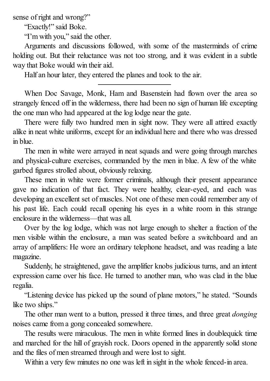sense of right and wrong?"

"Exactly!" said Boke.

"I'm with you," said the other.

Arguments and discussions followed, with some of the masterminds of crime holding out. But their reluctance was not too strong, and it was evident in a subtle way that Boke would win their aid.

Half an hour later, they entered the planes and took to the air.

When Doc Savage, Monk, Ham and Basenstein had flown over the area so strangely fenced off in the wilderness, there had been no sign of human life excepting the one man who had appeared at the log lodge near the gate.

There were fully two hundred men in sight now. They were all attired exactly alike in neat white uniforms, except for an individual here and there who was dressed in blue.

The men in white were arrayed in neat squads and were going through marches and physical-culture exercises, commanded by the men in blue. A few of the white garbed figures strolled about, obviously relaxing.

These men in white were former criminals, although their present appearance gave no indication of that fact. They were healthy, clear-eyed, and each was developing an excellent set of muscles. Not one of these men could remember any of his past life. Each could recall opening his eyes in a white room in this strange enclosure in the wilderness—that was all.

Over by the log lodge, which was not large enough to shelter a fraction of the men visible within the enclosure, a man was seated before a switchboard and an array of amplifiers: He wore an ordinary telephone headset, and was reading a late magazine.

Suddenly, he straightened, gave the amplifier knobs judicious turns, and an intent expression came over his face. He turned to another man, who was clad in the blue regalia.

"Listening device has picked up the sound of plane motors," he stated. "Sounds like two ships."

The other man went to a button, pressed it three times, and three great *donging* noises came from a gong concealed somewhere.

The results were miraculous. The men in white formed lines in doublequick time and marched for the hill of grayish rock. Doors opened in the apparently solid stone and the files of men streamed through and were lost to sight.

Within a very few minutes no one was left in sight in the whole fenced-in area.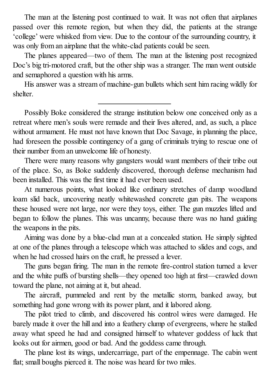The man at the listening post continued to wait. It was not often that airplanes passed over this remote region, but when they did, the patients at the strange 'college' were whisked from view. Due to the contour of the surrounding country, it was only from an airplane that the white-clad patients could be seen.

The planes appeared—two of them. The man at the listening post recognized Doc's big tri-motored craft, but the other ship was a stranger. The man went outside and semaphored a question with his arms.

His answer was a stream of machine-gun bullets which sent him racing wildly for shelter.

Possibly Boke considered the strange institution below one conceived only as a retreat where men's souls were remade and their lives altered, and, as such, a place without armament. He must not have known that Doc Savage, in planning the place, had foreseen the possible contingency of a gang of criminals trying to rescue one of their number from an unwelcome life of honesty.

There were many reasons why gangsters would want members of their tribe out of the place. So, as Boke suddenly discovered, thorough defense mechanism had been installed. This was the first time it had ever been used.

At numerous points, what looked like ordinary stretches of damp woodland loam slid back, uncovering neatly whitewashed concrete gun pits. The weapons these housed were not large, nor were they toys, either. The gun muzzles lifted and began to follow the planes. This was uncanny, because there was no hand guiding the weapons in the pits.

Aiming was done by a blue-clad man at a concealed station. He simply sighted at one of the planes through a telescope which was attached to slides and cogs, and when he had crossed hairs on the craft, he pressed a lever.

The guns began firing. The man in the remote fire-control station turned a lever and the white puffs of bursting shells—they opened too high at first—crawled down toward the plane, not aiming at it, but ahead.

The aircraft, pummeled and rent by the metallic storm, banked away, but something had gone wrong with its power plant, and it labored along.

The pilot tried to climb, and discovered his control wires were damaged. He barely made it over the hill and into a feathery clump of evergreens, where he stalled away what speed he had and consigned himself to whatever goddess of luck that looks out for airmen, good or bad. And the goddess came through.

The plane lost its wings, undercarriage, part of the empennage. The cabin went flat; small boughs pierced it. The noise was heard for two miles.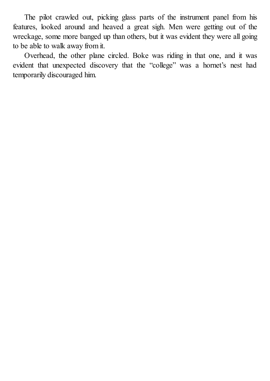The pilot crawled out, picking glass parts of the instrument panel from his features, looked around and heaved a great sigh. Men were getting out of the wreckage, some more banged up than others, but it was evident they were all going to be able to walk away from it.

Overhead, the other plane circled. Boke was riding in that one, and it was evident that unexpected discovery that the "college" was a hornet's nest had temporarily discouraged him.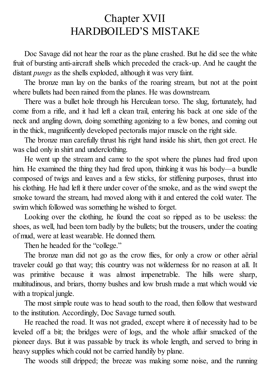## Chapter XVII HARDBOILED'S MISTAKE

Doc Savage did not hear the roar as the plane crashed. But he did see the white fruit of bursting anti-aircraft shells which preceded the crack-up. And he caught the distant *pungs* as the shells exploded, although it was very faint.

The bronze man lay on the banks of the roaring stream, but not at the point where bullets had been rained from the planes. He was downstream.

There was a bullet hole through his Herculean torso. The slug, fortunately, had come from a rifle, and it had left a clean trail, entering his back at one side of the neck and angling down, doing something agonizing to a few bones, and coming out in the thick, magnificently developed pectoralis major muscle on the right side.

The bronze man carefully thrust his right hand inside his shirt, then got erect. He was clad only in shirt and underclothing.

He went up the stream and came to the spot where the planes had fired upon him. He examined the thing they had fired upon, thinking it was his body—a bundle composed of twigs and leaves and a few sticks, for stiffening purposes, thrust into his clothing. He had left it there under cover of the smoke, and as the wind swept the smoke toward the stream, had moved along with it and entered the cold water. The swim which followed was something he wished to forget.

Looking over the clothing, he found the coat so ripped as to be useless: the shoes, as well, had been torn badly by the bullets; but the trousers, under the coating of mud, were at least wearable. He donned them.

Then he headed for the "college."

The bronze man did not go as the crow flies, for only a crow or other aërial traveler could go that way; this country was not wilderness for no reason at all. It was primitive because it was almost impenetrable. The hills were sharp, multitudinous, and briars, thorny bushes and low brush made a mat which would vie with a tropical jungle.

The most simple route was to head south to the road, then follow that westward to the institution. Accordingly, Doc Savage turned south.

He reached the road. It was not graded, except where it of necessity had to be leveled off a bit; the bridges were of logs, and the whole affair smacked of the pioneer days. But it was passable by truck its whole length, and served to bring in heavy supplies which could not be carried handily by plane.

The woods still dripped; the breeze was making some noise, and the running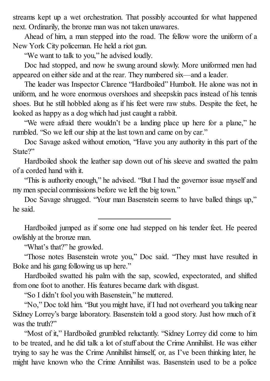streams kept up a wet orchestration. That possibly accounted for what happened next. Ordinarily, the bronze man was not taken unawares.

Ahead of him, a man stepped into the road. The fellow wore the uniform of a New York City policeman. He held a riot gun.

"We want to talk to you," he advised loudly.

Doc had stopped, and now he swung around slowly. More uniformed men had appeared on either side and at the rear. They numbered six—and a leader.

The leader was Inspector Clarence "Hardboiled" Humbolt. He alone was not in uniform, and he wore enormous overshoes and sheepskin pacs instead of his tennis shoes. But he still hobbled along as if his feet were raw stubs. Despite the feet, he looked as happy as a dog which had just caught a rabbit.

"We were afraid there wouldn't be a landing place up here for a plane," he rumbled. "So we left our ship at the last town and came on by car."

Doc Savage asked without emotion, "Have you any authority in this part of the State?"

Hardboiled shook the leather sap down out of his sleeve and swatted the palm of a corded hand with it.

"This is authority enough," he advised. "But I had the governor issue myself and my men special commissions before we left the big town."

Doc Savage shrugged. "Your man Basenstein seems to have balled things up," he said.

Hardboiled jumped as if some one had stepped on his tender feet. He peered owlishly at the bronze man.

"What's that?" he growled.

"Those notes Basenstein wrote you," Doc said. "They must have resulted in Boke and his gang following us up here."

Hardboiled swatted his palm with the sap, scowled, expectorated, and shifted from one foot to another. His features became dark with disgust.

"So I didn't fool you with Basenstein," he muttered.

"No," Doc told him. "But you might have, if I had not overheard you talking near Sidney Lorrey's barge laboratory. Basenstein told a good story. Just how much of it was the truth?"

"Most of it," Hardboiled grumbled reluctantly. "Sidney Lorrey did come to him to be treated, and he did talk a lot of stuff about the Crime Annihilist. He was either trying to say he was the Crime Annihilist himself, or, as I've been thinking later, he might have known who the Crime Annihilist was. Basenstein used to be a police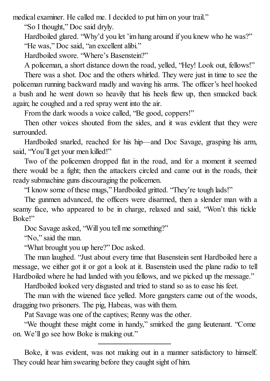medical examiner. He called me. I decided to put him on your trail."

"So I thought," Doc said dryly.

Hardboiled glared. "Why'd you let 'im hang around if you knew who he was?" "He was," Doc said, "an excellent alibi."

Hardboiled swore. "Where's Basenstein?"

A policeman, a short distance down the road, yelled, "Hey! Look out, fellows!"

There was a shot. Doc and the others whirled. They were just in time to see the policeman running backward madly and waving his arms. The officer's heel hooked a bush and he went down so heavily that his heels flew up, then smacked back again; he coughed and a red spray went into the air.

From the dark woods a voice called, "Be good, coppers!"

Then other voices shouted from the sides, and it was evident that they were surrounded.

Hardboiled snarled, reached for his hip—and Doc Savage, grasping his arm, said, "You'll get your men killed!"

Two of the policemen dropped flat in the road, and for a moment it seemed there would be a fight; then the attackers circled and came out in the roads, their ready submachine guns discouraging the policemen.

"I know some of these mugs," Hardboiled gritted. "They're tough lads!"

The gunmen advanced, the officers were disarmed, then a slender man with a seamy face, who appeared to be in charge, relaxed and said, "Won't this tickle Boke!"

Doc Savage asked, "Will you tell me something?"

"No," said the man.

"What brought you up here?" Doc asked.

The man laughed. "Just about every time that Basenstein sent Hardboiled here a message, we either got it or got a look at it. Basenstein used the plane radio to tell Hardboiled where he had landed with you fellows, and we picked up the message."

Hardboiled looked very disgusted and tried to stand so as to ease his feet.

The man with the wizened face yelled. More gangsters came out of the woods, dragging two prisoners. The pig, Habeas, was with them.

Pat Savage was one of the captives; Renny was the other.

"We thought these might come in handy," smirked the gang lieutenant. "Come on. We'll go see how Boke is making out."

Boke, it was evident, was not making out in a manner satisfactory to himself. They could hear him swearing before they caught sight of him.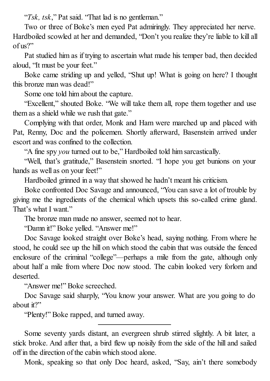"*Tsk, tsk*," Pat said. "That lad is no gentleman."

Two or three of Boke's men eyed Pat admiringly. They appreciated her nerve. Hardboiled scowled at her and demanded, "Don't you realize they're liable to kill all of us?"

Pat studied him as if trying to ascertain what made his temper bad, then decided aloud, "It must be your feet."

Boke came striding up and yelled, "Shut up! What is going on here? I thought this bronze man was dead!"

Some one told him about the capture.

"Excellent," shouted Boke. "We will take them all, rope them together and use them as a shield while we rush that gate."

Complying with that order, Monk and Ham were marched up and placed with Pat, Renny, Doc and the policemen. Shortly afterward, Basenstein arrived under escort and was confined to the collection.

"A fine spy *you* turned out to be," Hardboiled told him sarcastically.

"Well, that's gratitude," Basenstein snorted. "I hope you get bunions on your hands as well as on your feet!"

Hardboiled grinned in a way that showed he hadn't meant his criticism.

Boke confronted Doc Savage and announced, "You can save a lot of trouble by giving me the ingredients of the chemical which upsets this so-called crime gland. That's what I want."

The bronze man made no answer, seemed not to hear.

"Damn it!" Boke yelled. "Answer me!"

Doc Savage looked straight over Boke's head, saying nothing. From where he stood, he could see up the hill on which stood the cabin that was outside the fenced enclosure of the criminal "college"—perhaps a mile from the gate, although only about half a mile from where Doc now stood. The cabin looked very forlorn and deserted.

"Answer me!" Boke screeched.

Doc Savage said sharply, "You know your answer. What are you going to do about it?"

"Plenty!" Boke rapped, and turned away.

Some seventy yards distant, an evergreen shrub stirred slightly. A bit later, a stick broke. And after that, a bird flew up noisily from the side of the hill and sailed off in the direction of the cabin which stood alone.

Monk, speaking so that only Doc heard, asked, "Say, ain't there somebody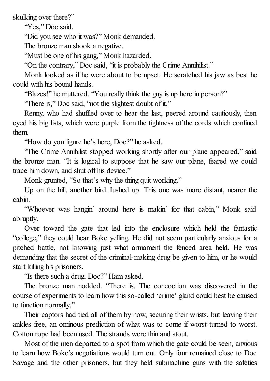skulking over there?"

"Yes," Doc said.

"Did you see who it was?" Monk demanded.

The bronze man shook a negative.

"Must be one of his gang," Monk hazarded.

"On the contrary," Doc said, "it is probably the Crime Annihilist."

Monk looked as if he were about to be upset. He scratched his jaw as best he could with his bound hands.

"Blazes!" he muttered. "You really think the guy is up here in person?"

"There is," Doc said, "not the slightest doubt of it."

Renny, who had shuffled over to hear the last, peered around cautiously, then eyed his big fists, which were purple from the tightness of the cords which confined them.

"How do you figure he's here, Doc?" he asked.

"The Crime Annihilist stopped working shortly after our plane appeared," said the bronze man. "It is logical to suppose that he saw our plane, feared we could trace him down, and shut off his device."

Monk grunted, "So that's why the thing quit working."

Up on the hill, another bird flushed up. This one was more distant, nearer the cabin.

"Whoever was hangin' around here is makin' for that cabin," Monk said abruptly.

Over toward the gate that led into the enclosure which held the fantastic "college," they could hear Boke yelling. He did not seem particularly anxious for a pitched battle, not knowing just what armament the fenced area held. He was demanding that the secret of the criminal-making drug be given to him, or he would start killing his prisoners.

"Is there such a drug, Doc?" Ham asked.

The bronze man nodded. "There is. The concoction was discovered in the course of experiments to learn how this so-called 'crime' gland could best be caused to function normally."

Their captors had tied all of them by now, securing their wrists, but leaving their ankles free, an ominous prediction of what was to come if worst turned to worst. Cotton rope had been used. The strands were thin and stout.

Most of the men departed to a spot from which the gate could be seen, anxious to learn how Boke's negotiations would turn out. Only four remained close to Doc Savage and the other prisoners, but they held submachine guns with the safeties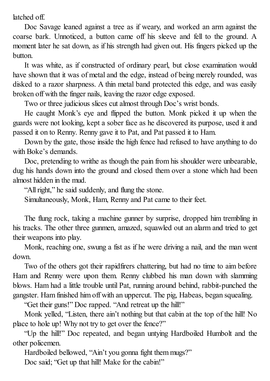latched off.

Doc Savage leaned against a tree as if weary, and worked an arm against the coarse bark. Unnoticed, a button came off his sleeve and fell to the ground. A moment later he sat down, as if his strength had given out. His fingers picked up the button.

It was white, as if constructed of ordinary pearl, but close examination would have shown that it was of metal and the edge, instead of being merely rounded, was disked to a razor sharpness. A thin metal band protected this edge, and was easily broken off with the finger nails, leaving the razor edge exposed.

Two or three judicious slices cut almost through Doc's wrist bonds.

He caught Monk's eye and flipped the button. Monk picked it up when the guards were not looking, kept a sober face as he discovered its purpose, used it and passed it on to Renny. Renny gave it to Pat, and Pat passed it to Ham.

Down by the gate, those inside the high fence had refused to have anything to do with Boke's demands.

Doc, pretending to writhe as though the pain from his shoulder were unbearable, dug his hands down into the ground and closed them over a stone which had been almost hidden in the mud.

"All right," he said suddenly, and flung the stone.

Simultaneously, Monk, Ham, Renny and Pat came to their feet.

The flung rock, taking a machine gunner by surprise, dropped him trembling in his tracks. The other three gunmen, amazed, squawled out an alarm and tried to get their weapons into play.

Monk, reaching one, swung a fist as if he were driving a nail, and the man went down.

Two of the others got their rapidfirers chattering, but had no time to aim before Ham and Renny were upon them. Renny clubbed his man down with slamming blows. Ham had a little trouble until Pat, running around behind, rabbit-punched the gangster. Ham finished him off with an uppercut. The pig, Habeas, began squealing.

"Get their guns!" Doc rapped. "And retreat up the hill!"

Monk yelled, "Listen, there ain't nothing but that cabin at the top of the hill! No place to hole up! Why not try to get over the fence?"

"Up the hill!" Doc repeated, and began untying Hardboiled Humbolt and the other policemen.

Hardboiled bellowed, "Ain't you gonna fight them mugs?"

Doc said; "Get up that hill! Make for the cabin!"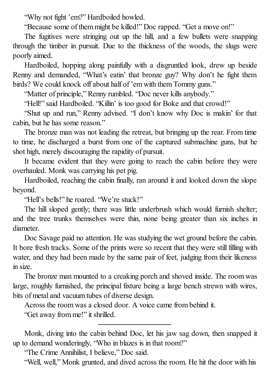"Why not fight 'em?" Hardboiled howled.

"Because some of them might be killed!" Doc rapped. "Get a move on!"

The fugitives were stringing out up the hill, and a few bullets were snapping through the timber in pursuit. Due to the thickness of the woods, the slugs were poorly aimed.

Hardboiled, hopping along painfully with a disgruntled look, drew up beside Renny and demanded, "What's eatin' that bronze guy? Why don't he fight them birds? We could knock off about half of 'em with them Tommy guns."

"Matter of principle," Renny rumbled. "Doc never kills anybody."

"Hell!" said Hardboiled. "Killin' is too good for Boke and that crowd!"

"Shut up and run," Renny advised. "I don't know why Doc is makin' for that cabin, but he has some reason."

The bronze man was not leading the retreat, but bringing up the rear. From time to time, he discharged a burst from one of the captured submachine guns, but he shot high, merely discouraging the rapidity of pursuit.

It became evident that they were going to reach the cabin before they were overhauled. Monk was carrying his pet pig.

Hardboiled, reaching the cabin finally, ran around it and looked down the slope beyond.

"Hell's bells!" he roared. "We're stuck!"

The hill sloped gently; there was little underbrush which would furnish shelter; and the tree trunks themselves were thin, none being greater than six inches in diameter.

Doc Savage paid no attention. He was studying the wet ground before the cabin. It bore fresh tracks. Some of the prints were so recent that they were still filling with water, and they had been made by the same pair of feet, judging from their likeness in size.

The bronze man mounted to a creaking porch and shoved inside. The room was large, roughly furnished, the principal fixture being a large bench strewn with wires, bits of metal and vacuum tubes of diverse design.

Across the room was a closed door. A voice came from behind it.

"Get away from me!" it shrilled.

Monk, diving into the cabin behind Doc, let his jaw sag down, then snapped it up to demand wonderingly, "Who in blazes is in that room?"

"The Crime Annihilist, I believe," Doc said.

"Well, well," Monk grunted, and dived across the room. He hit the door with his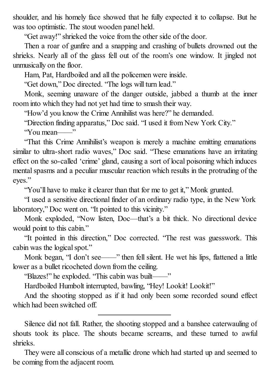shoulder, and his homely face showed that he fully expected it to collapse. But he was too optimistic. The stout wooden panel held.

"Get away!" shrieked the voice from the other side of the door.

Then a roar of gunfire and a snapping and crashing of bullets drowned out the shrieks. Nearly all of the glass fell out of the room's one window. It jingled not unmusically on the floor.

Ham, Pat, Hardboiled and all the policemen were inside.

"Get down," Doc directed. "The logs will turn lead."

Monk, seeming unaware of the danger outside, jabbed a thumb at the inner room into which they had not yet had time to smash their way.

"How'd you know the Crime Annihilist was here?" he demanded.

"Direction finding apparatus," Doc said. "I used it from New York City."

"You mean——"

"That this Crime Annihilist's weapon is merely a machine emitting emanations similar to ultra-short radio waves," Doc said. "These emanations have an irritating effect on the so-called 'crime' gland, causing a sort of local poisoning which induces mental spasms and a peculiar muscular reaction which results in the protruding of the eyes."

"You'll have to make it clearer than that for me to get it," Monk grunted.

"I used a sensitive directional finder of an ordinary radio type, in the New York laboratory," Doc went on. "It pointed to this vicinity."

Monk exploded, "Now listen, Doc—that's a bit thick. No directional device would point to this cabin."

"It pointed in this direction," Doc corrected. "The rest was guesswork. This cabin was the logical spot."

Monk began, "I don't see——" then fell silent. He wet his lips, flattened a little lower as a bullet ricocheted down from the ceiling.

"Blazes!" he exploded. "This cabin was built——"

Hardboiled Humbolt interrupted, bawling, 'Hey! Lookit! Lookit!''

And the shooting stopped as if it had only been some recorded sound effect which had been switched off.

Silence did not fall. Rather, the shooting stopped and a banshee caterwauling of shouts took its place. The shouts became screams, and these turned to awful shrieks.

They were all conscious of a metallic drone which had started up and seemed to be coming from the adjacent room.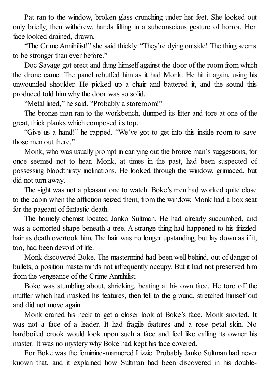Pat ran to the window, broken glass crunching under her feet. She looked out only briefly, then withdrew, hands lifting in a subconscious gesture of horror. Her face looked drained, drawn.

"The Crime Annihilist!" she said thickly. "They're dying outside! The thing seems to be stronger than ever before."

Doc Savage got erect and flung himself against the door of the room from which the drone came. The panel rebuffed him as it had Monk. He hit it again, using his unwounded shoulder. He picked up a chair and battered it, and the sound this produced told him why the door was so solid.

"Metal lined," he said. "Probably a storeroom!"

The bronze man ran to the workbench, dumped its litter and tore at one of the great, thick planks which composed its top.

"Give us a hand!" he rapped. "We've got to get into this inside room to save those men out there."

Monk, who was usually prompt in carrying out the bronze man's suggestions, for once seemed not to hear. Monk, at times in the past, had been suspected of possessing bloodthirsty inclinations. He looked through the window, grimaced, but did not turn away.

The sight was not a pleasant one to watch. Boke's men had worked quite close to the cabin when the affliction seized them; from the window, Monk had a box seat for the pageant of fantastic death.

The homely chemist located Janko Sultman. He had already succumbed, and was a contorted shape beneath a tree. A strange thing had happened to his frizzled hair as death overtook him. The hair was no longer upstanding, but lay down as if it, too, had been devoid of life.

Monk discovered Boke. The mastermind had been well behind, out of danger of bullets, a position masterminds not infrequently occupy. But it had not preserved him from the vengeance of the Crime Annihilist.

Boke was stumbling about, shrieking, beating at his own face. He tore off the muffler which had masked his features, then fell to the ground, stretched himself out and did not move again.

Monk craned his neck to get a closer look at Boke's face. Monk snorted. It was not a face of a leader. It had fragile features and a rose petal skin. No hardboiled crook would look upon such a face and feel like calling its owner his master. It was no mystery why Boke had kept his face covered.

For Boke was the feminine-mannered Lizzie. Probably Janko Sultman had never known that, and it explained how Sultman had been discovered in his double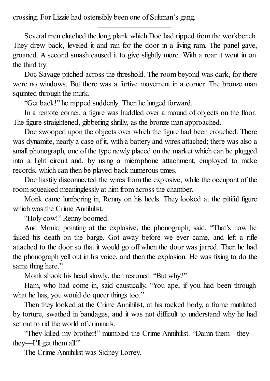crossing. For Lizzie had ostensibly been one of Sultman's gang.

Several men clutched the long plank which Doc had ripped from the workbench. They drew back, leveled it and ran for the door in a living ram. The panel gave, groaned. A second smash caused it to give slightly more. With a roar it went in on the third try.

Doc Savage pitched across the threshold. The room beyond was dark, for there were no windows. But there was a furtive movement in a corner. The bronze man squinted through the murk.

"Get back!" he rapped suddenly. Then he lunged forward.

In a remote corner, a figure was huddled over a mound of objects on the floor. The figure straightened, gibbering shrilly, as the bronze man approached.

Doc swooped upon the objects over which the figure had been crouched. There was dynamite, nearly a case of it, with a battery and wires attached; there was also a small phonograph, one of the type newly placed on the market which can be plugged into a light circuit and, by using a microphone attachment, employed to make records, which can then be played back numerous times.

Doc hastily disconnected the wires from the explosive, while the occupant of the room squeaked meaninglessly at him from across the chamber.

Monk came lumbering in, Renny on his heels. They looked at the pitiful figure which was the Crime Annihilist.

"Holy cow!" Renny boomed.

And Monk, pointing at the explosive, the phonograph, said, "That's how he faked his death on the barge. Got away before we ever came, and left a rifle attached to the door so that it would go off when the door was jarred. Then he had the phonograph yell out in his voice, and then the explosion. He was fixing to do the same thing here."

Monk shook his head slowly, then resumed: "But why?"

Ham, who had come in, said caustically, "You ape, if you had been through what he has, you would do queer things too."

Then they looked at the Crime Annihilist, at his racked body, a frame mutilated by torture, swathed in bandages, and it was not difficult to understand why he had set out to rid the world of criminals.

"They killed my brother!" mumbled the Crime Annihilist. "Damn them—they they—I'll get them all!"

The Crime Annihilist was Sidney Lorrey.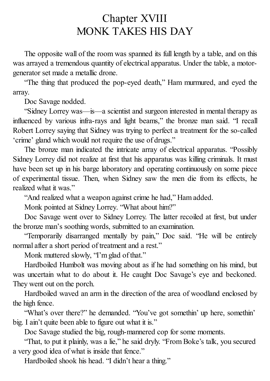## Chapter XVIII MONK TAKES HIS DAY

The opposite wall of the room was spanned its full length by a table, and on this was arrayed a tremendous quantity of electrical apparatus. Under the table, a motorgenerator set made a metallic drone.

"The thing that produced the pop-eyed death," Ham murmured, and eyed the array.

Doc Savage nodded.

"Sidney Lorrey was—is—a scientist and surgeon interested in mental therapy as influenced by various infra-rays and light beams," the bronze man said. "I recall Robert Lorrey saying that Sidney was trying to perfect a treatment for the so-called 'crime' gland which would not require the use of drugs."

The bronze man indicated the intricate array of electrical apparatus. "Possibly Sidney Lorrey did not realize at first that his apparatus was killing criminals. It must have been set up in his barge laboratory and operating continuously on some piece of experimental tissue. Then, when Sidney saw the men die from its effects, he realized what it was."

"And realized what a weapon against crime he had," Ham added.

Monk pointed at Sidney Lorrey. "What about him?"

Doc Savage went over to Sidney Lorrey. The latter recoiled at first, but under the bronze man's soothing words, submitted to an examination.

"Temporarily disarranged mentally by pain," Doc said. "He will be entirely normal after a short period of treatment and a rest."

Monk muttered slowly, 'T'm glad of that."

Hardboiled Humbolt was moving about as if he had something on his mind, but was uncertain what to do about it. He caught Doc Savage's eye and beckoned. They went out on the porch.

Hardboiled waved an arm in the direction of the area of woodland enclosed by the high fence.

"What's over there?" he demanded. "You've got somethin' up here, somethin' big. I ain't quite been able to figure out what it is."

Doc Savage studied the big, rough-mannered cop for some moments.

"That, to put it plainly, was a lie," he said dryly. "From Boke's talk, you secured a very good idea of what is inside that fence."

Hardboiled shook his head. "I didn't hear a thing."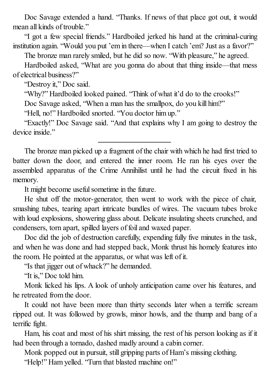Doc Savage extended a hand. "Thanks. If news of that place got out, it would mean all kinds of trouble."

"I got a few special friends." Hardboiled jerked his hand at the criminal-curing institution again. "Would you put 'em in there—when I catch 'em? Just as a favor?"

The bronze man rarely smiled, but he did so now. "With pleasure," he agreed.

Hardboiled asked, "What are you gonna do about that thing inside—that mess of electrical business?"

"Destroy it," Doc said.

"Why?" Hardboiled looked pained. "Think of what it'd do to the crooks!"

Doc Savage asked, "When a man has the smallpox, do you kill him?"

"Hell, no!" Hardboiled snorted. "You doctor him up."

"Exactly!" Doc Savage said. "And that explains why I am going to destroy the device inside."

The bronze man picked up a fragment of the chair with which he had first tried to batter down the door, and entered the inner room. He ran his eyes over the assembled apparatus of the Crime Annihilist until he had the circuit fixed in his memory.

It might become usefulsometime in the future.

He shut off the motor-generator, then went to work with the piece of chair, smashing tubes, tearing apart intricate bundles of wires. The vacuum tubes broke with loud explosions, showering glass about. Delicate insulating sheets crunched, and condensers, torn apart, spilled layers of foil and waxed paper.

Doc did the job of destruction carefully, expending fully five minutes in the task, and when he was done and had stepped back, Monk thrust his homely features into the room. He pointed at the apparatus, or what was left of it.

"Is that jigger out of whack?" he demanded.

"It is," Doc told him.

Monk licked his lips. A look of unholy anticipation came over his features, and he retreated from the door.

It could not have been more than thirty seconds later when a terrific scream ripped out. It was followed by growls, minor howls, and the thump and bang of a terrific fight.

Ham, his coat and most of his shirt missing, the rest of his person looking as if it had been through a tornado, dashed madly around a cabin corner.

Monk popped out in pursuit, still gripping parts of Ham's missing clothing.

"Help!" Ham yelled. "Turn that blasted machine on!"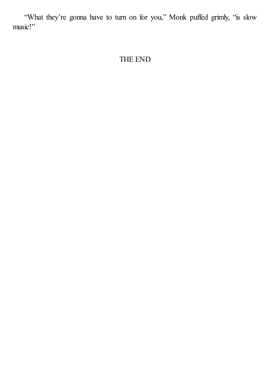"What they're gonna have to turn on for you," Monk puffed grimly, "is slow music!"

## THE END